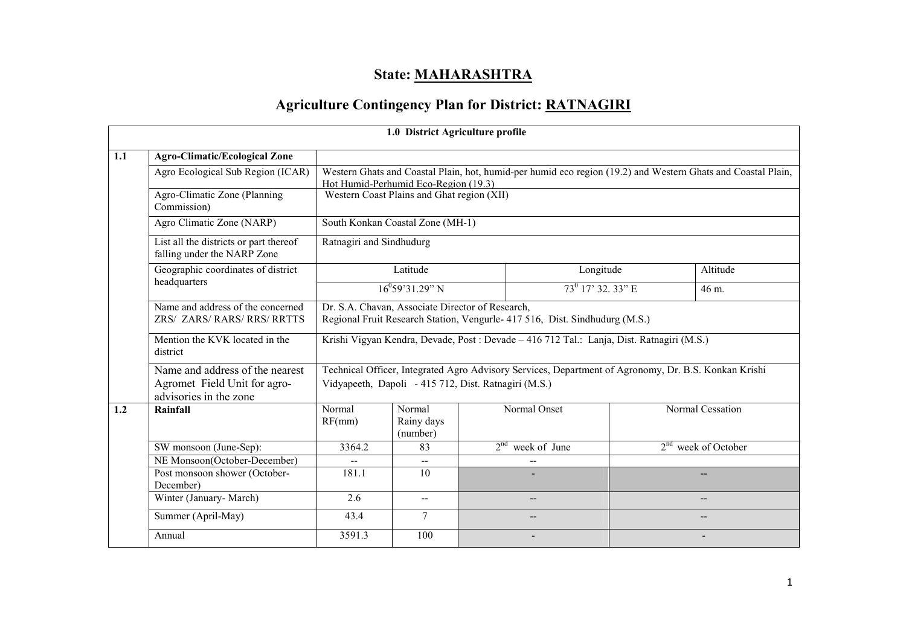## State: <u>MAHARASHTRA</u>

# Agriculture Contingency Plan for District: RATNAGIRI

|     |                                                                                           |                                                                                                                                 | 1.0 District Agriculture profile |  |                                                                                                      |  |                                                                                                              |  |  |  |
|-----|-------------------------------------------------------------------------------------------|---------------------------------------------------------------------------------------------------------------------------------|----------------------------------|--|------------------------------------------------------------------------------------------------------|--|--------------------------------------------------------------------------------------------------------------|--|--|--|
| 1.1 | <b>Agro-Climatic/Ecological Zone</b>                                                      |                                                                                                                                 |                                  |  |                                                                                                      |  |                                                                                                              |  |  |  |
|     | Agro Ecological Sub Region (ICAR)                                                         | Hot Humid-Perhumid Eco-Region (19.3)                                                                                            |                                  |  |                                                                                                      |  | Western Ghats and Coastal Plain, hot, humid-per humid eco region (19.2) and Western Ghats and Coastal Plain, |  |  |  |
|     | Agro-Climatic Zone (Planning<br>Commission)                                               | Western Coast Plains and Ghat region (XII)                                                                                      |                                  |  |                                                                                                      |  |                                                                                                              |  |  |  |
|     | Agro Climatic Zone (NARP)                                                                 | South Konkan Coastal Zone (MH-1)                                                                                                |                                  |  |                                                                                                      |  |                                                                                                              |  |  |  |
|     | List all the districts or part thereof<br>falling under the NARP Zone                     | Ratnagiri and Sindhudurg                                                                                                        |                                  |  |                                                                                                      |  |                                                                                                              |  |  |  |
|     | Geographic coordinates of district                                                        |                                                                                                                                 | Latitude                         |  | Longitude                                                                                            |  | Altitude                                                                                                     |  |  |  |
|     | headquarters                                                                              |                                                                                                                                 | $16^{0}$ 59'31.29" N             |  | $73^0$ 17' 32. 33" E                                                                                 |  | 46 m.                                                                                                        |  |  |  |
|     | Name and address of the concerned<br>ZRS/ ZARS/ RARS/ RRS/ RRTTS                          | Dr. S.A. Chavan, Associate Director of Research,<br>Regional Fruit Research Station, Vengurle- 417 516, Dist. Sindhudurg (M.S.) |                                  |  |                                                                                                      |  |                                                                                                              |  |  |  |
|     | Mention the KVK located in the<br>district                                                |                                                                                                                                 |                                  |  | Krishi Vigyan Kendra, Devade, Post : Devade – 416 712 Tal.: Lanja, Dist. Ratnagiri (M.S.)            |  |                                                                                                              |  |  |  |
|     | Name and address of the nearest<br>Agromet Field Unit for agro-<br>advisories in the zone | Vidyapeeth, Dapoli - 415 712, Dist. Ratnagiri (M.S.)                                                                            |                                  |  | Technical Officer, Integrated Agro Advisory Services, Department of Agronomy, Dr. B.S. Konkan Krishi |  |                                                                                                              |  |  |  |
| 1.2 | Rainfall                                                                                  | Normal<br>RF(mm)                                                                                                                | Normal<br>Rainy days<br>(number) |  | Normal Onset                                                                                         |  | Normal Cessation                                                                                             |  |  |  |
|     | SW monsoon (June-Sep):                                                                    | 3364.2                                                                                                                          | 83                               |  | $2nd$ week of June                                                                                   |  | $2nd$ week of October                                                                                        |  |  |  |
|     | NE Monsoon(October-December)                                                              |                                                                                                                                 |                                  |  |                                                                                                      |  |                                                                                                              |  |  |  |
|     | Post monsoon shower (October-<br>December)                                                | 181.1                                                                                                                           | 10                               |  |                                                                                                      |  | $- -$                                                                                                        |  |  |  |
|     | Winter (January- March)                                                                   | 2.6                                                                                                                             | $\overline{\phantom{a}}$         |  | --                                                                                                   |  | $-$                                                                                                          |  |  |  |
|     | Summer (April-May)                                                                        | 43.4                                                                                                                            | 7                                |  | --                                                                                                   |  | $\qquad \qquad -$                                                                                            |  |  |  |
|     | Annual                                                                                    | 3591.3                                                                                                                          | 100                              |  |                                                                                                      |  |                                                                                                              |  |  |  |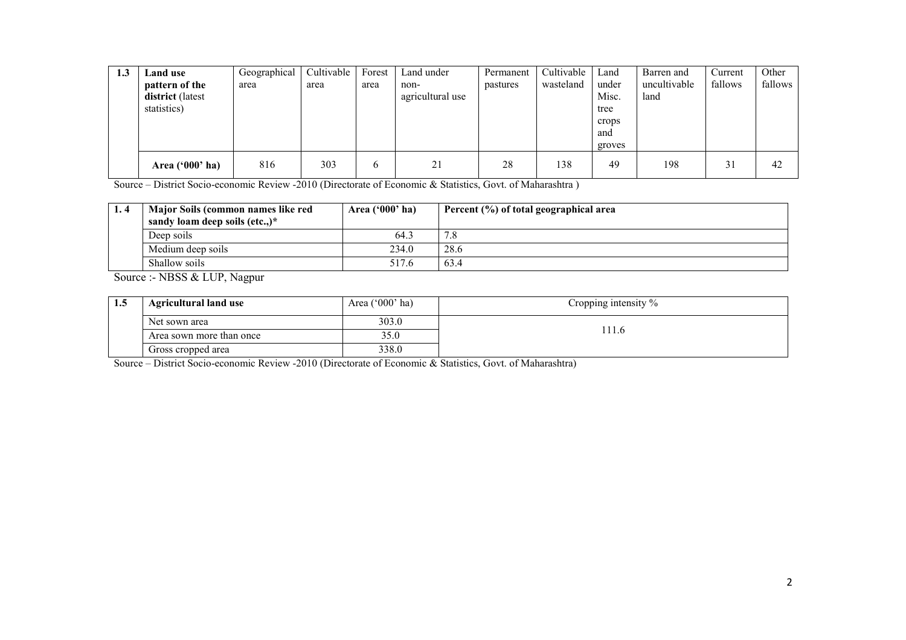| 1.3 | Land use                        | Geographical | Cultivable | Forest | Land under       | Permanent | Cultivable | Land   | Barren and   | Current | Other   |
|-----|---------------------------------|--------------|------------|--------|------------------|-----------|------------|--------|--------------|---------|---------|
|     | pattern of the                  | area         | area       | area   | non-             | pastures  | wasteland  | under  | uncultivable | fallows | fallows |
|     | district (latest<br>statistics) |              |            |        | agricultural use |           |            | Misc.  | land         |         |         |
|     |                                 |              |            |        |                  |           |            | tree   |              |         |         |
|     |                                 |              |            |        |                  |           |            | crops  |              |         |         |
|     |                                 |              |            |        |                  |           |            | and    |              |         |         |
|     |                                 |              |            |        |                  |           |            | groves |              |         |         |
|     | Area $('000'$ ha)               | 816          | 303        | 6      | 21               | 28        | 138        | 49     | 198          | 31      | 42      |

Source – District Socio-economic Review -2010 (Directorate of Economic & Statistics, Govt. of Maharashtra )

| 1.4 | Major Soils (common names like red | Area $('000'$ ha) | Percent (%) of total geographical area |
|-----|------------------------------------|-------------------|----------------------------------------|
|     | sandy loam deep soils (etc)*       |                   |                                        |
|     | Deep soils                         | 64.3              | 70                                     |
|     | 234.0<br>Medium deep soils         |                   | 28.6                                   |
|     | Shallow soils                      | 517.6             | 63.4                                   |

Source :- NBSS & LUP, Nagpur

| 1.J | <b>Agricultural land use</b> | Area ('000' ha) | Cropping intensity $\%$ |
|-----|------------------------------|-----------------|-------------------------|
|     | Net sown area                | 303.0           |                         |
|     | Area sown more than once     | 35.0            | 1 I .O                  |
|     | Gross cropped area           | 338.0           |                         |

Source – District Socio-economic Review -2010 (Directorate of Economic & Statistics, Govt. of Maharashtra)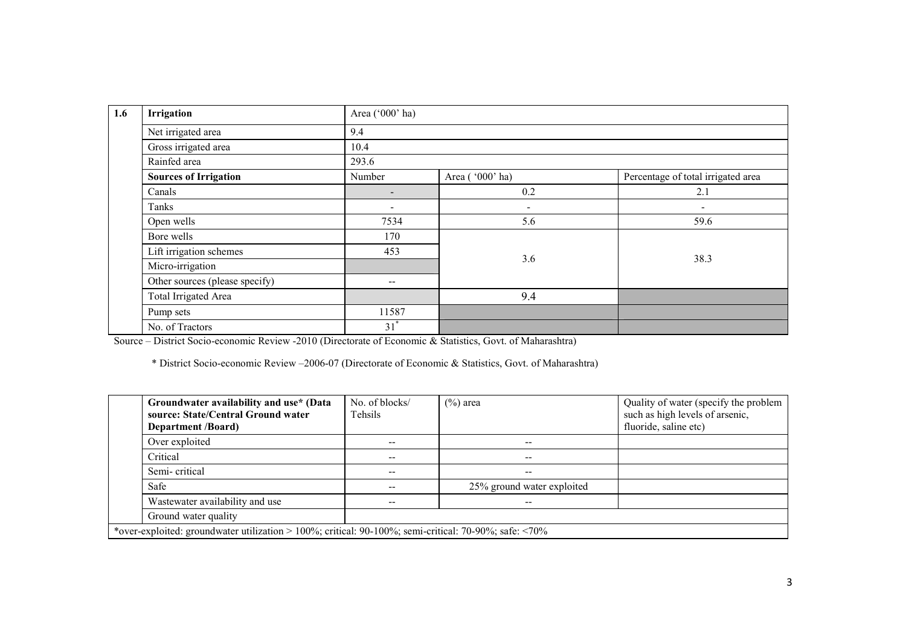| 1.6 | Irrigation                     | Area ('000' ha)          |                          |                                    |
|-----|--------------------------------|--------------------------|--------------------------|------------------------------------|
|     | Net irrigated area             | 9.4                      |                          |                                    |
|     | Gross irrigated area           | 10.4                     |                          |                                    |
|     | Rainfed area                   | 293.6                    |                          |                                    |
|     | <b>Sources of Irrigation</b>   | Number                   | Area ('000' ha)          | Percentage of total irrigated area |
|     | Canals                         | $\overline{\phantom{a}}$ | 0.2                      | 2.1                                |
|     | Tanks                          | $\overline{\phantom{0}}$ | $\overline{\phantom{a}}$ | $\overline{\phantom{a}}$           |
|     | Open wells                     | 7534                     | 5.6                      | 59.6                               |
|     | Bore wells                     | 170                      |                          |                                    |
|     | Lift irrigation schemes        | 453                      | 3.6                      | 38.3                               |
|     | Micro-irrigation               |                          |                          |                                    |
|     | Other sources (please specify) | $\overline{\phantom{m}}$ |                          |                                    |
|     | <b>Total Irrigated Area</b>    |                          | 9.4                      |                                    |
|     | Pump sets                      | 11587                    |                          |                                    |
|     | No. of Tractors                | $31^*$                   |                          |                                    |

Source – District Socio-economic Review -2010 (Directorate of Economic & Statistics, Govt. of Maharashtra)

\* District Socio-economic Review –2006-07 (Directorate of Economic & Statistics, Govt. of Maharashtra)

| Groundwater availability and use* (Data<br>source: State/Central Ground water<br><b>Department</b> /Board)    | No. of blocks/<br>Tehsils | $(\%)$ area                | Quality of water (specify the problem<br>such as high levels of arsenic,<br>fluoride, saline etc) |  |  |  |  |  |  |
|---------------------------------------------------------------------------------------------------------------|---------------------------|----------------------------|---------------------------------------------------------------------------------------------------|--|--|--|--|--|--|
| Over exploited                                                                                                | --                        |                            |                                                                                                   |  |  |  |  |  |  |
| Critical                                                                                                      | --                        | --                         |                                                                                                   |  |  |  |  |  |  |
| Semi-critical                                                                                                 | --                        | --                         |                                                                                                   |  |  |  |  |  |  |
| Safe                                                                                                          |                           | 25% ground water exploited |                                                                                                   |  |  |  |  |  |  |
| Wastewater availability and use                                                                               |                           | --                         |                                                                                                   |  |  |  |  |  |  |
| Ground water quality                                                                                          |                           |                            |                                                                                                   |  |  |  |  |  |  |
| *over-exploited: groundwater utilization > 100%; critical: $90-100\%$ ; semi-critical: $70-90\%$ ; safe: <70% |                           |                            |                                                                                                   |  |  |  |  |  |  |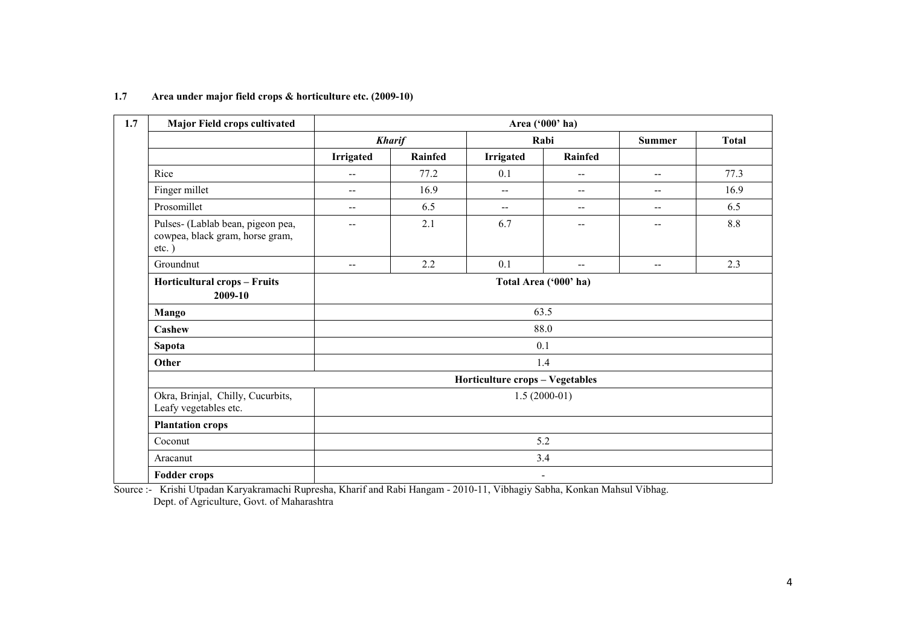| 1.7<br><b>Major Field crops cultivated</b>                                       |                          |                |                                 | Area ('000' ha)          |                          |              |  |  |  |
|----------------------------------------------------------------------------------|--------------------------|----------------|---------------------------------|--------------------------|--------------------------|--------------|--|--|--|
|                                                                                  |                          | <b>Kharif</b>  |                                 | Rabi                     | <b>Summer</b>            | <b>Total</b> |  |  |  |
|                                                                                  | <b>Irrigated</b>         | <b>Rainfed</b> | <b>Irrigated</b>                | <b>Rainfed</b>           |                          |              |  |  |  |
| Rice                                                                             | $-$                      | 77.2           | 0.1                             | $\overline{\phantom{m}}$ | $\overline{\phantom{a}}$ | 77.3         |  |  |  |
| Finger millet                                                                    | $\overline{a}$           | 16.9           | $\overline{a}$                  | $- -$                    | $-$                      | 16.9         |  |  |  |
| Prosomillet                                                                      | $-$                      | 6.5            | $\overline{\phantom{a}}$        | $\overline{\phantom{a}}$ | $- -$                    | 6.5          |  |  |  |
| Pulses- (Lablab bean, pigeon pea,<br>cowpea, black gram, horse gram,<br>$etc.$ ) | $- -$                    | 2.1            | 6.7                             | $\overline{\phantom{a}}$ | $\overline{\phantom{a}}$ | $8.8\,$      |  |  |  |
| Groundnut                                                                        | $- -$                    | 2.2            | 0.1                             | $- -$                    | $\overline{\phantom{a}}$ | 2.3          |  |  |  |
| Horticultural crops - Fruits<br>2009-10                                          | Total Area ('000' ha)    |                |                                 |                          |                          |              |  |  |  |
| <b>Mango</b>                                                                     | 63.5                     |                |                                 |                          |                          |              |  |  |  |
| Cashew                                                                           |                          |                |                                 | 88.0                     |                          |              |  |  |  |
| Sapota                                                                           |                          |                | 0.1                             |                          |                          |              |  |  |  |
| Other                                                                            |                          |                | 1.4                             |                          |                          |              |  |  |  |
|                                                                                  |                          |                | Horticulture crops - Vegetables |                          |                          |              |  |  |  |
| Okra, Brinjal, Chilly, Cucurbits,<br>Leafy vegetables etc.                       |                          |                |                                 | $1.5(2000-01)$           |                          |              |  |  |  |
| <b>Plantation crops</b>                                                          |                          |                |                                 |                          |                          |              |  |  |  |
| Coconut                                                                          | 5.2                      |                |                                 |                          |                          |              |  |  |  |
| Aracanut                                                                         |                          |                | 3.4                             |                          |                          |              |  |  |  |
| <b>Fodder crops</b>                                                              | $\overline{\phantom{a}}$ |                |                                 |                          |                          |              |  |  |  |

## 1.7 Area under major field crops & horticulture etc. (2009-10)

 Source :- Krishi Utpadan Karyakramachi Rupresha, Kharif and Rabi Hangam - 2010-11, Vibhagiy Sabha, Konkan Mahsul Vibhag. Dept. of Agriculture, Govt. of Maharashtra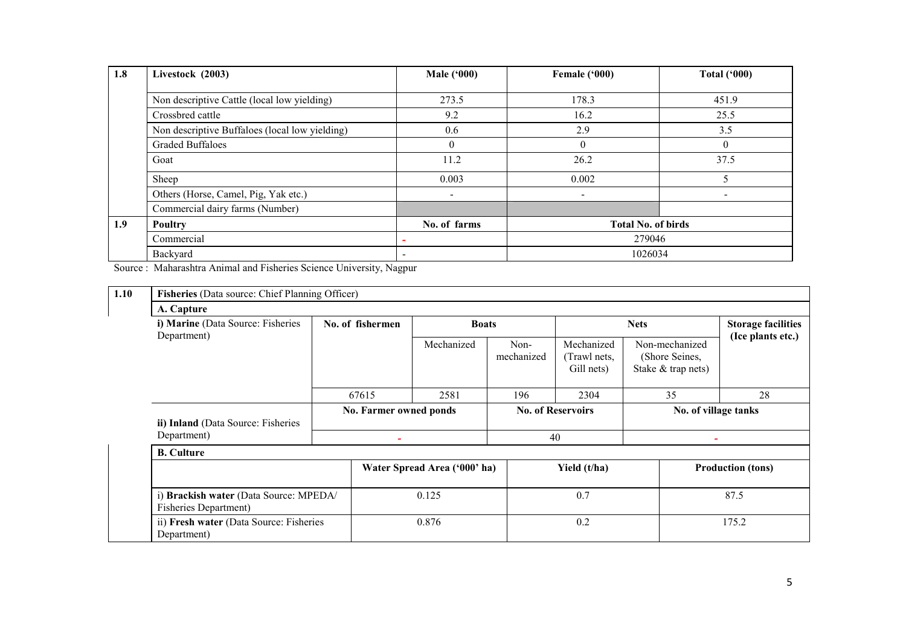| 1.8 | Livestock (2003)                               | <b>Male</b> ('000)       | Female ('000)             | <b>Total ('000)</b>          |  |  |  |
|-----|------------------------------------------------|--------------------------|---------------------------|------------------------------|--|--|--|
|     |                                                |                          |                           |                              |  |  |  |
|     | Non descriptive Cattle (local low yielding)    | 273.5                    | 178.3                     | 451.9                        |  |  |  |
|     | Crossbred cattle                               | 9.2                      | 16.2                      | 25.5                         |  |  |  |
|     | Non descriptive Buffaloes (local low yielding) | 0.6                      | 2.9                       | 3.5                          |  |  |  |
|     | <b>Graded Buffaloes</b>                        | $\theta$                 | $\theta$                  | $\theta$                     |  |  |  |
|     | Goat                                           | 11.2                     | 26.2                      | 37.5                         |  |  |  |
|     | Sheep                                          | 0.003                    | 0.002                     |                              |  |  |  |
|     | Others (Horse, Camel, Pig, Yak etc.)           | $\overline{\phantom{a}}$ | $\overline{\phantom{0}}$  | $\qquad \qquad \blacksquare$ |  |  |  |
|     | Commercial dairy farms (Number)                |                          |                           |                              |  |  |  |
| 1.9 | <b>Poultry</b>                                 | No. of farms             | <b>Total No. of birds</b> |                              |  |  |  |
|     | Commercial                                     |                          | 279046                    |                              |  |  |  |
|     | Backyard                                       | $\overline{\phantom{a}}$ | 1026034                   |                              |  |  |  |

Source : Maharashtra Animal and Fisheries Science University, Nagpur

| 1.10 | Fisheries (Data source: Chief Planning Officer)                        |       |                        |                              |                          |                                          |                                                        |                                                |  |
|------|------------------------------------------------------------------------|-------|------------------------|------------------------------|--------------------------|------------------------------------------|--------------------------------------------------------|------------------------------------------------|--|
|      | A. Capture                                                             |       |                        |                              |                          |                                          |                                                        |                                                |  |
|      | i) Marine (Data Source: Fisheries<br>Department)                       |       | No. of fishermen       | <b>Boats</b>                 |                          |                                          | <b>Nets</b>                                            | <b>Storage facilities</b><br>(Ice plants etc.) |  |
|      |                                                                        |       |                        | Mechanized                   | Non-<br>mechanized       | Mechanized<br>(Trawl nets,<br>Gill nets) | Non-mechanized<br>(Shore Seines,<br>Stake & trap nets) |                                                |  |
|      |                                                                        | 67615 |                        | 2581                         | 196                      | 2304                                     | 35                                                     | 28                                             |  |
|      | ii) Inland (Data Source: Fisheries                                     |       | No. Farmer owned ponds |                              | <b>No. of Reservoirs</b> |                                          | No. of village tanks                                   |                                                |  |
|      | Department)                                                            |       |                        |                              |                          | 40                                       |                                                        |                                                |  |
|      | <b>B.</b> Culture                                                      |       |                        |                              |                          |                                          |                                                        |                                                |  |
|      |                                                                        |       |                        | Water Spread Area ('000' ha) |                          | Yield (t/ha)                             |                                                        | <b>Production (tons)</b>                       |  |
|      | i) Brackish water (Data Source: MPEDA/<br><b>Fisheries Department)</b> |       |                        | 0.125                        |                          | 0.7                                      | 87.5                                                   |                                                |  |
|      | ii) Fresh water (Data Source: Fisheries<br>Department)                 |       |                        | 0.876                        | 0.2                      |                                          |                                                        | 175.2                                          |  |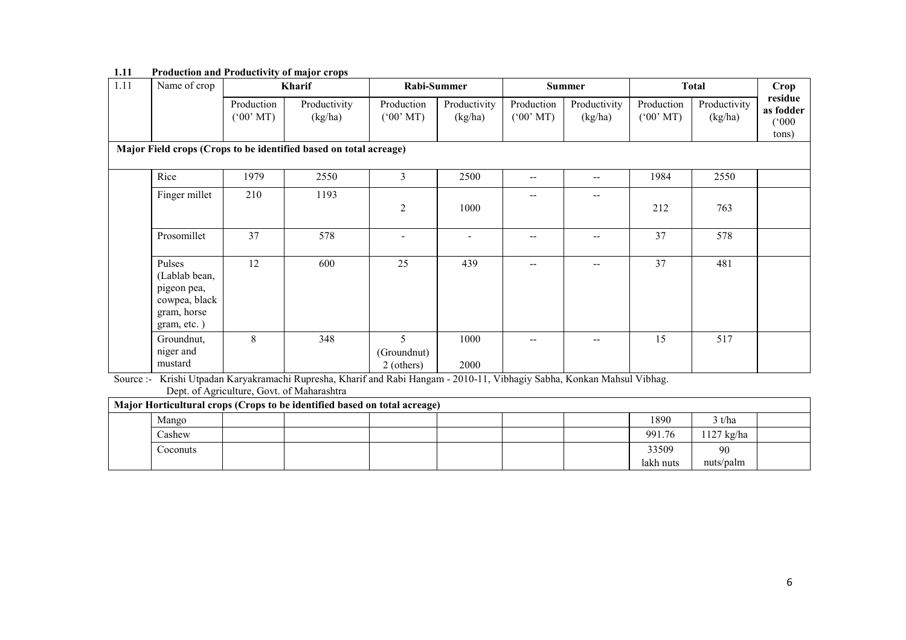| 1.11 | Name of crop                                                                          |                                     | Kharif                                                            | Rabi-Summer                         |                         |                                     | <b>Summer</b>           |                                     | <b>Total</b>            | Crop                                   |
|------|---------------------------------------------------------------------------------------|-------------------------------------|-------------------------------------------------------------------|-------------------------------------|-------------------------|-------------------------------------|-------------------------|-------------------------------------|-------------------------|----------------------------------------|
|      |                                                                                       | Production<br>$(^{6}00^{\circ}$ MT) | Productivity<br>(kg/ha)                                           | Production<br>$(^{o}00^{\circ}$ MT) | Productivity<br>(kg/ha) | Production<br>$(^{6}00^{\circ}$ MT) | Productivity<br>(kg/ha) | Production<br>$(^{o}00^{\circ}$ MT) | Productivity<br>(kg/ha) | residue<br>as fodder<br>(000)<br>tons) |
|      |                                                                                       |                                     | Major Field crops (Crops to be identified based on total acreage) |                                     |                         |                                     |                         |                                     |                         |                                        |
|      | Rice                                                                                  | 1979                                | 2550                                                              | 3                                   | 2500                    | $\overline{\phantom{a}}$            | $- -$                   | 1984                                | 2550                    |                                        |
|      | Finger millet                                                                         | 210                                 | 1193                                                              | $\overline{c}$                      | 1000                    |                                     | --                      | 212                                 | 763                     |                                        |
|      | Prosomillet                                                                           | 37                                  | 578                                                               |                                     |                         |                                     |                         | 37                                  | 578                     |                                        |
|      | Pulses<br>(Lablab bean,<br>pigeon pea,<br>cowpea, black<br>gram, horse<br>gram, etc.) | 12                                  | 600                                                               | 25                                  | 439                     |                                     |                         | 37                                  | 481                     |                                        |
|      | Groundnut,<br>niger and<br>mustard                                                    | 8                                   | 348                                                               | 5<br>(Groundnut)<br>2 (others)      | 1000<br>2000            | --                                  | --                      | 15                                  | 517                     |                                        |

### 1.11 Production and Productivity of major crops

Source :- Krishi Utpadan Karyakramachi Rupresha, Kharif and Rabi Hangam - 2010-11, Vibhagiy Sabha, Konkan Mahsul Vibhag. Dept. of Agriculture, Govt. of Maharashtra

|  | Major Horticultural crops (Crops to be identified based on total acreage) |  |  |  |  |  |  |           |           |  |  |  |
|--|---------------------------------------------------------------------------|--|--|--|--|--|--|-----------|-----------|--|--|--|
|  | Mango                                                                     |  |  |  |  |  |  | 1890      | 3 t/ha    |  |  |  |
|  | Cashew                                                                    |  |  |  |  |  |  | 991.76    | 127 kg/ha |  |  |  |
|  | Coconuts                                                                  |  |  |  |  |  |  | 33509     | 90        |  |  |  |
|  |                                                                           |  |  |  |  |  |  | lakh nuts | nuts/palm |  |  |  |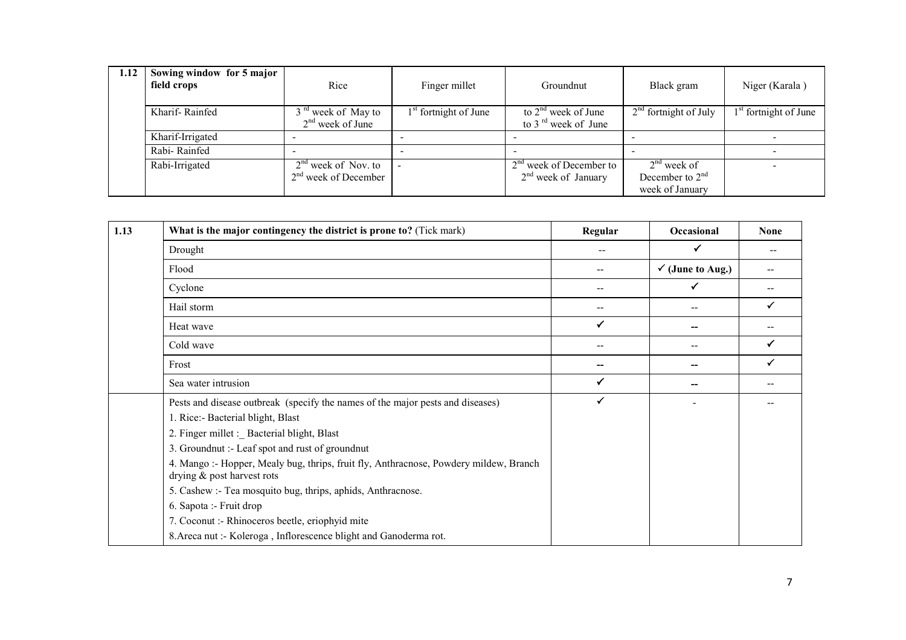| 1.12 | Sowing window for 5 major<br>field crops | Rice                                                 | Finger millet                     | Groundnut                                          | Black gram                                            | Niger (Karala)                    |
|------|------------------------------------------|------------------------------------------------------|-----------------------------------|----------------------------------------------------|-------------------------------------------------------|-----------------------------------|
|      | Kharif-Rainfed                           | 3 <sup>rd</sup> week of May to<br>$2nd$ week of June | 1 <sup>st</sup> fortnight of June | to $2nd$ week of June<br>to 3 $^{rd}$ week of June | $2nd$ fortnight of July                               | 1 <sup>st</sup> fortnight of June |
|      | Kharif-Irrigated                         |                                                      |                                   |                                                    |                                                       |                                   |
|      | Rabi-Rainfed                             |                                                      |                                   |                                                    |                                                       | $\overline{\phantom{0}}$          |
|      | Rabi-Irrigated                           | $2nd$ week of Nov. to<br>$2nd$ week of December      |                                   | $2nd$ week of December to<br>$2nd$ week of January | $2nd$ week of<br>December to $2nd$<br>week of January |                                   |

| 1.13 | What is the major contingency the district is prone to? (Tick mark)                                                 | Regular | <b>Occasional</b>           | <b>None</b> |
|------|---------------------------------------------------------------------------------------------------------------------|---------|-----------------------------|-------------|
|      | Drought                                                                                                             | $ -$    | ✓                           | --          |
|      | Flood                                                                                                               | --      | $\checkmark$ (June to Aug.) |             |
|      | Cyclone                                                                                                             | --      | ✓                           |             |
|      | Hail storm                                                                                                          | --      | --                          | ✓           |
|      | Heat wave                                                                                                           | ✓       |                             |             |
|      | Cold wave                                                                                                           | $-$     | $-$                         | ✓           |
|      | Frost                                                                                                               | --      |                             | ✓           |
|      | Sea water intrusion                                                                                                 | ✓       |                             |             |
|      | Pests and disease outbreak (specify the names of the major pests and diseases)                                      | ✓       |                             |             |
|      | 1. Rice:- Bacterial blight, Blast                                                                                   |         |                             |             |
|      | 2. Finger millet :_ Bacterial blight, Blast                                                                         |         |                             |             |
|      | 3. Groundnut :- Leaf spot and rust of groundnut                                                                     |         |                             |             |
|      | 4. Mango :- Hopper, Mealy bug, thrips, fruit fly, Anthracnose, Powdery mildew, Branch<br>drying & post harvest rots |         |                             |             |
|      | 5. Cashew :- Tea mosquito bug, thrips, aphids, Anthracnose.                                                         |         |                             |             |
|      | 6. Sapota :- Fruit drop                                                                                             |         |                             |             |
|      | 7. Coconut :- Rhinoceros beetle, eriophyid mite                                                                     |         |                             |             |
|      | 8. Areca nut :- Koleroga, Inflorescence blight and Ganoderma rot.                                                   |         |                             |             |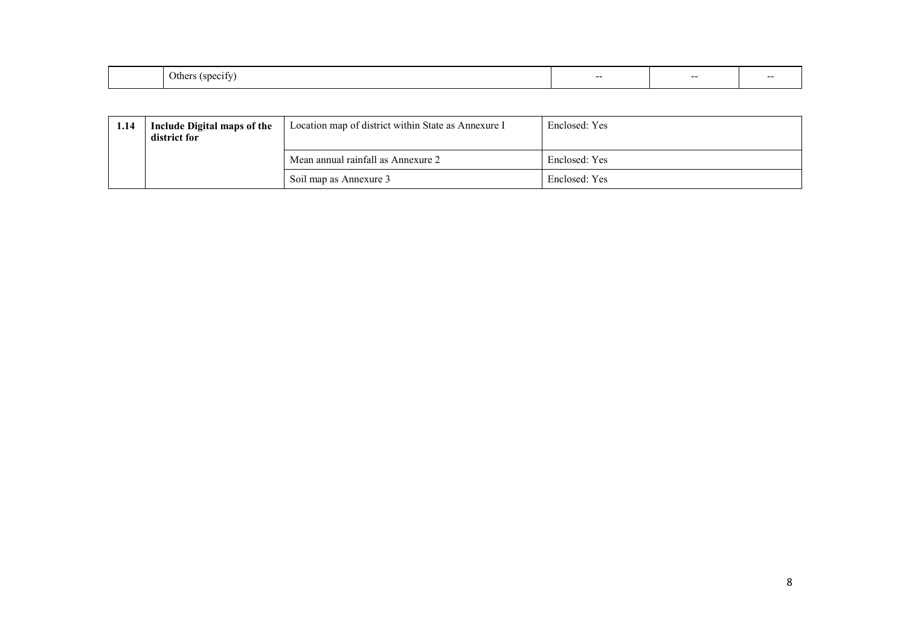|  | $\Delta t$<br>$\mathbf{1}$<br>. . | -- | $- -$ |  |
|--|-----------------------------------|----|-------|--|
|--|-----------------------------------|----|-------|--|

| 1.14 | Include Digital maps of the<br>district for | Location map of district within State as Annexure I | Enclosed: Yes |
|------|---------------------------------------------|-----------------------------------------------------|---------------|
|      |                                             | Mean annual rainfall as Annexure 2                  | Enclosed: Yes |
|      |                                             | Soil map as Annexure 3                              | Enclosed: Yes |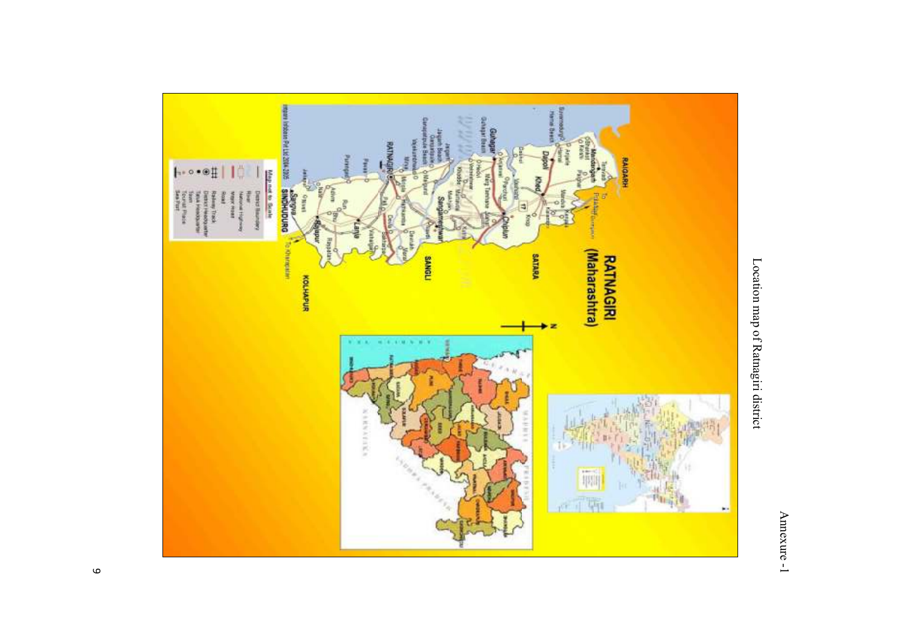



Location map of Ratnagiri district Location map of Ratnagiri district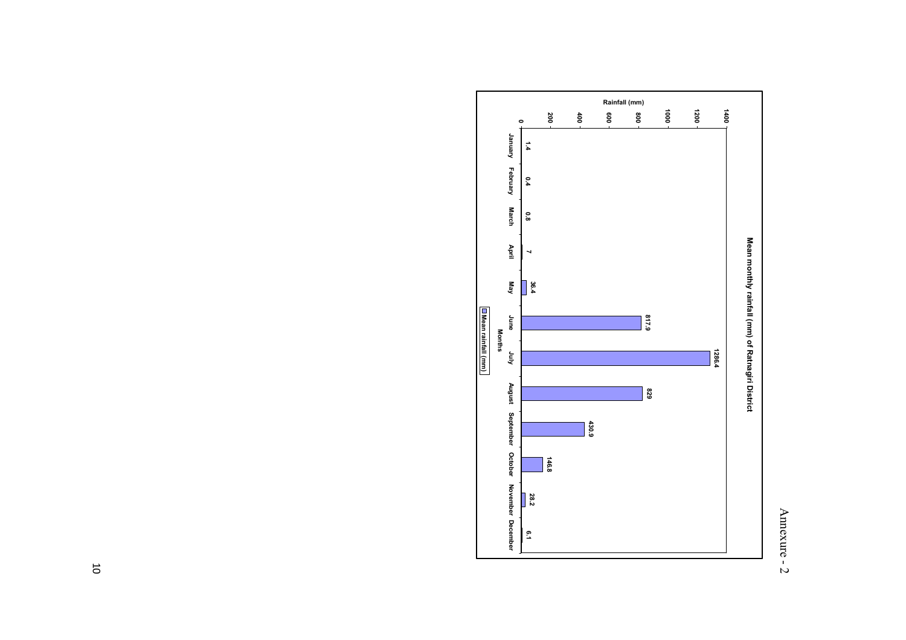# Annexure - 2 Annexure - 2

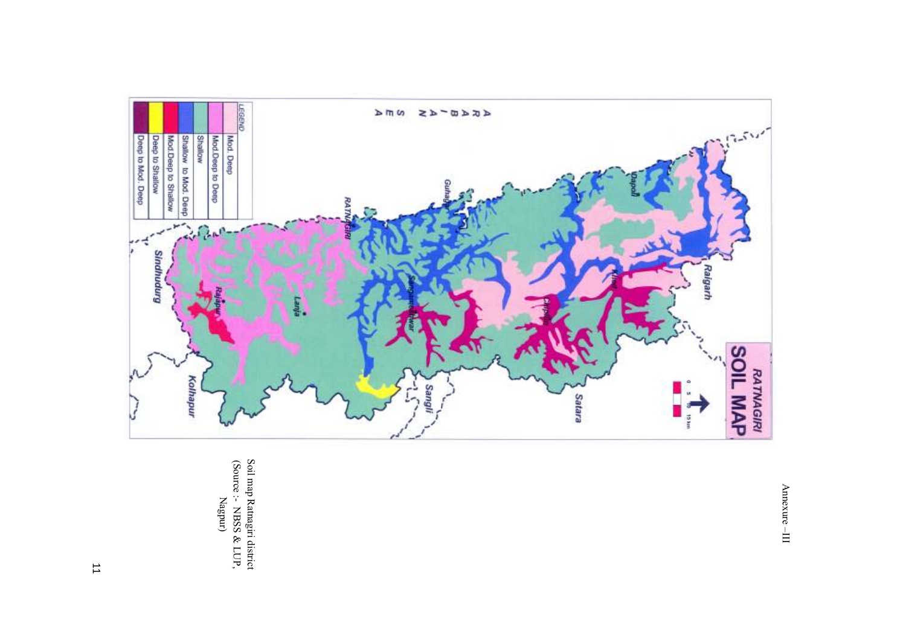

(Source :- NBSS & LUP, Soil map Ratnagiri district Nagpur)

 $A$ mexure -- III Annexure –III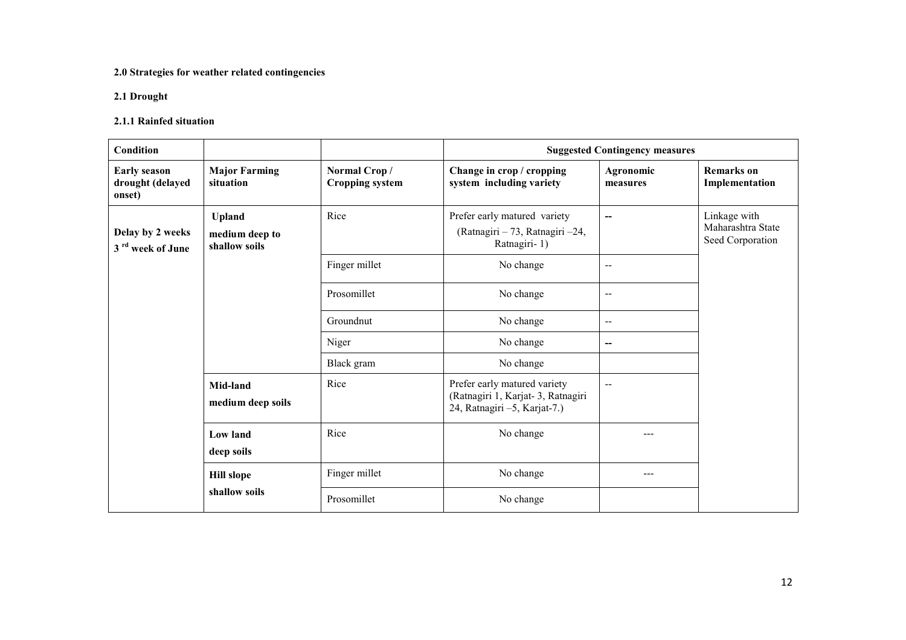## 2.0 Strategies for weather related contingencies

## 2.1 Drought

## 2.1.1 Rainfed situation

| Condition                                         |                                                  |                                        |                                                                                                   | <b>Suggested Contingency measures</b> |                                                       |
|---------------------------------------------------|--------------------------------------------------|----------------------------------------|---------------------------------------------------------------------------------------------------|---------------------------------------|-------------------------------------------------------|
| <b>Early season</b><br>drought (delayed<br>onset) | <b>Major Farming</b><br>situation                | Normal Crop/<br><b>Cropping system</b> | Change in crop / cropping<br>system including variety                                             | Agronomic<br>measures                 | <b>Remarks</b> on<br>Implementation                   |
| Delay by 2 weeks<br>3 <sup>rd</sup> week of June  | <b>Upland</b><br>medium deep to<br>shallow soils | Rice                                   | Prefer early matured variety<br>(Ratnagiri - 73, Ratnagiri -24,<br>Ratnagiri-1)                   | --                                    | Linkage with<br>Maharashtra State<br>Seed Corporation |
|                                                   |                                                  | Finger millet                          | No change                                                                                         | $\overline{\phantom{m}}$              |                                                       |
|                                                   |                                                  | Prosomillet                            | No change                                                                                         | $-\,-$                                |                                                       |
|                                                   |                                                  | Groundnut                              | No change                                                                                         | $\mathbf{u}$                          |                                                       |
|                                                   |                                                  | Niger                                  | No change                                                                                         | --                                    |                                                       |
|                                                   |                                                  | Black gram                             | No change                                                                                         |                                       |                                                       |
|                                                   | Mid-land<br>medium deep soils                    | Rice                                   | Prefer early matured variety<br>(Ratnagiri 1, Karjat-3, Ratnagiri<br>24, Ratnagiri -5, Karjat-7.) | $\overline{\phantom{m}}$              |                                                       |
|                                                   | <b>Low land</b><br>deep soils                    | Rice                                   | No change                                                                                         | ---                                   |                                                       |
|                                                   | <b>Hill slope</b>                                | Finger millet                          | No change                                                                                         | $---$                                 |                                                       |
|                                                   | shallow soils                                    | Prosomillet                            | No change                                                                                         |                                       |                                                       |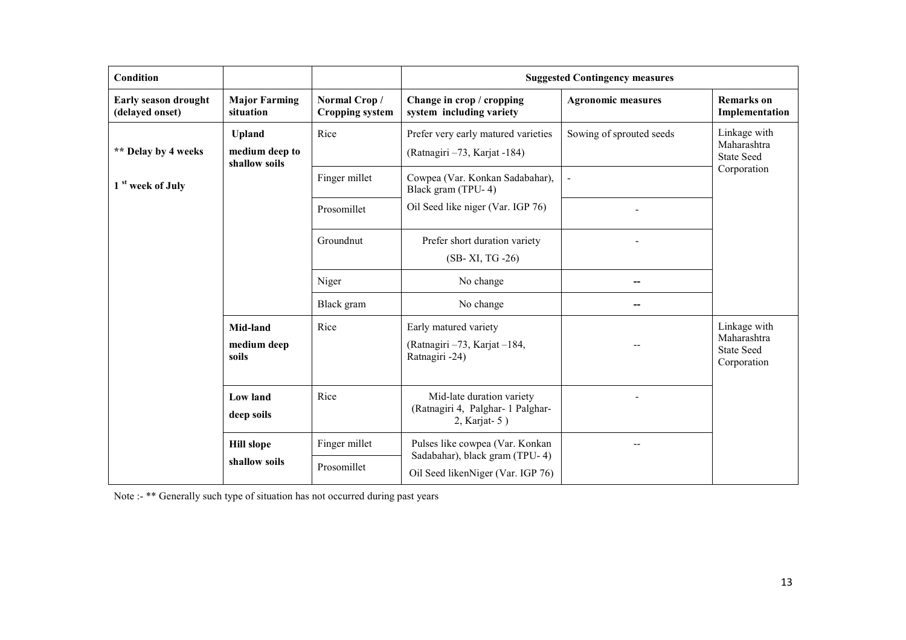| Condition                                                                                                               |                                                  |                                        | <b>Suggested Contingency measures</b>                                                                  |                           |                                                                 |  |
|-------------------------------------------------------------------------------------------------------------------------|--------------------------------------------------|----------------------------------------|--------------------------------------------------------------------------------------------------------|---------------------------|-----------------------------------------------------------------|--|
| Early season drought<br>(delayed onset)                                                                                 | <b>Major Farming</b><br>situation                | Normal Crop/<br><b>Cropping system</b> | Change in crop / cropping<br>system including variety                                                  | <b>Agronomic measures</b> | <b>Remarks</b> on<br>Implementation                             |  |
| ** Delay by 4 weeks                                                                                                     | <b>Upland</b><br>medium deep to<br>shallow soils | Rice                                   | Prefer very early matured varieties<br>(Ratnagiri -73, Karjat -184)                                    | Sowing of sprouted seeds  | Linkage with<br>Maharashtra<br><b>State Seed</b>                |  |
| 1 <sup>st</sup> week of July                                                                                            |                                                  |                                        | Cowpea (Var. Konkan Sadabahar),<br>Black gram (TPU-4)                                                  |                           | Corporation                                                     |  |
|                                                                                                                         |                                                  | Prosomillet                            | Oil Seed like niger (Var. IGP 76)                                                                      |                           |                                                                 |  |
|                                                                                                                         |                                                  | Groundnut                              | Prefer short duration variety<br>(SB-XI, TG-26)                                                        |                           |                                                                 |  |
|                                                                                                                         |                                                  | Niger                                  | No change                                                                                              |                           |                                                                 |  |
|                                                                                                                         |                                                  | Black gram                             | No change                                                                                              |                           |                                                                 |  |
| Rice<br>Mid-land<br>medium deep<br>soils<br><b>Low land</b><br>Rice<br>deep soils<br><b>Hill slope</b><br>shallow soils |                                                  |                                        | Early matured variety<br>(Ratnagiri -73, Karjat -184,<br>Ratnagiri -24)                                |                           | Linkage with<br>Maharashtra<br><b>State Seed</b><br>Corporation |  |
|                                                                                                                         |                                                  |                                        | Mid-late duration variety<br>(Ratnagiri 4, Palghar- 1 Palghar-<br>$2,$ Karjat- $5)$                    |                           |                                                                 |  |
|                                                                                                                         |                                                  | Finger millet<br>Prosomillet           | Pulses like cowpea (Var. Konkan<br>Sadabahar), black gram (TPU-4)<br>Oil Seed likenNiger (Var. IGP 76) | --                        |                                                                 |  |

Note :- \*\* Generally such type of situation has not occurred during past years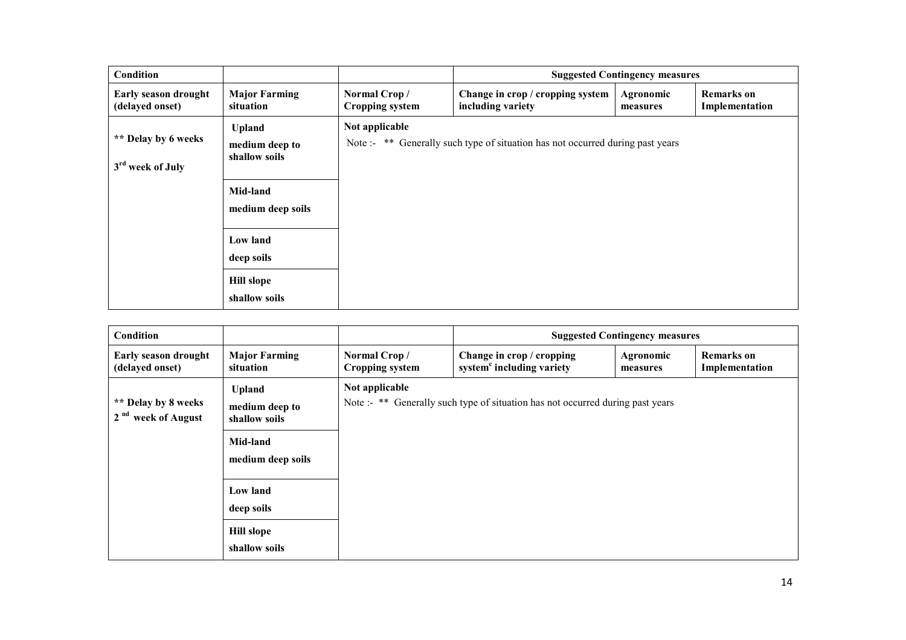| Condition                                           |                                                                                                                                                   |                                        | <b>Suggested Contingency measures</b>                                          |                       |                                     |
|-----------------------------------------------------|---------------------------------------------------------------------------------------------------------------------------------------------------|----------------------------------------|--------------------------------------------------------------------------------|-----------------------|-------------------------------------|
| Early season drought<br>(delayed onset)             | <b>Major Farming</b><br>situation                                                                                                                 | Normal Crop/<br><b>Cropping system</b> | Change in crop / cropping system<br>including variety                          | Agronomic<br>measures | <b>Remarks</b> on<br>Implementation |
| ** Delay by 6 weeks<br>3 <sup>rd</sup> week of July | <b>Upland</b><br>medium deep to<br>shallow soils<br>Mid-land<br>medium deep soils<br>Low land<br>deep soils<br><b>Hill slope</b><br>shallow soils | Not applicable                         | Note :- ** Generally such type of situation has not occurred during past years |                       |                                     |

| <b>Condition</b>                                      |                                                                                                                                                   |                                        | <b>Suggested Contingency measures</b>                                          |                       |                                     |
|-------------------------------------------------------|---------------------------------------------------------------------------------------------------------------------------------------------------|----------------------------------------|--------------------------------------------------------------------------------|-----------------------|-------------------------------------|
| Early season drought<br>(delayed onset)               | <b>Major Farming</b><br>situation                                                                                                                 | Normal Crop/<br><b>Cropping system</b> | Change in crop / cropping<br>system <sup>c</sup> including variety             | Agronomic<br>measures | <b>Remarks</b> on<br>Implementation |
| ** Delay by 8 weeks<br>2 <sup>nd</sup> week of August | <b>Upland</b><br>medium deep to<br>shallow soils<br>Mid-land<br>medium deep soils<br>Low land<br>deep soils<br><b>Hill slope</b><br>shallow soils | Not applicable                         | Note :- ** Generally such type of situation has not occurred during past years |                       |                                     |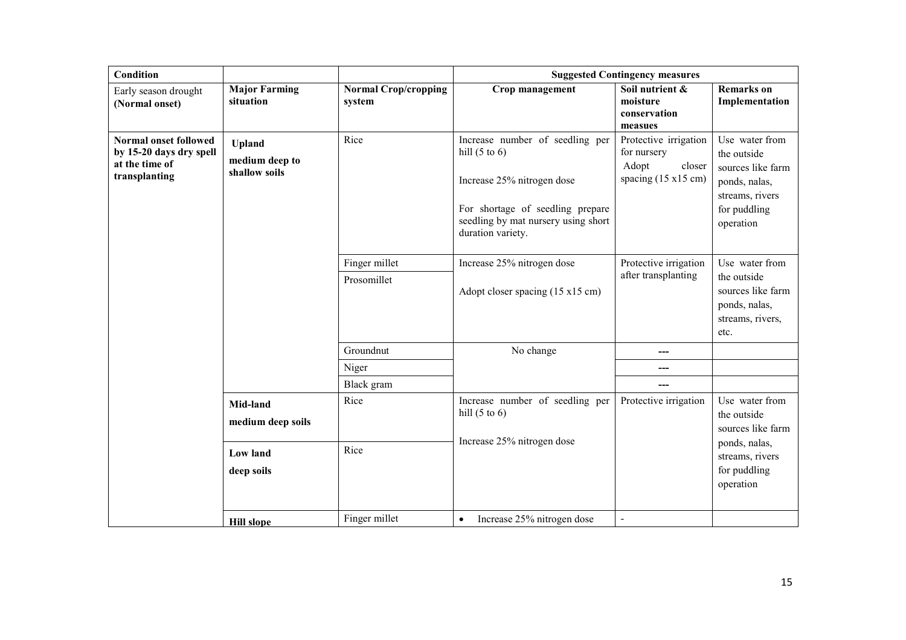| <b>Condition</b>                                                                           |                                                  |                                                                                           | <b>Suggested Contingency measures</b>                                                                                                                                                     |                                                                                                |                                                                                                                     |
|--------------------------------------------------------------------------------------------|--------------------------------------------------|-------------------------------------------------------------------------------------------|-------------------------------------------------------------------------------------------------------------------------------------------------------------------------------------------|------------------------------------------------------------------------------------------------|---------------------------------------------------------------------------------------------------------------------|
| Early season drought<br>(Normal onset)                                                     | <b>Major Farming</b><br>situation                | <b>Normal Crop/cropping</b><br>system                                                     | Crop management                                                                                                                                                                           | Soil nutrient &<br>moisture<br>conservation<br>measues                                         | <b>Remarks</b> on<br>Implementation                                                                                 |
| <b>Normal onset followed</b><br>by 15-20 days dry spell<br>at the time of<br>transplanting | <b>Upland</b><br>medium deep to<br>shallow soils | Rice                                                                                      | Increase number of seedling per<br>hill $(5 \text{ to } 6)$<br>Increase 25% nitrogen dose<br>For shortage of seedling prepare<br>seedling by mat nursery using short<br>duration variety. | Protective irrigation<br>for nursery<br>Adopt<br>closer<br>spacing $(15 \times 15 \text{ cm})$ | Use water from<br>the outside<br>sources like farm<br>ponds, nalas,<br>streams, rivers<br>for puddling<br>operation |
|                                                                                            |                                                  | Finger millet<br>Prosomillet                                                              | Increase 25% nitrogen dose<br>Adopt closer spacing (15 x15 cm)                                                                                                                            | Protective irrigation<br>after transplanting                                                   | Use water from<br>the outside<br>sources like farm<br>ponds, nalas,<br>streams, rivers,<br>etc.                     |
|                                                                                            |                                                  | Groundnut                                                                                 | No change                                                                                                                                                                                 | ---                                                                                            |                                                                                                                     |
|                                                                                            |                                                  | Niger                                                                                     |                                                                                                                                                                                           | ---                                                                                            |                                                                                                                     |
|                                                                                            |                                                  | Black gram                                                                                |                                                                                                                                                                                           |                                                                                                |                                                                                                                     |
|                                                                                            | Rice<br>Mid-land<br>medium deep soils            | Increase number of seedling per<br>hill $(5 \text{ to } 6)$<br>Increase 25% nitrogen dose | Protective irrigation                                                                                                                                                                     | Use water from<br>the outside<br>sources like farm                                             |                                                                                                                     |
|                                                                                            | <b>Low land</b><br>deep soils                    | Rice                                                                                      |                                                                                                                                                                                           |                                                                                                | ponds, nalas,<br>streams, rivers<br>for puddling<br>operation                                                       |
|                                                                                            | <b>Hill</b> slope                                | Finger millet                                                                             | Increase 25% nitrogen dose<br>$\bullet$                                                                                                                                                   | $\overline{a}$                                                                                 |                                                                                                                     |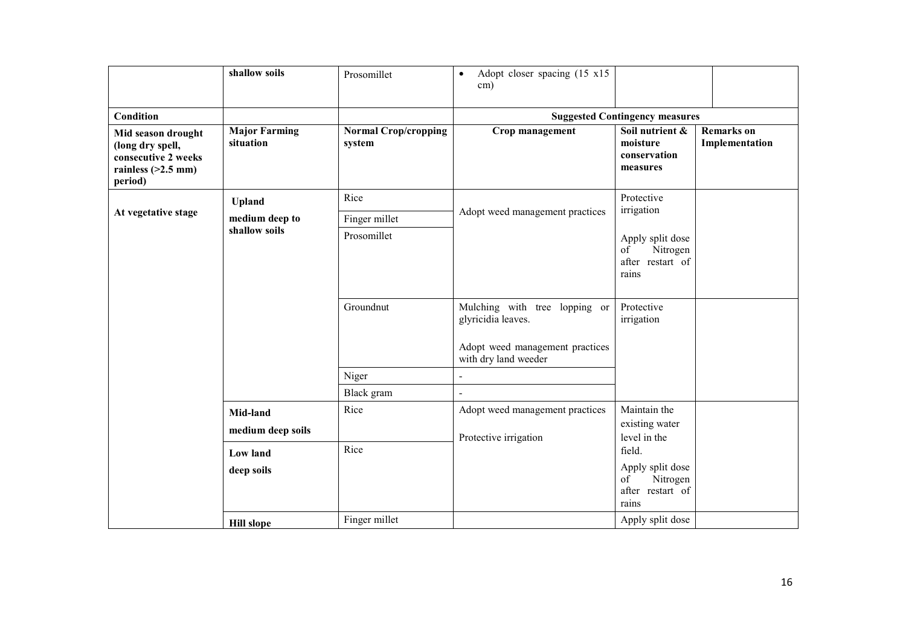|                                                                                                  | shallow soils                     | Prosomillet                           | Adopt closer spacing (15 x15)<br>$\bullet$<br>$\text{cm}$ )                            |                                                                 |                                     |
|--------------------------------------------------------------------------------------------------|-----------------------------------|---------------------------------------|----------------------------------------------------------------------------------------|-----------------------------------------------------------------|-------------------------------------|
| <b>Condition</b>                                                                                 |                                   |                                       |                                                                                        | <b>Suggested Contingency measures</b>                           |                                     |
| Mid season drought<br>(long dry spell,<br>consecutive 2 weeks<br>rainless $(>2.5$ mm)<br>period) | <b>Major Farming</b><br>situation | <b>Normal Crop/cropping</b><br>system | Crop management                                                                        | Soil nutrient &<br>moisture<br>conservation<br>measures         | <b>Remarks</b> on<br>Implementation |
|                                                                                                  | <b>Upland</b>                     | Rice                                  |                                                                                        | Protective<br>irrigation                                        |                                     |
| At vegetative stage                                                                              | medium deep to                    | Finger millet                         | Adopt weed management practices                                                        |                                                                 |                                     |
|                                                                                                  | shallow soils                     | Prosomillet                           |                                                                                        | Apply split dose<br>of<br>Nitrogen<br>after restart of<br>rains |                                     |
|                                                                                                  |                                   | Groundnut                             | Mulching with tree lopping or<br>glyricidia leaves.<br>Adopt weed management practices | Protective<br>irrigation                                        |                                     |
|                                                                                                  |                                   |                                       | with dry land weeder                                                                   |                                                                 |                                     |
|                                                                                                  |                                   | Niger                                 | $\blacksquare$                                                                         |                                                                 |                                     |
|                                                                                                  |                                   | Black gram                            | $\Box$                                                                                 |                                                                 |                                     |
|                                                                                                  | Mid-land                          | Rice                                  | Adopt weed management practices                                                        | Maintain the                                                    |                                     |
|                                                                                                  | medium deep soils                 |                                       | Protective irrigation                                                                  | existing water<br>level in the                                  |                                     |
|                                                                                                  | Low land                          | Rice                                  |                                                                                        | field.                                                          |                                     |
|                                                                                                  | deep soils                        |                                       |                                                                                        | Apply split dose<br>of<br>Nitrogen<br>after restart of<br>rains |                                     |
|                                                                                                  | <b>Hill slope</b>                 | Finger millet                         |                                                                                        | Apply split dose                                                |                                     |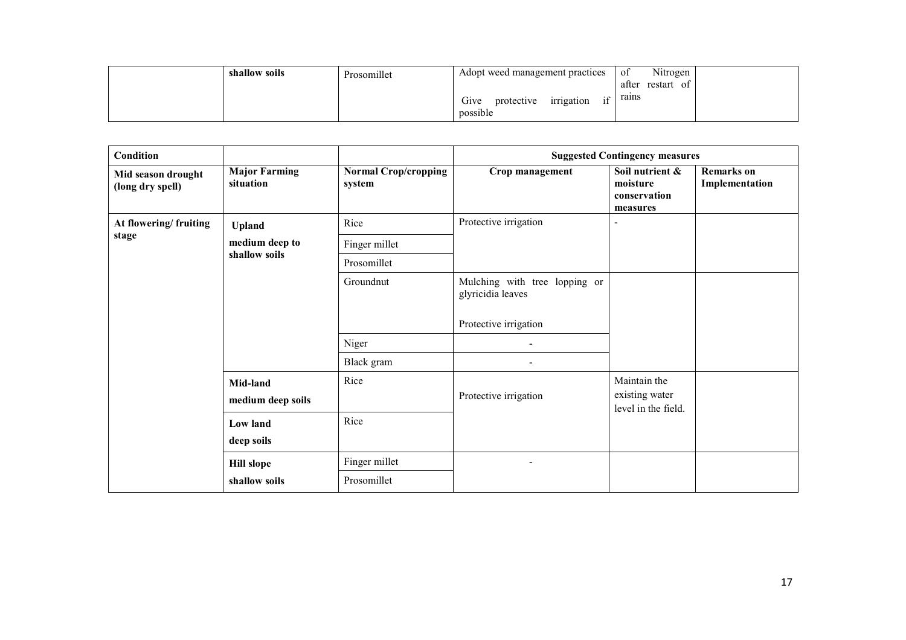| shallow soils | Prosomillet | Adopt weed management practices                                      | Nitrogen<br>- of<br>after<br>restart<br>of |
|---------------|-------------|----------------------------------------------------------------------|--------------------------------------------|
|               |             | $\cdot$ $\sim$<br>irrigation<br>Give<br>protective<br>1İ<br>possible | rains                                      |

| Condition                              |                                   |                                       |                                                    | <b>Suggested Contingency measures</b>                   |                                     |
|----------------------------------------|-----------------------------------|---------------------------------------|----------------------------------------------------|---------------------------------------------------------|-------------------------------------|
| Mid season drought<br>(long dry spell) | <b>Major Farming</b><br>situation | <b>Normal Crop/cropping</b><br>system | Crop management                                    | Soil nutrient &<br>moisture<br>conservation<br>measures | <b>Remarks</b> on<br>Implementation |
| At flowering/ fruiting                 | <b>Upland</b>                     | Rice                                  | Protective irrigation                              |                                                         |                                     |
| stage                                  | medium deep to                    | Finger millet                         |                                                    |                                                         |                                     |
|                                        | shallow soils                     | Prosomillet                           |                                                    |                                                         |                                     |
|                                        |                                   | Groundnut                             | Mulching with tree lopping or<br>glyricidia leaves |                                                         |                                     |
|                                        |                                   |                                       | Protective irrigation                              |                                                         |                                     |
|                                        |                                   | Niger                                 |                                                    |                                                         |                                     |
|                                        |                                   | Black gram                            |                                                    |                                                         |                                     |
|                                        | Mid-land<br>medium deep soils     | Rice                                  | Protective irrigation                              | Maintain the<br>existing water<br>level in the field.   |                                     |
|                                        | Low land                          | Rice                                  |                                                    |                                                         |                                     |
|                                        | deep soils                        |                                       |                                                    |                                                         |                                     |
|                                        | <b>Hill slope</b>                 | Finger millet                         |                                                    |                                                         |                                     |
|                                        | shallow soils                     | Prosomillet                           |                                                    |                                                         |                                     |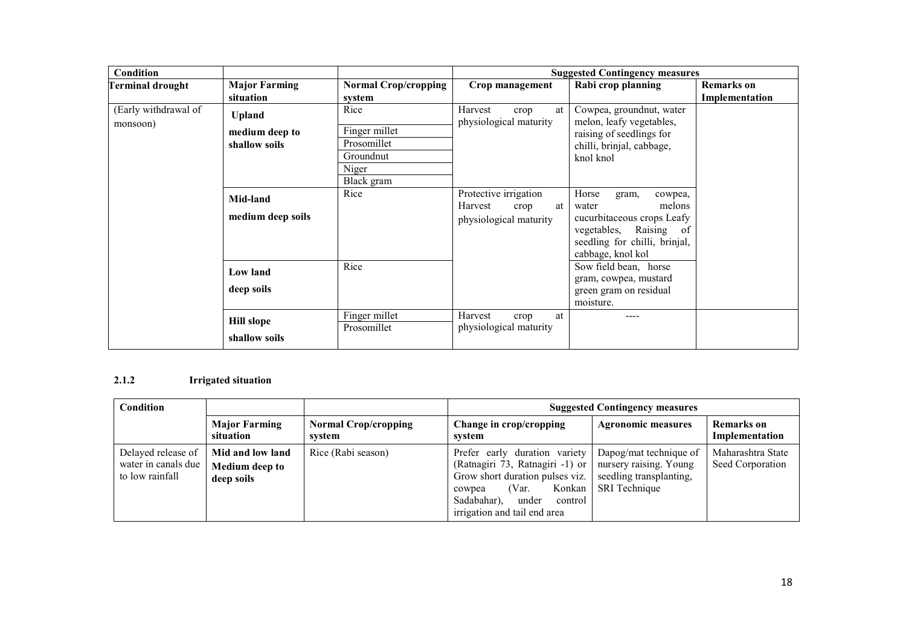| Condition                        |                               |                             | <b>Suggested Contingency measures</b>                                    |                                                                                                                                                            |                   |
|----------------------------------|-------------------------------|-----------------------------|--------------------------------------------------------------------------|------------------------------------------------------------------------------------------------------------------------------------------------------------|-------------------|
| <b>Terminal drought</b>          | <b>Major Farming</b>          | <b>Normal Crop/cropping</b> | Crop management                                                          | Rabi crop planning                                                                                                                                         | <b>Remarks</b> on |
|                                  | situation                     | system                      |                                                                          |                                                                                                                                                            | Implementation    |
| (Early withdrawal of<br>monsoon) | <b>Upland</b>                 | Rice                        | Harvest<br>at<br>crop<br>physiological maturity                          | Cowpea, ground nut, water<br>melon, leafy vegetables,                                                                                                      |                   |
|                                  | medium deep to                | Finger millet               |                                                                          | raising of seedlings for                                                                                                                                   |                   |
|                                  | shallow soils                 | Prosomillet                 |                                                                          | chilli, brinjal, cabbage,                                                                                                                                  |                   |
|                                  |                               | Groundnut                   |                                                                          | knol knol                                                                                                                                                  |                   |
|                                  |                               | Niger                       |                                                                          |                                                                                                                                                            |                   |
|                                  |                               | Black gram                  |                                                                          |                                                                                                                                                            |                   |
|                                  | Mid-land<br>medium deep soils | Rice                        | Protective irrigation<br>Harvest<br>crop<br>at<br>physiological maturity | Horse<br>gram,<br>cowpea,<br>melons<br>water<br>cucurbitaceous crops Leafy<br>vegetables, Raising of<br>seedling for chilli, brinjal,<br>cabbage, knol kol |                   |
|                                  | Low land                      | Rice                        |                                                                          | Sow field bean, horse<br>gram, cowpea, mustard                                                                                                             |                   |
|                                  | deep soils                    |                             |                                                                          | green gram on residual<br>moisture.                                                                                                                        |                   |
|                                  |                               | Finger millet               | Harvest<br>crop<br>at                                                    | ----                                                                                                                                                       |                   |
|                                  | <b>Hill slope</b>             | Prosomillet                 | physiological maturity                                                   |                                                                                                                                                            |                   |
|                                  | shallow soils                 |                             |                                                                          |                                                                                                                                                            |                   |

#### 2.1.2Irrigated situation

| <b>Condition</b>                                             |                                                         |                                       | <b>Suggested Contingency measures</b>                                                                                                                                                               |                                                                                              |                                       |  |
|--------------------------------------------------------------|---------------------------------------------------------|---------------------------------------|-----------------------------------------------------------------------------------------------------------------------------------------------------------------------------------------------------|----------------------------------------------------------------------------------------------|---------------------------------------|--|
|                                                              | <b>Major Farming</b><br>situation                       | <b>Normal Crop/cropping</b><br>system | Change in crop/cropping<br>system                                                                                                                                                                   | <b>Agronomic measures</b>                                                                    | <b>Remarks</b> on<br>Implementation   |  |
| Delayed release of<br>water in canals due<br>to low rainfall | Mid and low land<br><b>Medium deep to</b><br>deep soils | Rice (Rabi season)                    | Prefer early duration variety<br>(Ratnagiri 73, Ratnagiri -1) or<br>Grow short duration pulses viz.<br>Konkan<br>(Var.<br>cowpea<br>Sadabahar),<br>under<br>control<br>irrigation and tail end area | Dapog/mat technique of<br>nursery raising. Young<br>seedling transplanting,<br>SRI Technique | Maharashtra State<br>Seed Corporation |  |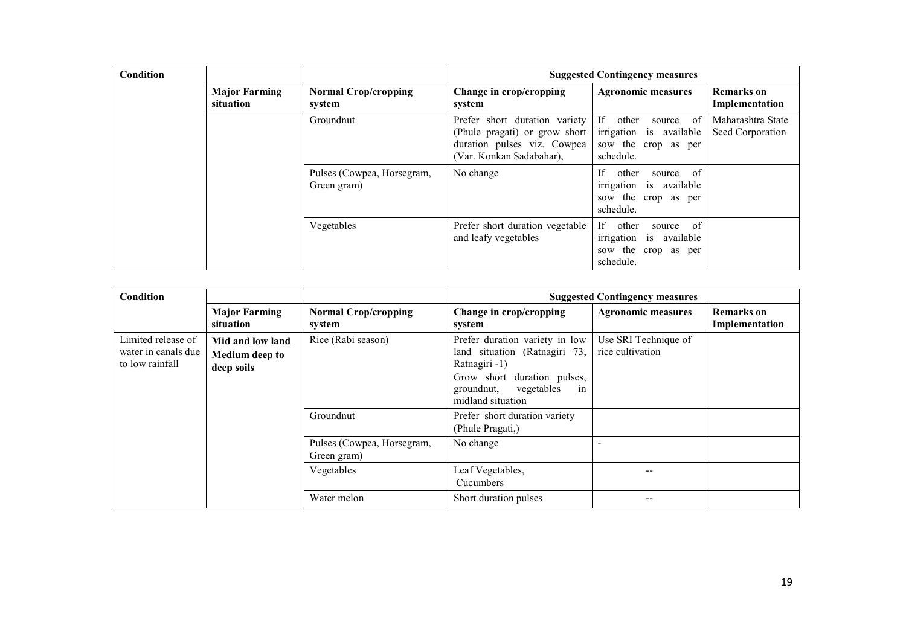| <b>Condition</b> |                                                                            |                                           | <b>Suggested Contingency measures</b>                                                                                     |                                                                                           |                                       |
|------------------|----------------------------------------------------------------------------|-------------------------------------------|---------------------------------------------------------------------------------------------------------------------------|-------------------------------------------------------------------------------------------|---------------------------------------|
|                  | <b>Major Farming</b><br><b>Normal Crop/cropping</b><br>situation<br>system |                                           | Change in crop/cropping<br>system                                                                                         | <b>Agronomic measures</b>                                                                 | <b>Remarks</b> on<br>Implementation   |
|                  |                                                                            | Groundnut                                 | Prefer short duration variety<br>(Phule pragati) or grow short<br>duration pulses viz. Cowpea<br>(Var. Konkan Sadabahar), | If other<br>source of<br>irrigation is available<br>sow the crop as per<br>schedule.      | Maharashtra State<br>Seed Corporation |
|                  |                                                                            | Pulses (Cowpea, Horsegram,<br>Green gram) | No change                                                                                                                 | If.<br>other<br>source of<br>irrigation is available<br>sow the crop as per<br>schedule.  |                                       |
|                  |                                                                            | Vegetables                                | Prefer short duration vegetable<br>and leafy vegetables                                                                   | If -<br>other<br>source of<br>irrigation is available<br>sow the crop as per<br>schedule. |                                       |

| Condition                                                    |                                                         |                                           | <b>Suggested Contingency measures</b>                                                                                                                                  |                                          |                                     |
|--------------------------------------------------------------|---------------------------------------------------------|-------------------------------------------|------------------------------------------------------------------------------------------------------------------------------------------------------------------------|------------------------------------------|-------------------------------------|
|                                                              | <b>Major Farming</b><br>situation                       | <b>Normal Crop/cropping</b><br>system     | Change in crop/cropping<br>system                                                                                                                                      | <b>Agronomic measures</b>                | <b>Remarks</b> on<br>Implementation |
| Limited release of<br>water in canals due<br>to low rainfall | Mid and low land<br><b>Medium deep to</b><br>deep soils | Rice (Rabi season)                        | Prefer duration variety in low<br>land situation (Ratnagiri 73,<br>Ratnagiri -1)<br>Grow short duration pulses,<br>vegetables<br>groundnut,<br>1n<br>midland situation | Use SRI Technique of<br>rice cultivation |                                     |
|                                                              |                                                         | Groundnut                                 | Prefer short duration variety<br>(Phule Pragati,)                                                                                                                      |                                          |                                     |
|                                                              |                                                         | Pulses (Cowpea, Horsegram,<br>Green gram) | No change                                                                                                                                                              |                                          |                                     |
|                                                              |                                                         | Vegetables                                | Leaf Vegetables,<br>Cucumbers                                                                                                                                          |                                          |                                     |
|                                                              |                                                         | Water melon                               | Short duration pulses                                                                                                                                                  | --                                       |                                     |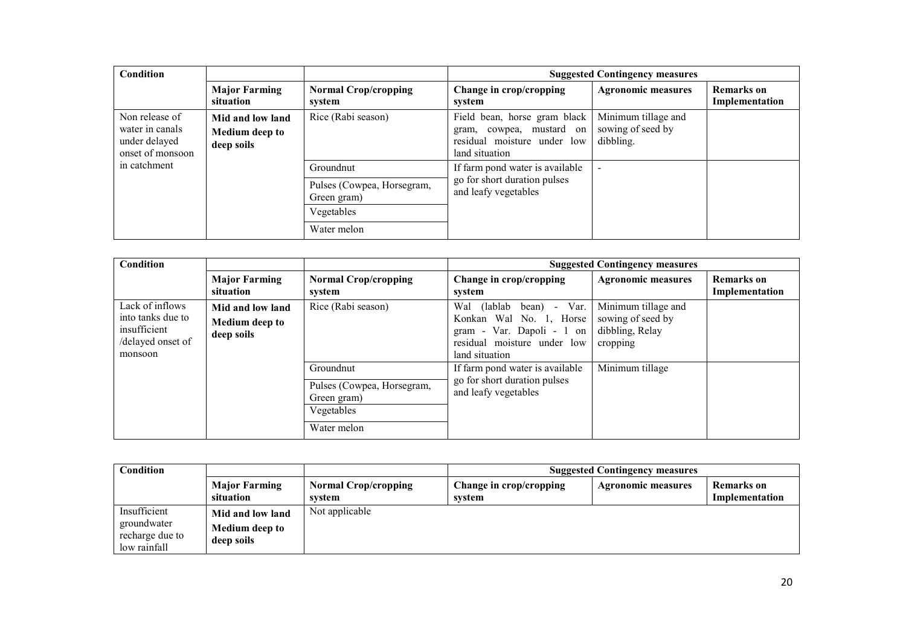| Condition                                                              |                                                         |                                           | <b>Suggested Contingency measures</b>                                                                     |                                                       |                                     |
|------------------------------------------------------------------------|---------------------------------------------------------|-------------------------------------------|-----------------------------------------------------------------------------------------------------------|-------------------------------------------------------|-------------------------------------|
|                                                                        | <b>Major Farming</b><br>situation                       | <b>Normal Crop/cropping</b><br>system     | Change in crop/cropping<br>system                                                                         | <b>Agronomic measures</b>                             | <b>Remarks</b> on<br>Implementation |
| Non release of<br>water in canals<br>under delayed<br>onset of monsoon | Mid and low land<br><b>Medium deep to</b><br>deep soils | Rice (Rabi season)                        | Field bean, horse gram black<br>gram, cowpea, mustard on<br>residual moisture under low<br>land situation | Minimum tillage and<br>sowing of seed by<br>dibbling. |                                     |
| in catchment                                                           |                                                         | Groundnut                                 | If farm pond water is available                                                                           |                                                       |                                     |
|                                                                        |                                                         | Pulses (Cowpea, Horsegram,<br>Green gram) | go for short duration pulses<br>and leafy vegetables                                                      |                                                       |                                     |
|                                                                        |                                                         | Vegetables                                |                                                                                                           |                                                       |                                     |
|                                                                        |                                                         | Water melon                               |                                                                                                           |                                                       |                                     |

| <b>Condition</b>                                                                     |                                                         |                                                                                     | <b>Suggested Contingency measures</b>                                                                                                                           |                                                                         |                                     |
|--------------------------------------------------------------------------------------|---------------------------------------------------------|-------------------------------------------------------------------------------------|-----------------------------------------------------------------------------------------------------------------------------------------------------------------|-------------------------------------------------------------------------|-------------------------------------|
|                                                                                      | <b>Major Farming</b><br>situation                       | <b>Normal Crop/cropping</b><br>system                                               | Change in crop/cropping<br>system                                                                                                                               | <b>Agronomic measures</b>                                               | <b>Remarks</b> on<br>Implementation |
| Lack of inflows<br>into tanks due to<br>insufficient<br>/delayed onset of<br>monsoon | Mid and low land<br><b>Medium deep to</b><br>deep soils | Rice (Rabi season)                                                                  | Var.<br>(lablab)<br>Wal<br>bean)<br>$\sim$ 10 $\pm$<br>Konkan Wal No. 1, Horse<br>Var. Dapoli - 1 on<br>gram -<br>residual moisture under low<br>land situation | Minimum tillage and<br>sowing of seed by<br>dibbling, Relay<br>cropping |                                     |
|                                                                                      |                                                         | Groundnut<br>Pulses (Cowpea, Horsegram,<br>Green gram)<br>Vegetables<br>Water melon | If farm pond water is available<br>go for short duration pulses<br>and leafy vegetables                                                                         | Minimum tillage                                                         |                                     |

| Condition                                                      |                                                         | <b>Suggested Contingency measures</b> |                                   |                           |                              |
|----------------------------------------------------------------|---------------------------------------------------------|---------------------------------------|-----------------------------------|---------------------------|------------------------------|
|                                                                | <b>Major Farming</b><br>situation                       | <b>Normal Crop/cropping</b><br>system | Change in crop/cropping<br>system | <b>Agronomic measures</b> | Remarks on<br>Implementation |
| Insufficient<br>groundwater<br>recharge due to<br>low rainfall | Mid and low land<br><b>Medium deep to</b><br>deep soils | Not applicable                        |                                   |                           |                              |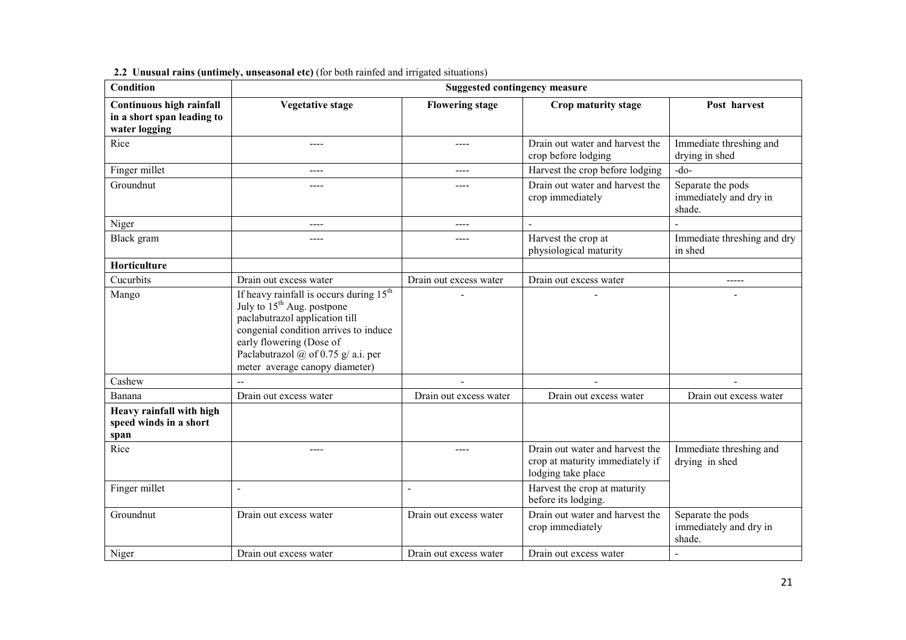| <b>Condition</b>                                                        | <b>Suggested contingency measure</b>                                                                                                                                                                                                                                                 |                        |                                                                                          |                                                       |  |
|-------------------------------------------------------------------------|--------------------------------------------------------------------------------------------------------------------------------------------------------------------------------------------------------------------------------------------------------------------------------------|------------------------|------------------------------------------------------------------------------------------|-------------------------------------------------------|--|
| Continuous high rainfall<br>in a short span leading to<br>water logging | <b>Vegetative stage</b>                                                                                                                                                                                                                                                              | <b>Flowering stage</b> | Crop maturity stage                                                                      | Post harvest                                          |  |
| Rice                                                                    | ----                                                                                                                                                                                                                                                                                 | ----                   | Drain out water and harvest the<br>crop before lodging                                   | Immediate threshing and<br>drying in shed             |  |
| Finger millet                                                           | $---$                                                                                                                                                                                                                                                                                | ----                   | Harvest the crop before lodging                                                          | $-do-$                                                |  |
| Groundnut                                                               |                                                                                                                                                                                                                                                                                      |                        | Drain out water and harvest the<br>crop immediately                                      | Separate the pods<br>immediately and dry in<br>shade. |  |
| Niger                                                                   | ----                                                                                                                                                                                                                                                                                 | ----                   | $\overline{a}$                                                                           |                                                       |  |
| Black gram                                                              | ----                                                                                                                                                                                                                                                                                 | ----                   | Harvest the crop at<br>physiological maturity                                            | Immediate threshing and dry<br>in shed                |  |
| Horticulture                                                            |                                                                                                                                                                                                                                                                                      |                        |                                                                                          |                                                       |  |
| Cucurbits                                                               | Drain out excess water                                                                                                                                                                                                                                                               | Drain out excess water | Drain out excess water                                                                   | -----                                                 |  |
| Mango                                                                   | If heavy rainfall is occurs during 15 <sup>th</sup><br>July to 15 <sup>th</sup> Aug. postpone<br>paclabutrazol application till<br>congenial condition arrives to induce<br>early flowering (Dose of<br>Paclabutrazol $\omega$ of 0.75 g/ a.i. per<br>meter average canopy diameter) |                        |                                                                                          |                                                       |  |
| Cashew                                                                  |                                                                                                                                                                                                                                                                                      |                        |                                                                                          |                                                       |  |
| Banana                                                                  | Drain out excess water                                                                                                                                                                                                                                                               | Drain out excess water | Drain out excess water                                                                   | Drain out excess water                                |  |
| Heavy rainfall with high<br>speed winds in a short<br>span              |                                                                                                                                                                                                                                                                                      |                        |                                                                                          |                                                       |  |
| Rice                                                                    | ----                                                                                                                                                                                                                                                                                 | ----                   | Drain out water and harvest the<br>crop at maturity immediately if<br>lodging take place | Immediate threshing and<br>drying in shed             |  |
| Finger millet                                                           | $\overline{a}$                                                                                                                                                                                                                                                                       | $\overline{a}$         | Harvest the crop at maturity<br>before its lodging.                                      |                                                       |  |
| Groundnut                                                               | Drain out excess water                                                                                                                                                                                                                                                               | Drain out excess water | Drain out water and harvest the<br>crop immediately                                      | Separate the pods<br>immediately and dry in<br>shade. |  |
| Niger                                                                   | Drain out excess water                                                                                                                                                                                                                                                               | Drain out excess water | Drain out excess water                                                                   | $\overline{a}$                                        |  |

2.2 Unusual rains (untimely, unseasonal etc) (for both rainfed and irrigated situations)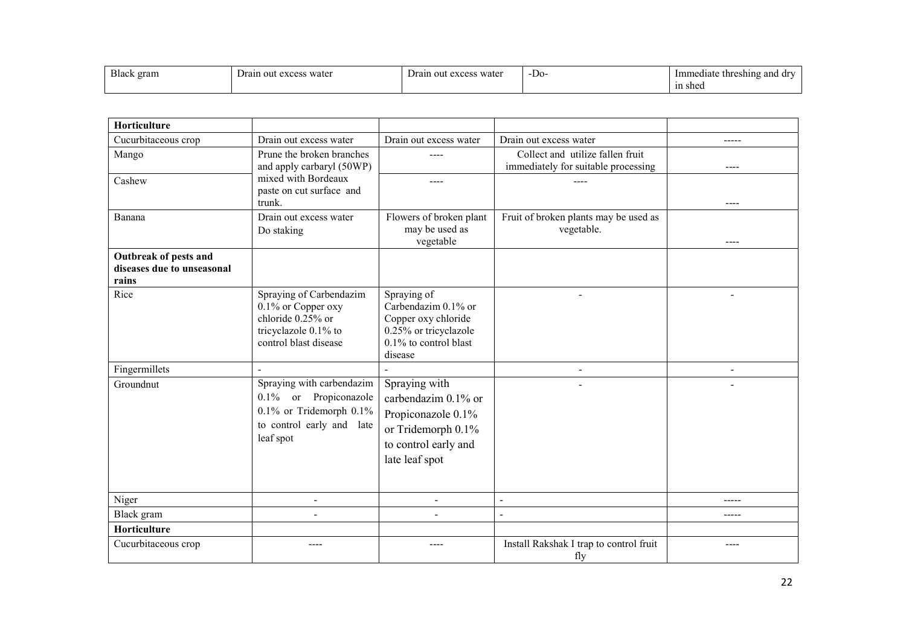| <b>Black</b><br>gram | $\overline{\phantom{a}}$<br>water<br>Drain<br>$\alpha v \alpha \alpha \sigma$<br>-ou<br>. CACCO. | s water<br>Drain<br>$\alpha$ v $\alpha$ $\alpha$ g<br>-011<br><b>CALCSS</b> | $\mathbf{r}$<br>-De | Immediate threshing<br>and dr<br>in shed |
|----------------------|--------------------------------------------------------------------------------------------------|-----------------------------------------------------------------------------|---------------------|------------------------------------------|
|----------------------|--------------------------------------------------------------------------------------------------|-----------------------------------------------------------------------------|---------------------|------------------------------------------|

| Horticulture                                                 |                                                                                                                               |                                                                                                                            |                                                                         |                          |
|--------------------------------------------------------------|-------------------------------------------------------------------------------------------------------------------------------|----------------------------------------------------------------------------------------------------------------------------|-------------------------------------------------------------------------|--------------------------|
| Cucurbitaceous crop                                          | Drain out excess water                                                                                                        | Drain out excess water                                                                                                     | Drain out excess water                                                  | -----                    |
| Mango                                                        | Prune the broken branches<br>and apply carbaryl (50WP)                                                                        | ----                                                                                                                       | Collect and utilize fallen fruit<br>immediately for suitable processing | ----                     |
| Cashew                                                       | mixed with Bordeaux<br>paste on cut surface and<br>trunk.                                                                     | ----                                                                                                                       |                                                                         | $---$                    |
| Banana                                                       | Drain out excess water<br>Do staking                                                                                          | Flowers of broken plant<br>may be used as<br>vegetable                                                                     | Fruit of broken plants may be used as<br>vegetable.                     |                          |
| Outbreak of pests and<br>diseases due to unseasonal<br>rains |                                                                                                                               |                                                                                                                            |                                                                         |                          |
| Rice                                                         | Spraying of Carbendazim<br>0.1% or Copper oxy<br>chloride 0.25% or<br>tricyclazole 0.1% to<br>control blast disease           | Spraying of<br>Carbendazim 0.1% or<br>Copper oxy chloride<br>0.25% or tricyclazole<br>$0.1\%$ to control blast<br>disease  |                                                                         |                          |
| Fingermillets                                                | $\overline{a}$                                                                                                                |                                                                                                                            | $\qquad \qquad \blacksquare$                                            | $\overline{\phantom{a}}$ |
| Groundnut                                                    | Spraying with carbendazim<br>0.1% or Propiconazole<br>$0.1\%$ or Tridemorph $0.1\%$<br>to control early and late<br>leaf spot | Spraying with<br>carbendazim 0.1% or<br>Propiconazole 0.1%<br>or Tridemorph 0.1%<br>to control early and<br>late leaf spot |                                                                         |                          |
| Niger                                                        | $\blacksquare$                                                                                                                | $\blacksquare$                                                                                                             | $\sim$                                                                  | -----                    |
| Black gram                                                   | $\blacksquare$                                                                                                                |                                                                                                                            | $\blacksquare$                                                          | -----                    |
| Horticulture                                                 |                                                                                                                               |                                                                                                                            |                                                                         |                          |
| Cucurbitaceous crop                                          | ----                                                                                                                          |                                                                                                                            | Install Rakshak I trap to control fruit<br>fly                          |                          |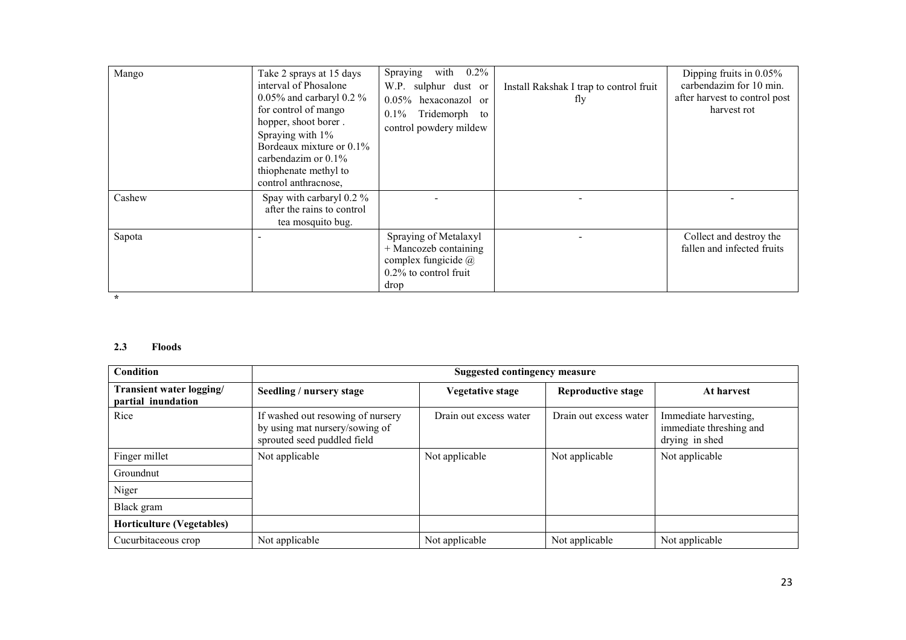| Mango  | Take 2 sprays at 15 days<br>interval of Phosalone<br>0.05% and carbaryl 0.2 %<br>for control of mango<br>hopper, shoot borer.<br>Spraying with 1%<br>Bordeaux mixture or 0.1%<br>carbendazim or $0.1\%$<br>thiophenate methyl to<br>control anthracnose, | $0.2\%$<br>with<br>Spraying<br>W.P. sulphur dust or<br>$0.05\%$ hexaconazol or<br>Tridemorph<br>$0.1\%$<br>to<br>control powdery mildew | Install Rakshak I trap to control fruit<br>fly | Dipping fruits in 0.05%<br>carbendazim for 10 min.<br>after harvest to control post<br>harvest rot |
|--------|----------------------------------------------------------------------------------------------------------------------------------------------------------------------------------------------------------------------------------------------------------|-----------------------------------------------------------------------------------------------------------------------------------------|------------------------------------------------|----------------------------------------------------------------------------------------------------|
| Cashew | Spay with carbaryl 0.2 %<br>after the rains to control<br>tea mosquito bug.                                                                                                                                                                              |                                                                                                                                         |                                                |                                                                                                    |
| Sapota |                                                                                                                                                                                                                                                          | Spraying of Metalaxyl<br>$+$ Mancozeb containing<br>complex fungicide $\omega$<br>$0.2\%$ to control fruit<br>drop                      |                                                | Collect and destroy the<br>fallen and infected fruits                                              |

# 2.3 Floods

| Condition                                      | <b>Suggested contingency measure</b>                                                               |                        |                        |                                                                    |  |
|------------------------------------------------|----------------------------------------------------------------------------------------------------|------------------------|------------------------|--------------------------------------------------------------------|--|
| Transient water logging/<br>partial inundation | Seedling / nursery stage                                                                           | Vegetative stage       | Reproductive stage     | At harvest                                                         |  |
| Rice                                           | If washed out resowing of nursery<br>by using mat nursery/sowing of<br>sprouted seed puddled field | Drain out excess water | Drain out excess water | Immediate harvesting,<br>immediate threshing and<br>drying in shed |  |
| Finger millet                                  | Not applicable                                                                                     | Not applicable         | Not applicable         | Not applicable                                                     |  |
| Groundnut                                      |                                                                                                    |                        |                        |                                                                    |  |
| Niger                                          |                                                                                                    |                        |                        |                                                                    |  |
| Black gram                                     |                                                                                                    |                        |                        |                                                                    |  |
| <b>Horticulture (Vegetables)</b>               |                                                                                                    |                        |                        |                                                                    |  |
| Cucurbitaceous crop                            | Not applicable                                                                                     | Not applicable         | Not applicable         | Not applicable                                                     |  |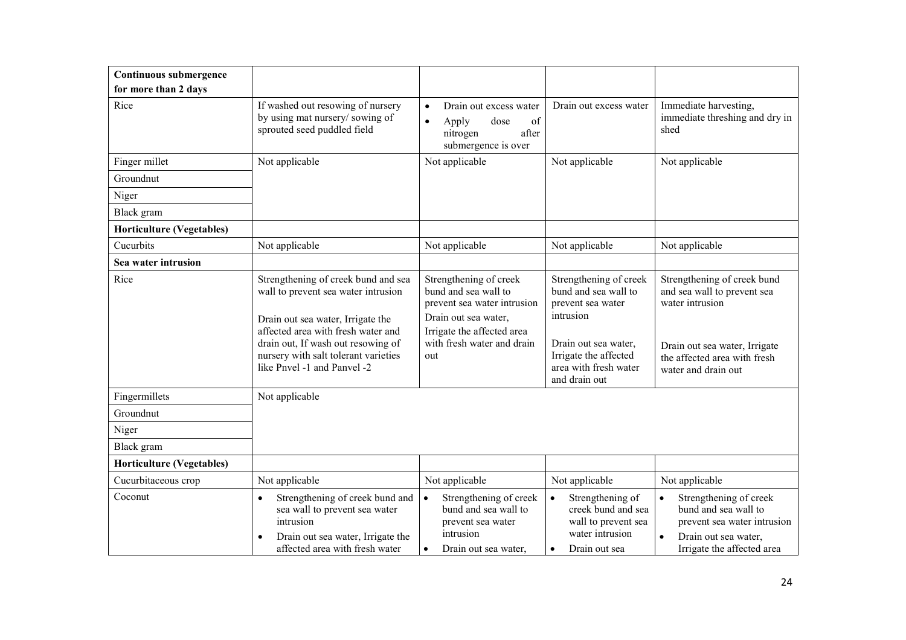| Continuous submergence           |                                                                                                                                                                                                                                                                    |                                                                                                                                                                          |                                                                                                                                                                             |                                                                                                                                                                       |
|----------------------------------|--------------------------------------------------------------------------------------------------------------------------------------------------------------------------------------------------------------------------------------------------------------------|--------------------------------------------------------------------------------------------------------------------------------------------------------------------------|-----------------------------------------------------------------------------------------------------------------------------------------------------------------------------|-----------------------------------------------------------------------------------------------------------------------------------------------------------------------|
| for more than 2 days             |                                                                                                                                                                                                                                                                    |                                                                                                                                                                          |                                                                                                                                                                             |                                                                                                                                                                       |
| Rice                             | If washed out resowing of nursery<br>by using mat nursery/sowing of<br>sprouted seed puddled field                                                                                                                                                                 | $\bullet$<br>Drain out excess water<br>of<br>dose<br>$\bullet$<br>Apply<br>nitrogen<br>after<br>submergence is over                                                      | Drain out excess water                                                                                                                                                      | Immediate harvesting,<br>immediate threshing and dry in<br>shed                                                                                                       |
| Finger millet                    | Not applicable                                                                                                                                                                                                                                                     | Not applicable                                                                                                                                                           | Not applicable                                                                                                                                                              | Not applicable                                                                                                                                                        |
| Groundnut                        |                                                                                                                                                                                                                                                                    |                                                                                                                                                                          |                                                                                                                                                                             |                                                                                                                                                                       |
| Niger                            |                                                                                                                                                                                                                                                                    |                                                                                                                                                                          |                                                                                                                                                                             |                                                                                                                                                                       |
| Black gram                       |                                                                                                                                                                                                                                                                    |                                                                                                                                                                          |                                                                                                                                                                             |                                                                                                                                                                       |
| <b>Horticulture (Vegetables)</b> |                                                                                                                                                                                                                                                                    |                                                                                                                                                                          |                                                                                                                                                                             |                                                                                                                                                                       |
| Cucurbits                        | Not applicable                                                                                                                                                                                                                                                     | Not applicable                                                                                                                                                           | Not applicable                                                                                                                                                              | Not applicable                                                                                                                                                        |
| Sea water intrusion              |                                                                                                                                                                                                                                                                    |                                                                                                                                                                          |                                                                                                                                                                             |                                                                                                                                                                       |
| Rice                             | Strengthening of creek bund and sea<br>wall to prevent sea water intrusion<br>Drain out sea water, Irrigate the<br>affected area with fresh water and<br>drain out, If wash out resowing of<br>nursery with salt tolerant varieties<br>like Pnvel -1 and Panvel -2 | Strengthening of creek<br>bund and sea wall to<br>prevent sea water intrusion<br>Drain out sea water,<br>Irrigate the affected area<br>with fresh water and drain<br>out | Strengthening of creek<br>bund and sea wall to<br>prevent sea water<br>intrusion<br>Drain out sea water,<br>Irrigate the affected<br>area with fresh water<br>and drain out | Strengthening of creek bund<br>and sea wall to prevent sea<br>water intrusion<br>Drain out sea water, Irrigate<br>the affected area with fresh<br>water and drain out |
| Fingermillets                    | Not applicable                                                                                                                                                                                                                                                     |                                                                                                                                                                          |                                                                                                                                                                             |                                                                                                                                                                       |
| Groundnut                        |                                                                                                                                                                                                                                                                    |                                                                                                                                                                          |                                                                                                                                                                             |                                                                                                                                                                       |
| Niger                            |                                                                                                                                                                                                                                                                    |                                                                                                                                                                          |                                                                                                                                                                             |                                                                                                                                                                       |
| Black gram                       |                                                                                                                                                                                                                                                                    |                                                                                                                                                                          |                                                                                                                                                                             |                                                                                                                                                                       |
| <b>Horticulture (Vegetables)</b> |                                                                                                                                                                                                                                                                    |                                                                                                                                                                          |                                                                                                                                                                             |                                                                                                                                                                       |
| Cucurbitaceous crop              | Not applicable                                                                                                                                                                                                                                                     | Not applicable                                                                                                                                                           | Not applicable                                                                                                                                                              | Not applicable                                                                                                                                                        |
| Coconut                          | Strengthening of creek bund and<br>$\bullet$<br>sea wall to prevent sea water<br>intrusion<br>Drain out sea water, Irrigate the<br>$\bullet$<br>affected area with fresh water                                                                                     | $\bullet$<br>Strengthening of creek<br>bund and sea wall to<br>prevent sea water<br>intrusion<br>Drain out sea water,                                                    | $\bullet$<br>Strengthening of<br>creek bund and sea<br>wall to prevent sea<br>water intrusion<br>Drain out sea<br>$\bullet$                                                 | Strengthening of creek<br>$\bullet$<br>bund and sea wall to<br>prevent sea water intrusion<br>Drain out sea water,<br>$\bullet$<br>Irrigate the affected area         |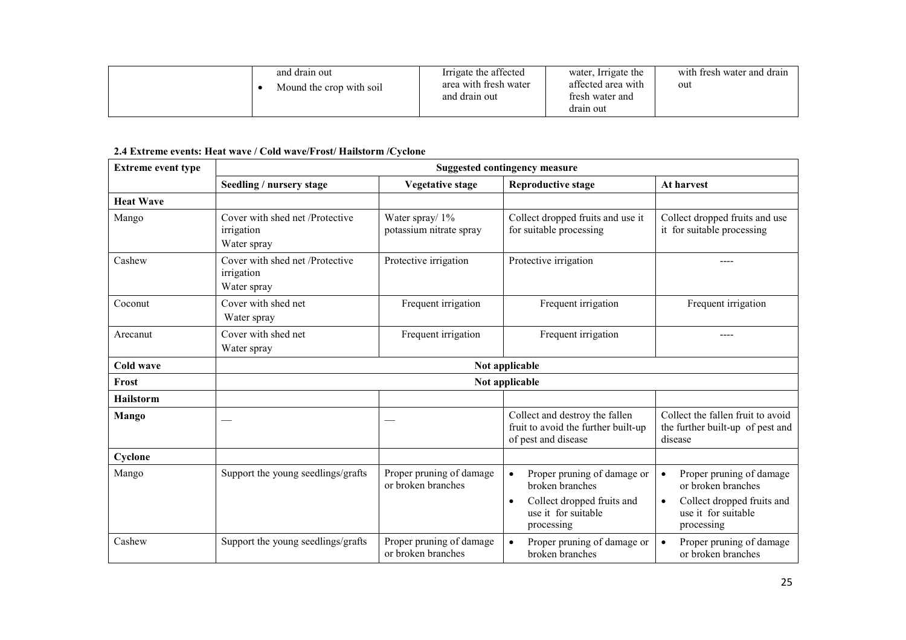| and drain out<br>Mound the crop with soil | Irrigate the affected<br>area with fresh water<br>and drain out | water, Irrigate the<br>affected area with<br>fresh water and<br>drain out | with fresh water and drain<br>out |
|-------------------------------------------|-----------------------------------------------------------------|---------------------------------------------------------------------------|-----------------------------------|
|-------------------------------------------|-----------------------------------------------------------------|---------------------------------------------------------------------------|-----------------------------------|

## 2.4 Extreme events: Heat wave / Cold wave/Frost/ Hailstorm /Cyclone

| <b>Extreme event type</b> | <b>Suggested contingency measure</b>                         |                                                |                                                                                                                                |                                                                                                                                             |  |  |
|---------------------------|--------------------------------------------------------------|------------------------------------------------|--------------------------------------------------------------------------------------------------------------------------------|---------------------------------------------------------------------------------------------------------------------------------------------|--|--|
|                           | Seedling / nursery stage                                     | <b>Vegetative stage</b>                        | <b>Reproductive stage</b>                                                                                                      | At harvest                                                                                                                                  |  |  |
| <b>Heat Wave</b>          |                                                              |                                                |                                                                                                                                |                                                                                                                                             |  |  |
| Mango                     | Cover with shed net /Protective<br>irrigation<br>Water spray | Water spray/ 1%<br>potassium nitrate spray     | Collect dropped fruits and use it<br>for suitable processing                                                                   | Collect dropped fruits and use<br>it for suitable processing                                                                                |  |  |
| Cashew                    | Cover with shed net /Protective<br>irrigation<br>Water spray | Protective irrigation                          | Protective irrigation                                                                                                          |                                                                                                                                             |  |  |
| Coconut                   | Cover with shed net<br>Water spray                           | Frequent irrigation                            | Frequent irrigation                                                                                                            | Frequent irrigation                                                                                                                         |  |  |
| Arecanut                  | Cover with shed net<br>Water spray                           | Frequent irrigation                            | Frequent irrigation                                                                                                            |                                                                                                                                             |  |  |
| <b>Cold wave</b>          |                                                              |                                                | Not applicable                                                                                                                 |                                                                                                                                             |  |  |
| Frost                     |                                                              |                                                | Not applicable                                                                                                                 |                                                                                                                                             |  |  |
| Hailstorm                 |                                                              |                                                |                                                                                                                                |                                                                                                                                             |  |  |
| Mango                     |                                                              |                                                | Collect and destroy the fallen<br>fruit to avoid the further built-up<br>of pest and disease                                   | Collect the fallen fruit to avoid<br>the further built-up of pest and<br>disease                                                            |  |  |
| Cyclone                   |                                                              |                                                |                                                                                                                                |                                                                                                                                             |  |  |
| Mango                     | Support the young seedlings/grafts                           | Proper pruning of damage<br>or broken branches | Proper pruning of damage or<br>broken branches<br>Collect dropped fruits and<br>$\bullet$<br>use it for suitable<br>processing | Proper pruning of damage<br>$\bullet$<br>or broken branches<br>Collect dropped fruits and<br>$\bullet$<br>use it for suitable<br>processing |  |  |
| Cashew                    | Support the young seedlings/grafts                           | Proper pruning of damage<br>or broken branches | Proper pruning of damage or<br>broken branches                                                                                 | Proper pruning of damage<br>$\bullet$<br>or broken branches                                                                                 |  |  |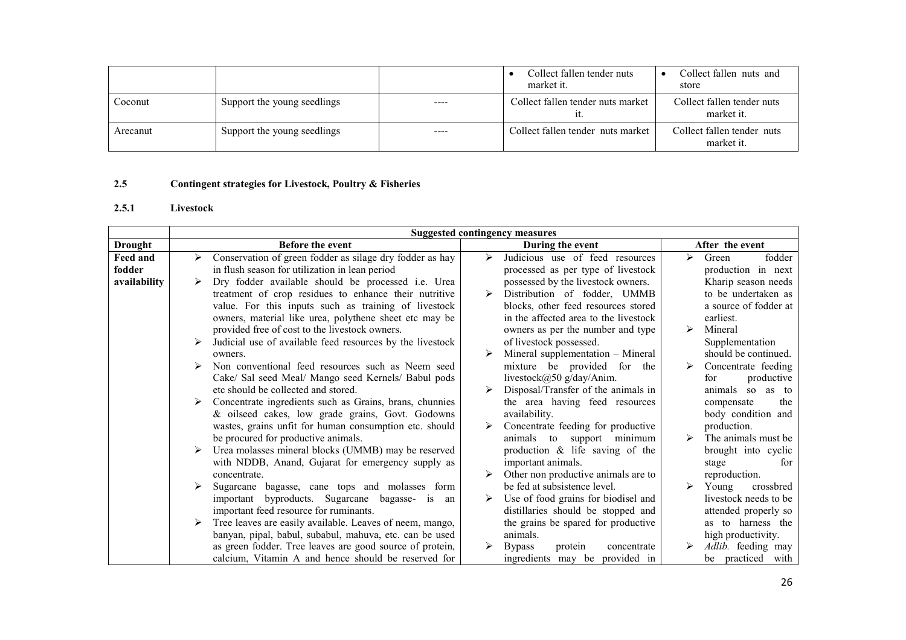|          |                             |           | Collect fallen tender nuts<br>market it. | Collect fallen nuts and<br>store         |
|----------|-----------------------------|-----------|------------------------------------------|------------------------------------------|
| Coconut  | Support the young seedlings | ----      | Collect fallen tender nuts market        | Collect fallen tender nuts<br>market it. |
| Arecanut | Support the young seedlings | $- - - -$ | Collect fallen tender nuts market        | Collect fallen tender nuts<br>market it. |

#### 2.5Contingent strategies for Livestock, Poultry & Fisheries

## 2.5.1 Livestock

|                 | <b>Suggested contingency measures</b>                         |                                         |                                             |  |  |
|-----------------|---------------------------------------------------------------|-----------------------------------------|---------------------------------------------|--|--|
| <b>Drought</b>  | <b>Before the event</b>                                       | During the event                        | After the event                             |  |  |
| <b>Feed and</b> | Conservation of green fodder as silage dry fodder as hay<br>➤ | Judicious use of feed resources<br>➤    | fodder<br>↘<br>Green                        |  |  |
| fodder          | in flush season for utilization in lean period                | processed as per type of livestock      | production in next                          |  |  |
| availability    | Dry fodder available should be processed i.e. Urea            | possessed by the livestock owners.      | Kharip season needs                         |  |  |
|                 | treatment of crop residues to enhance their nutritive         | Distribution of fodder, UMMB<br>➤       | to be undertaken as                         |  |  |
|                 | value. For this inputs such as training of livestock          | blocks, other feed resources stored     | a source of fodder at                       |  |  |
|                 | owners, material like urea, polythene sheet etc may be        | in the affected area to the livestock   | earliest.                                   |  |  |
|                 | provided free of cost to the livestock owners.                | owners as per the number and type       | $\blacktriangleright$<br>Mineral            |  |  |
|                 | Judicial use of available feed resources by the livestock     | of livestock possessed.                 | Supplementation                             |  |  |
|                 | owners.                                                       | Mineral supplementation - Mineral       | should be continued.                        |  |  |
|                 | Non conventional feed resources such as Neem seed             | mixture be provided for the             | Concentrate feeding<br>$\triangleright$     |  |  |
|                 | Cake/ Sal seed Meal/ Mango seed Kernels/ Babul pods           | livestock@50 g/day/Anim.                | productive<br>for                           |  |  |
|                 | etc should be collected and stored.                           | Disposal/Transfer of the animals in     | animals so<br>as to                         |  |  |
|                 | Concentrate ingredients such as Grains, brans, chunnies       | the area having feed resources          | the<br>compensate                           |  |  |
|                 | & oilseed cakes, low grade grains, Govt. Godowns              | availability.                           | body condition and                          |  |  |
|                 | wastes, grains unfit for human consumption etc. should        | Concentrate feeding for productive      | production.                                 |  |  |
|                 | be procured for productive animals.                           | animals to support minimum              | The animals must be<br>$\triangleright$     |  |  |
|                 | Urea molasses mineral blocks (UMMB) may be reserved           | production $\&$ life saving of the      | brought into cyclic                         |  |  |
|                 | with NDDB, Anand, Gujarat for emergency supply as             | important animals.                      | stage<br>for                                |  |  |
|                 | concentrate.                                                  | Other non productive animals are to     | reproduction.                               |  |  |
|                 | Sugarcane bagasse, cane tops and molasses form                | be fed at subsistence level.            | $\blacktriangleright$<br>Young<br>crossbred |  |  |
|                 | important byproducts. Sugarcane bagasse- is an                | Use of food grains for biodisel and     | livestock needs to be.                      |  |  |
|                 | important feed resource for ruminants.                        | distillaries should be stopped and      | attended properly so                        |  |  |
|                 | Tree leaves are easily available. Leaves of neem, mango,      | the grains be spared for productive     | as to harness the                           |  |  |
|                 | banyan, pipal, babul, subabul, mahuva, etc. can be used       | animals.                                | high productivity.                          |  |  |
|                 | as green fodder. Tree leaves are good source of protein,      | <b>Bypass</b><br>protein<br>concentrate | Adlib. feeding may                          |  |  |
|                 | calcium, Vitamin A and hence should be reserved for           | provided in<br>ingredients may be       | be practiced with                           |  |  |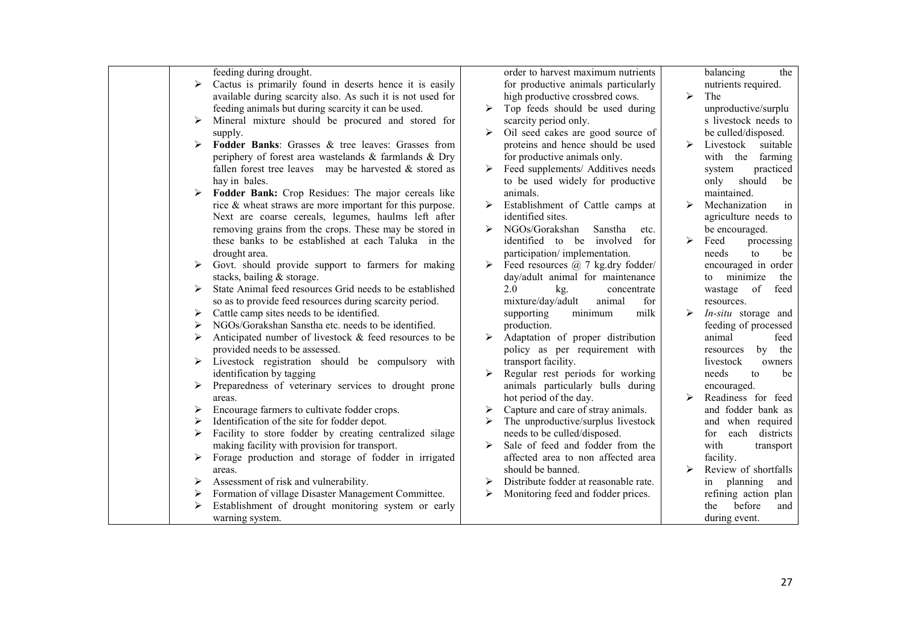| feeding during drought.                                           |                                                             |   | order to harvest maximum nutrients    |   | the<br>balancing         |
|-------------------------------------------------------------------|-------------------------------------------------------------|---|---------------------------------------|---|--------------------------|
| ➤                                                                 | Cactus is primarily found in deserts hence it is easily     |   | for productive animals particularly   |   | nutrients required.      |
|                                                                   | available during scarcity also. As such it is not used for  |   | high productive crossbred cows.       | ⋗ | The                      |
| feeding animals but during scarcity it can be used.               |                                                             | ⋗ | Top feeds should be used during       |   | unproductive/surplu      |
| ➤                                                                 | Mineral mixture should be procured and stored for           |   | scarcity period only.                 |   | s livestock needs to     |
| supply.                                                           |                                                             | ➤ | Oil seed cakes are good source of     |   | be culled/disposed.      |
| ➤                                                                 | <b>Fodder Banks:</b> Grasses & tree leaves: Grasses from    |   | proteins and hence should be used     | ➤ | Livestock<br>suitable    |
|                                                                   | periphery of forest area wastelands & farmlands & Dry       |   | for productive animals only.          |   | with the<br>farming      |
|                                                                   | fallen forest tree leaves may be harvested $\&$ stored as   | ➤ | Feed supplements/ Additives needs     |   | practiced<br>system      |
| hay in bales.                                                     |                                                             |   | to be used widely for productive      |   | should<br>only<br>be     |
|                                                                   | Fodder Bank: Crop Residues: The major cereals like          |   | animals.                              |   | maintained.              |
|                                                                   | rice $\&$ wheat straws are more important for this purpose. | ➤ | Establishment of Cattle camps at      |   | Mechanization<br>in      |
|                                                                   | Next are coarse cereals, legumes, haulms left after         |   | identified sites.                     |   | agriculture needs to     |
|                                                                   | removing grains from the crops. These may be stored in      | ➤ | NGOs/Gorakshan<br>Sanstha<br>etc.     |   | be encouraged.           |
|                                                                   | these banks to be established at each Taluka in the         |   | identified to be involved<br>for      | ➤ | Feed<br>processing       |
| drought area.                                                     |                                                             |   | participation/implementation.         |   | needs<br>to<br>be        |
| ➤                                                                 | Govt. should provide support to farmers for making          | ➤ | Feed resources $(a)$ 7 kg.dry fodder/ |   | encouraged in order      |
| stacks, bailing & storage.                                        |                                                             |   | day/adult animal for maintenance      |   | minimize<br>the<br>to    |
| ➤                                                                 | State Animal feed resources Grid needs to be established    |   | 2.0<br>kg.<br>concentrate             |   | of<br>feed<br>wastage    |
| so as to provide feed resources during scarcity period.           |                                                             |   | mixture/day/adult<br>animal<br>for    |   | resources.               |
| Cattle camp sites needs to be identified.<br>➤                    |                                                             |   | supporting<br>minimum<br>milk         |   | In-situ storage and      |
| NGOs/Gorakshan Sanstha etc. needs to be identified.<br>➤          |                                                             |   | production.                           |   | feeding of processed     |
| ➤                                                                 | Anticipated number of livestock & feed resources to be      |   | Adaptation of proper distribution     |   | animal<br>feed           |
| provided needs to be assessed.                                    |                                                             |   | policy as per requirement with        |   | by the<br>resources      |
| $\triangleright$ Livestock registration should be compulsory with |                                                             |   | transport facility.                   |   | livestock<br>owners      |
| identification by tagging                                         |                                                             |   | Regular rest periods for working      |   | needs<br>to<br>be        |
| ➤                                                                 | Preparedness of veterinary services to drought prone        |   | animals particularly bulls during     |   | encouraged.              |
| areas.                                                            |                                                             |   | hot period of the day.                | ⋗ | Readiness for feed       |
| Encourage farmers to cultivate fodder crops.<br>➤                 |                                                             | ➤ | Capture and care of stray animals.    |   | and fodder bank as       |
| Identification of the site for fodder depot.<br>⋗                 |                                                             |   | The unproductive/surplus livestock    |   | and when required        |
| ➤                                                                 | Facility to store fodder by creating centralized silage     |   | needs to be culled/disposed.          |   | each<br>districts<br>for |
| making facility with provision for transport.                     |                                                             | ⋗ | Sale of feed and fodder from the      |   | with<br>transport        |
|                                                                   | Forage production and storage of fodder in irrigated        |   | affected area to non affected area    |   | facility.                |
| areas.                                                            |                                                             |   | should be banned.                     |   | Review of shortfalls     |
| Assessment of risk and vulnerability.<br>⋗                        |                                                             | ⋗ | Distribute fodder at reasonable rate. |   | planning<br>and<br>in    |
| Formation of village Disaster Management Committee.<br>➤          |                                                             | ➤ | Monitoring feed and fodder prices.    |   | refining action plan     |
| ➤                                                                 | Establishment of drought monitoring system or early         |   |                                       |   | the<br>before<br>and     |
| warning system.                                                   |                                                             |   |                                       |   | during event.            |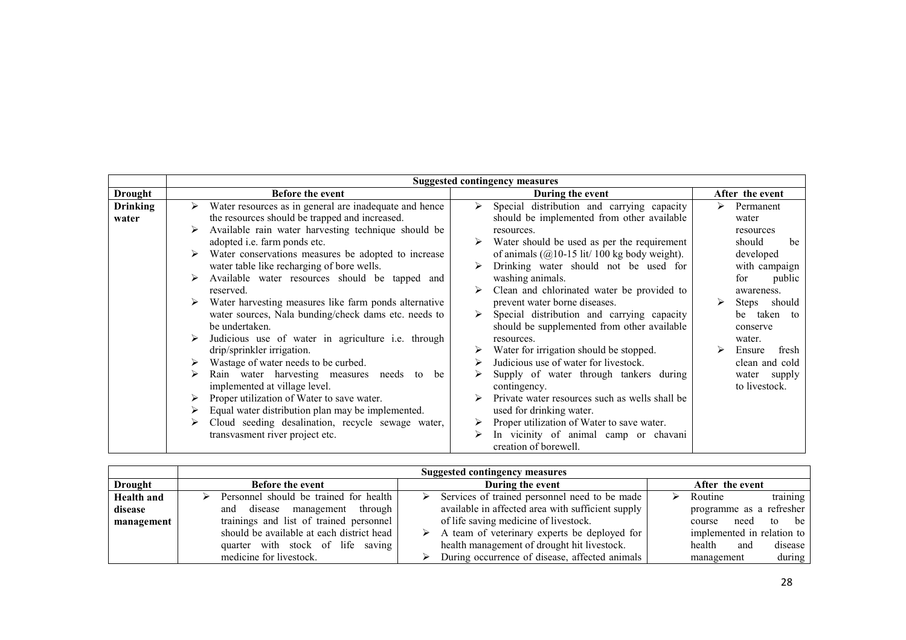|                          | <b>Suggested contingency measures</b>                                                                                                                                                                                                                                                                                                                                                                                                                                                                                                                                                                                                                                                                                                                                                                                                                                                                                                                   |                                                                                                                                                                                                                                                                                                                                                                                                                                                                                                                                                                                                                                                                                                                                                                                             |                                                                                                                                                                                                                                                       |  |  |
|--------------------------|---------------------------------------------------------------------------------------------------------------------------------------------------------------------------------------------------------------------------------------------------------------------------------------------------------------------------------------------------------------------------------------------------------------------------------------------------------------------------------------------------------------------------------------------------------------------------------------------------------------------------------------------------------------------------------------------------------------------------------------------------------------------------------------------------------------------------------------------------------------------------------------------------------------------------------------------------------|---------------------------------------------------------------------------------------------------------------------------------------------------------------------------------------------------------------------------------------------------------------------------------------------------------------------------------------------------------------------------------------------------------------------------------------------------------------------------------------------------------------------------------------------------------------------------------------------------------------------------------------------------------------------------------------------------------------------------------------------------------------------------------------------|-------------------------------------------------------------------------------------------------------------------------------------------------------------------------------------------------------------------------------------------------------|--|--|
| <b>Drought</b>           | Before the event                                                                                                                                                                                                                                                                                                                                                                                                                                                                                                                                                                                                                                                                                                                                                                                                                                                                                                                                        | During the event                                                                                                                                                                                                                                                                                                                                                                                                                                                                                                                                                                                                                                                                                                                                                                            | After the event                                                                                                                                                                                                                                       |  |  |
| <b>Drinking</b><br>water | Water resources as in general are inadequate and hence<br>➤<br>the resources should be trapped and increased.<br>Available rain water harvesting technique should be<br>⋗<br>adopted <i>i.e.</i> farm ponds etc.<br>Water conservations measures be adopted to increase<br>water table like recharging of bore wells.<br>Available water resources should be tapped and<br>reserved.<br>Water harvesting measures like farm ponds alternative<br>➤<br>water sources, Nala bunding/check dams etc. needs to<br>be undertaken.<br>Judicious use of water in agriculture i.e. through<br>drip/sprinkler irrigation.<br>Wastage of water needs to be curbed.<br>➤<br>Rain water harvesting measures<br>needs to<br>⋗<br>be<br>implemented at village level.<br>Proper utilization of Water to save water.<br>Equal water distribution plan may be implemented.<br>Cloud seeding desalination, recycle sewage water,<br>➤<br>transvasment river project etc. | Special distribution and carrying capacity<br>≻<br>should be implemented from other available<br>resources.<br>Water should be used as per the requirement<br>of animals $(Q10-15$ lit/ 100 kg body weight).<br>Drinking water should not be used for<br>washing animals.<br>Clean and chlorinated water be provided to<br>prevent water borne diseases.<br>Special distribution and carrying capacity<br>should be supplemented from other available<br>resources.<br>Water for irrigation should be stopped.<br>Judicious use of water for livestock.<br>Supply of water through tankers during<br>contingency.<br>Private water resources such as wells shall be<br>used for drinking water.<br>Proper utilization of Water to save water.<br>In vicinity of animal camp or chavani<br>⋗ | Permanent<br>⋗<br>water<br>resources<br>should<br>be<br>developed<br>with campaign<br>public<br>for<br>awareness.<br>Steps<br>should<br>taken to<br>be<br>conserve<br>water.<br>Ensure<br>fresh<br>clean and cold<br>water<br>supply<br>to livestock. |  |  |

| <b>Suggested contingency measures</b>     |                                       |                                                                                                                                                                                                                                                                      |  |  |
|-------------------------------------------|---------------------------------------|----------------------------------------------------------------------------------------------------------------------------------------------------------------------------------------------------------------------------------------------------------------------|--|--|
| <b>Before the event</b>                   | During the event                      | After the event                                                                                                                                                                                                                                                      |  |  |
| Personnel should be trained for health    |                                       | training<br>Routine                                                                                                                                                                                                                                                  |  |  |
| through<br>management<br>disease<br>and   |                                       | programme as a refresher                                                                                                                                                                                                                                             |  |  |
| trainings and list of trained personnel   | of life saving medicine of livestock. | to be<br>need<br>course                                                                                                                                                                                                                                              |  |  |
| should be available at each district head |                                       | implemented in relation to                                                                                                                                                                                                                                           |  |  |
| quarter with stock of life saving         |                                       | health<br>disease<br>and                                                                                                                                                                                                                                             |  |  |
| medicine for livestock.                   |                                       | during<br>management                                                                                                                                                                                                                                                 |  |  |
|                                           |                                       | Services of trained personnel need to be made<br>available in affected area with sufficient supply<br>$\triangleright$ A team of veterinary experts be deployed for<br>health management of drought hit livestock.<br>During occurrence of disease, affected animals |  |  |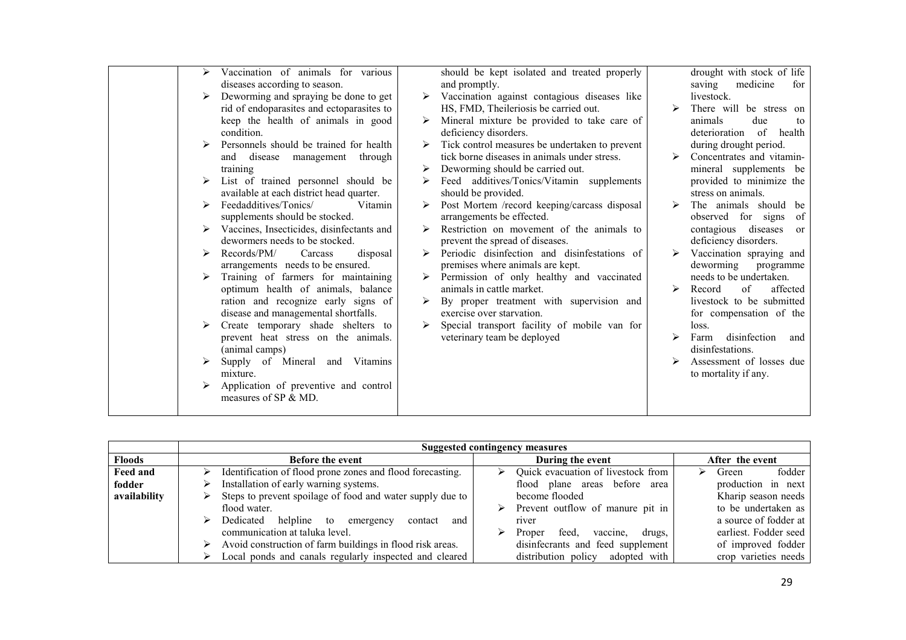| ⋗ | Vaccination of animals for various        | should be kept isolated and treated properly   |   | drought with stock of life           |
|---|-------------------------------------------|------------------------------------------------|---|--------------------------------------|
|   | diseases according to season.             | and promptly.                                  |   | medicine<br>saving<br>for            |
|   | Deworming and spraying be done to get     | Vaccination against contagious diseases like   |   | livestock.                           |
|   | rid of endoparasites and ectoparasites to | HS, FMD, Theileriosis be carried out.          |   | There will be stress on              |
|   | keep the health of animals in good        | Mineral mixture be provided to take care of    |   | animals<br>due<br>to                 |
|   | condition.                                | deficiency disorders.                          |   | of<br>health<br>deterioration        |
|   | Personnels should be trained for health   | Tick control measures be undertaken to prevent |   | during drought period.               |
|   | through<br>disease management<br>and      | tick borne diseases in animals under stress.   |   | Concentrates and vitamin-            |
|   | training                                  | Deworming should be carried out.               |   | mineral supplements be               |
|   | List of trained personnel should be       | Feed additives/Tonics/Vitamin supplements      |   | provided to minimize the             |
|   | available at each district head quarter.  | should be provided.                            |   | stress on animals.                   |
|   | Feedadditives/Tonics/<br>Vitamin          | Post Mortem /record keeping/carcass disposal   | ➤ | The animals should<br>be             |
|   | supplements should be stocked.            | arrangements be effected.                      |   | observed for signs<br>of             |
| ➤ | Vaccines, Insecticides, disinfectants and | Restriction on movement of the animals to      |   | contagious diseases<br><sub>or</sub> |
|   | dewormers needs to be stocked.            | prevent the spread of diseases.                |   | deficiency disorders.                |
|   | Records/PM/<br>disposal<br>Carcass        | Periodic disinfection and disinfestations of   | ➤ | Vaccination spraying and             |
|   | arrangements needs to be ensured.         | premises where animals are kept.               |   | deworming<br>programme               |
|   | Training of farmers for maintaining       | Permission of only healthy and vaccinated      |   | needs to be undertaken.              |
|   | optimum health of animals, balance        | animals in cattle market.                      | ⋗ | of<br>affected<br>Record             |
|   | ration and recognize early signs of       | By proper treatment with supervision and       |   | livestock to be submitted            |
|   | disease and managemental shortfalls.      | exercise over starvation.                      |   | for compensation of the              |
|   | Create temporary shade shelters to        | Special transport facility of mobile van for   |   | loss.                                |
|   | prevent heat stress on the animals.       | veterinary team be deployed                    |   | disinfection<br>Farm<br>and          |
|   | (animal camps)                            |                                                |   | disinfestations.                     |
|   |                                           |                                                |   | Assessment of losses due             |
|   | Supply of Mineral and Vitamins            |                                                |   |                                      |
|   | mixture.                                  |                                                |   | to mortality if any.                 |
|   | Application of preventive and control     |                                                |   |                                      |
|   | measures of SP & MD.                      |                                                |   |                                      |
|   |                                           |                                                |   |                                      |

|               | <b>Suggested contingency measures</b>                          |                                                   |                       |  |  |  |
|---------------|----------------------------------------------------------------|---------------------------------------------------|-----------------------|--|--|--|
| <b>Floods</b> | <b>Before the event</b>                                        | During the event                                  | After the event       |  |  |  |
| Feed and      | Identification of flood prone zones and flood forecasting.     | Quick evacuation of livestock from<br>➤           | fodder<br>Green       |  |  |  |
| fodder        | Installation of early warning systems.                         | flood plane areas before area                     | production in next    |  |  |  |
| availability  | Steps to prevent spoilage of food and water supply due to      | become flooded                                    | Kharip season needs   |  |  |  |
|               | flood water.                                                   | $\triangleright$ Prevent outflow of manure pit in | to be undertaken as   |  |  |  |
|               | helpline to<br>Dedicated<br>and<br>⋗<br>contact<br>emergency   | river                                             | a source of fodder at |  |  |  |
|               | communication at taluka level.                                 | drugs.<br>Proper<br>feed.<br>vaccine,             | earliest. Fodder seed |  |  |  |
|               | Avoid construction of farm buildings in flood risk areas.<br>➤ | disinfecrants and feed supplement                 | of improved fodder    |  |  |  |
|               | Local ponds and canals regularly inspected and cleared         | adopted with<br>distribution policy               | crop varieties needs  |  |  |  |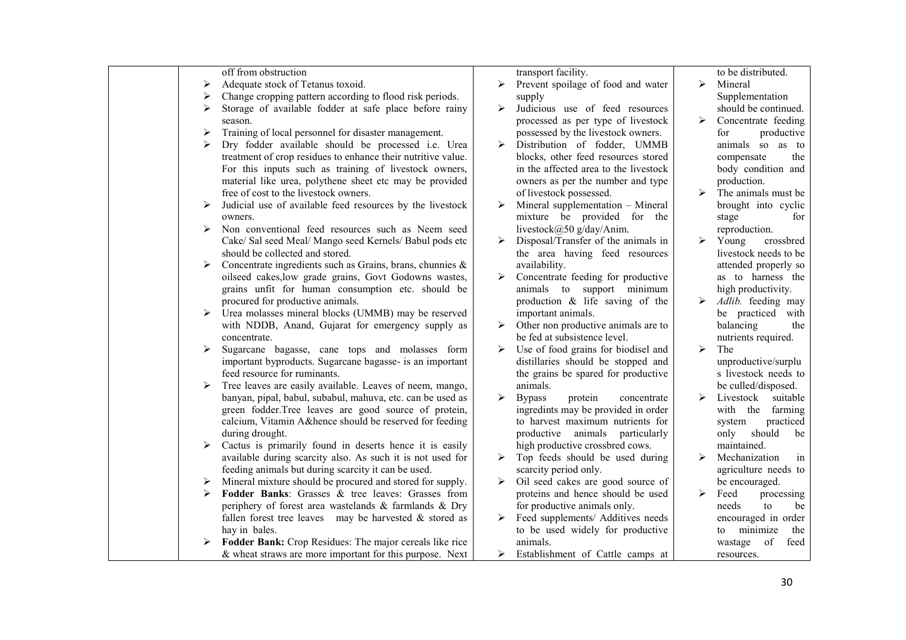| off from obstruction                                                                                              | transport facility.                                                   | to be distributed.                              |
|-------------------------------------------------------------------------------------------------------------------|-----------------------------------------------------------------------|-------------------------------------------------|
| Adequate stock of Tetanus toxoid.<br>➤                                                                            | Prevent spoilage of food and water<br>➤                               | $\blacktriangleright$<br>Mineral                |
| Change cropping pattern according to flood risk periods.<br>⋗                                                     | supply                                                                | Supplementation                                 |
| Storage of available fodder at safe place before rainy                                                            | Judicious use of feed resources<br>⋗                                  | should be continued.                            |
| season.                                                                                                           | processed as per type of livestock                                    | $\blacktriangleright$<br>Concentrate feeding    |
| Training of local personnel for disaster management.<br>➤                                                         | possessed by the livestock owners.                                    | for<br>productive                               |
| Dry fodder available should be processed i.e. Urea<br>⋗                                                           | Distribution of fodder, UMMB<br>↘                                     | animals so as to                                |
| treatment of crop residues to enhance their nutritive value.                                                      | blocks, other feed resources stored                                   | compensate<br>the                               |
| For this inputs such as training of livestock owners,                                                             | in the affected area to the livestock                                 | body condition and                              |
| material like urea, polythene sheet etc may be provided                                                           | owners as per the number and type                                     | production.                                     |
| free of cost to the livestock owners.                                                                             | of livestock possessed.                                               | ↘<br>The animals must be                        |
| Judicial use of available feed resources by the livestock<br>➤                                                    | Mineral supplementation - Mineral<br>≻                                | brought into cyclic                             |
| owners.                                                                                                           | mixture be provided for the                                           | stage<br>for                                    |
| Non conventional feed resources such as Neem seed<br>➤                                                            | livestock@50 g/day/Anim.                                              | reproduction.<br>$\blacktriangleright$<br>Young |
| Cake/ Sal seed Meal/ Mango seed Kernels/ Babul pods etc<br>should be collected and stored.                        | Disposal/Transfer of the animals in<br>the area having feed resources | crossbred<br>livestock needs to be              |
| Concentrate ingredients such as Grains, brans, chunnies &<br>➤                                                    | availability.                                                         | attended properly so                            |
| oilseed cakes, low grade grains, Govt Godowns wastes,                                                             | Concentrate feeding for productive                                    | as to harness the                               |
| grains unfit for human consumption etc. should be                                                                 | animals to support minimum                                            | high productivity.                              |
| procured for productive animals.                                                                                  | production $\&$ life saving of the                                    | ➤<br>Adlib. feeding may                         |
| Urea molasses mineral blocks (UMMB) may be reserved<br>➤                                                          | important animals.                                                    | be practiced with                               |
| with NDDB, Anand, Gujarat for emergency supply as                                                                 | Other non productive animals are to                                   | balancing<br>the                                |
| concentrate.                                                                                                      | be fed at subsistence level.                                          | nutrients required.                             |
| Sugarcane bagasse, cane tops and molasses form<br>⋗                                                               | Use of food grains for biodisel and<br>⋗                              | $\blacktriangleright$<br>The                    |
| important byproducts. Sugarcane bagasse- is an important                                                          | distillaries should be stopped and                                    | unproductive/surplu                             |
| feed resource for ruminants.                                                                                      | the grains be spared for productive                                   | s livestock needs to                            |
| Tree leaves are easily available. Leaves of neem, mango,<br>➤                                                     | animals.                                                              | be culled/disposed.                             |
| banyan, pipal, babul, subabul, mahuva, etc. can be used as                                                        | ⋗<br><b>Bypass</b><br>protein<br>concentrate                          | ↘<br>Livestock suitable                         |
| green fodder.Tree leaves are good source of protein,                                                              | ingredints may be provided in order                                   | with the farming                                |
| calcium, Vitamin A&hence should be reserved for feeding                                                           | to harvest maximum nutrients for                                      | practiced<br>system                             |
| during drought.                                                                                                   | productive animals particularly                                       | should<br>only<br>be                            |
| Cactus is primarily found in deserts hence it is easily                                                           | high productive crossbred cows.                                       | maintained.<br>↘                                |
| available during scarcity also. As such it is not used for<br>feeding animals but during scarcity it can be used. | Top feeds should be used during<br>⋗<br>scarcity period only.         | Mechanization<br>1n<br>agriculture needs to     |
| Mineral mixture should be procured and stored for supply.<br>➤                                                    | Oil seed cakes are good source of                                     | be encouraged.                                  |
| Fodder Banks: Grasses & tree leaves: Grasses from<br>➤                                                            | proteins and hence should be used                                     | ≻<br>Feed<br>processing                         |
| periphery of forest area wastelands & farmlands & Dry                                                             | for productive animals only.                                          | needs<br>to<br>be                               |
| fallen forest tree leaves may be harvested $\&$ stored as                                                         | Feed supplements/ Additives needs                                     | encouraged in order                             |
| hay in bales.                                                                                                     | to be used widely for productive                                      | minimize<br>the<br>to                           |
| Fodder Bank: Crop Residues: The major cereals like rice<br>⋗                                                      | animals.                                                              | wastage<br>of<br>feed                           |
| $\&$ wheat straws are more important for this purpose. Next                                                       | Establishment of Cattle camps at                                      | resources.                                      |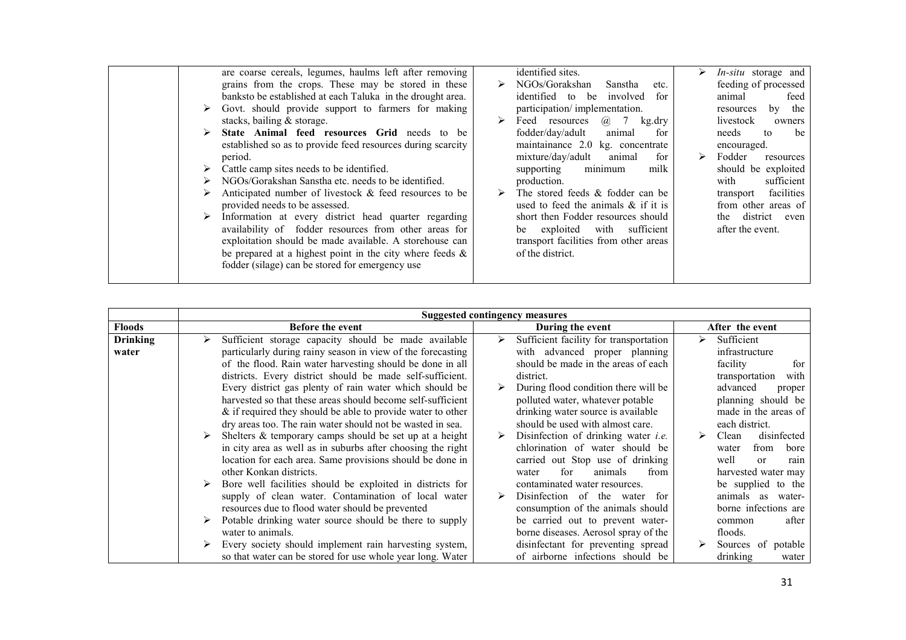| are coarse cereals, legumes, haulms left after removing<br>grains from the crops. These may be stored in these<br>banksto be established at each Taluka in the drought area.<br>Govt. should provide support to farmers for making<br>stacks, bailing $&$ storage.<br>State Animal feed resources Grid needs to be<br>established so as to provide feed resources during scarcity<br>period.<br>Cattle camp sites needs to be identified.<br>NGOs/Gorakshan Sanstha etc. needs to be identified.<br>Anticipated number of livestock & feed resources to be<br>provided needs to be assessed.<br>Information at every district head quarter regarding<br>availability of fodder resources from other areas for<br>exploitation should be made available. A storehouse can<br>be prepared at a highest point in the city where feeds $\&$<br>fodder (silage) can be stored for emergency use | NGOs/Gorakshan<br>Sanstha<br>etc.<br>identified to be involved<br>for<br>participation/implementation.<br><i>(a)</i> 7<br>Feed resources<br>kg.dry<br>fodder/day/adult<br>animal<br>for<br>maintainance 2.0 kg. concentrate<br>mixture/day/adult animal<br>for<br>minimum<br>milk<br>supporting<br>production.<br>The stored feeds & fodder can be<br>used to feed the animals $\&$ if it is<br>short then Fodder resources should<br>be exploited with sufficient<br>transport facilities from other areas<br>of the district. | <i>In-situ</i> storage and<br>feeding of processed<br>animal<br>feed<br>by the<br>resources<br>livestock<br>owners<br>needs<br>to<br>be<br>encouraged.<br>Fodder<br>➤<br>resources<br>should be exploited<br>sufficient<br>with<br>facilities<br>transport<br>from other areas of<br>district even<br>the<br>after the event. |
|--------------------------------------------------------------------------------------------------------------------------------------------------------------------------------------------------------------------------------------------------------------------------------------------------------------------------------------------------------------------------------------------------------------------------------------------------------------------------------------------------------------------------------------------------------------------------------------------------------------------------------------------------------------------------------------------------------------------------------------------------------------------------------------------------------------------------------------------------------------------------------------------|---------------------------------------------------------------------------------------------------------------------------------------------------------------------------------------------------------------------------------------------------------------------------------------------------------------------------------------------------------------------------------------------------------------------------------------------------------------------------------------------------------------------------------|-------------------------------------------------------------------------------------------------------------------------------------------------------------------------------------------------------------------------------------------------------------------------------------------------------------------------------|
|--------------------------------------------------------------------------------------------------------------------------------------------------------------------------------------------------------------------------------------------------------------------------------------------------------------------------------------------------------------------------------------------------------------------------------------------------------------------------------------------------------------------------------------------------------------------------------------------------------------------------------------------------------------------------------------------------------------------------------------------------------------------------------------------------------------------------------------------------------------------------------------------|---------------------------------------------------------------------------------------------------------------------------------------------------------------------------------------------------------------------------------------------------------------------------------------------------------------------------------------------------------------------------------------------------------------------------------------------------------------------------------------------------------------------------------|-------------------------------------------------------------------------------------------------------------------------------------------------------------------------------------------------------------------------------------------------------------------------------------------------------------------------------|

|                 | <b>Suggested contingency measures</b>                          |                                            |                           |  |  |
|-----------------|----------------------------------------------------------------|--------------------------------------------|---------------------------|--|--|
| <b>Floods</b>   | <b>Before the event</b>                                        | During the event                           | After the event           |  |  |
| <b>Drinking</b> | Sufficient storage capacity should be made available<br>➤      | Sufficient facility for transportation     | Sufficient<br>⋗           |  |  |
| water           | particularly during rainy season in view of the forecasting    | with advanced proper planning              | infrastructure            |  |  |
|                 | of the flood. Rain water harvesting should be done in all      | should be made in the areas of each        | facility<br>for           |  |  |
|                 | districts. Every district should be made self-sufficient.      | district.                                  | transportation<br>with    |  |  |
|                 | Every district gas plenty of rain water which should be        | During flood condition there will be       | advanced<br>proper        |  |  |
|                 | harvested so that these areas should become self-sufficient    | polluted water, whatever potable           | planning should be        |  |  |
|                 | $\&$ if required they should be able to provide water to other | drinking water source is available         | made in the areas of      |  |  |
|                 | dry areas too. The rain water should not be wasted in sea.     | should be used with almost care.           | each district.            |  |  |
|                 | Shelters $&$ temporary camps should be set up at a height      | Disinfection of drinking water <i>i.e.</i> | disinfected<br>➤<br>Clean |  |  |
|                 | in city area as well as in suburbs after choosing the right    | chlorination of water should be            | from<br>bore<br>water     |  |  |
|                 | location for each area. Same provisions should be done in      | carried out Stop use of drinking           | well<br>$\alpha$<br>rain  |  |  |
|                 | other Konkan districts.                                        | for<br>animals<br>from<br>water            | harvested water may       |  |  |
|                 | Bore well facilities should be exploited in districts for      | contaminated water resources.              | be supplied to the        |  |  |
|                 | supply of clean water. Contamination of local water            | Disinfection of the water for              | animals as water-         |  |  |
|                 | resources due to flood water should be prevented               | consumption of the animals should          | borne infections are      |  |  |
|                 | Potable drinking water source should be there to supply        | be carried out to prevent water-           | after<br>common           |  |  |
|                 | water to animals.                                              | borne diseases. Aerosol spray of the       | floods.                   |  |  |
|                 | Every society should implement rain harvesting system,         | disinfectant for preventing spread         | Sources of potable        |  |  |
|                 | so that water can be stored for use whole year long. Water     | of airborne infections should be           | drinking<br>water         |  |  |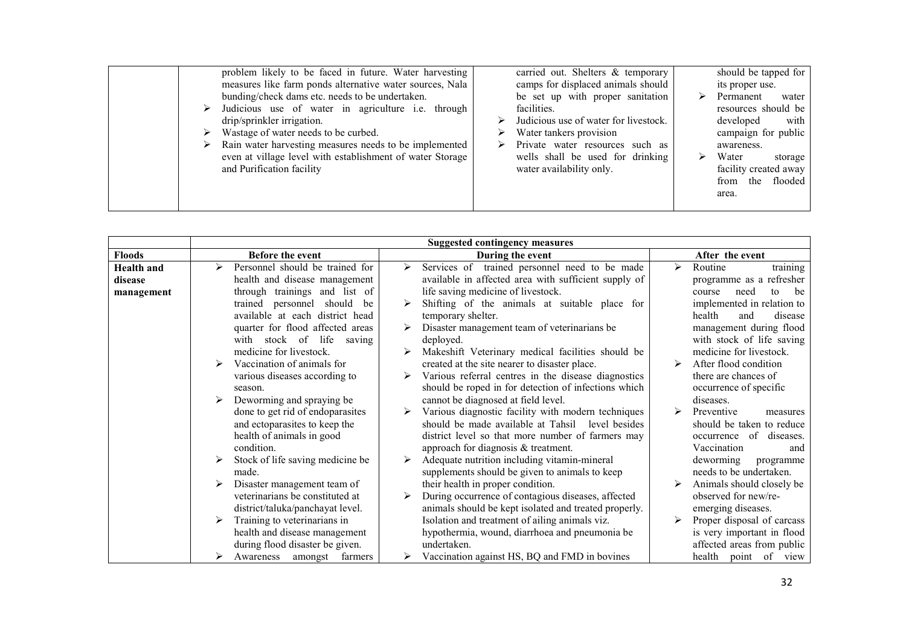| problem likely to be faced in future. Water harvesting<br>measures like farm ponds alternative water sources, Nala<br>bunding/check dams etc. needs to be undertaken.<br>Judicious use of water in agriculture <i>i.e.</i> through<br>➤<br>drip/sprinkler irrigation.<br>Wastage of water needs to be curbed.<br>⋗<br>Rain water harvesting measures needs to be implemented<br>⋗<br>even at village level with establishment of water Storage<br>and Purification facility | carried out. Shelters $\&$ temporary<br>camps for displaced animals should<br>be set up with proper sanitation<br>facilities.<br>Judicious use of water for livestock.<br>Water tankers provision<br>Private water resources such as<br>wells shall be used for drinking<br>water availability only. | ⋗ | should be tapped for<br>its proper use.<br>Permanent<br>water<br>resources should be<br>developed<br>with<br>campaign for public<br>awareness.<br>Water<br>storage<br>facility created away<br>the flooded<br>from<br>area. |
|-----------------------------------------------------------------------------------------------------------------------------------------------------------------------------------------------------------------------------------------------------------------------------------------------------------------------------------------------------------------------------------------------------------------------------------------------------------------------------|------------------------------------------------------------------------------------------------------------------------------------------------------------------------------------------------------------------------------------------------------------------------------------------------------|---|-----------------------------------------------------------------------------------------------------------------------------------------------------------------------------------------------------------------------------|
|-----------------------------------------------------------------------------------------------------------------------------------------------------------------------------------------------------------------------------------------------------------------------------------------------------------------------------------------------------------------------------------------------------------------------------------------------------------------------------|------------------------------------------------------------------------------------------------------------------------------------------------------------------------------------------------------------------------------------------------------------------------------------------------------|---|-----------------------------------------------------------------------------------------------------------------------------------------------------------------------------------------------------------------------------|

|                   | <b>Suggested contingency measures</b> |                                                                              |                                              |  |  |
|-------------------|---------------------------------------|------------------------------------------------------------------------------|----------------------------------------------|--|--|
| <b>Floods</b>     | Before the event                      | During the event                                                             | After the event                              |  |  |
| <b>Health</b> and | Personnel should be trained for       | Services of trained personnel need to be made<br>$\triangleright$            | Routine<br>training<br>$\blacktriangleright$ |  |  |
| disease           | health and disease management         | available in affected area with sufficient supply of                         | programme as a refresher                     |  |  |
| management        | through trainings and list of         | life saving medicine of livestock.                                           | be<br>need<br>course<br>to                   |  |  |
|                   | trained personnel<br>should<br>be     | Shifting of the animals at suitable place for                                | implemented in relation to                   |  |  |
|                   | available at each district head       | temporary shelter.                                                           | health<br>disease<br>and                     |  |  |
|                   | quarter for flood affected areas      | Disaster management team of veterinarians be                                 | management during flood                      |  |  |
|                   | with stock of life<br>saving          | deployed.                                                                    | with stock of life saving                    |  |  |
|                   | medicine for livestock.               | Makeshift Veterinary medical facilities should be                            | medicine for livestock.                      |  |  |
|                   | Vaccination of animals for            | created at the site nearer to disaster place.                                | After flood condition                        |  |  |
|                   | various diseases according to         | Various referral centres in the disease diagnostics<br>$\blacktriangleright$ | there are chances of                         |  |  |
|                   | season.                               | should be roped in for detection of infections which                         | occurrence of specific                       |  |  |
|                   | Deworming and spraying be             | cannot be diagnosed at field level.                                          | diseases.                                    |  |  |
|                   | done to get rid of endoparasites      | Various diagnostic facility with modern techniques                           | Preventive<br>measures                       |  |  |
|                   | and ectoparasites to keep the         | should be made available at Tahsil level besides                             | should be taken to reduce                    |  |  |
|                   | health of animals in good             | district level so that more number of farmers may                            | occurrence of diseases.                      |  |  |
|                   | condition.                            | approach for diagnosis $&$ treatment.                                        | Vaccination<br>and                           |  |  |
|                   | Stock of life saving medicine be      | Adequate nutrition including vitamin-mineral<br>➤                            | deworming<br>programme                       |  |  |
|                   | made.                                 | supplements should be given to animals to keep                               | needs to be undertaken.                      |  |  |
|                   | Disaster management team of           | their health in proper condition.                                            | Animals should closely be                    |  |  |
|                   | veterinarians be constituted at       | During occurrence of contagious diseases, affected                           | observed for new/re-                         |  |  |
|                   | district/taluka/panchayat level.      | animals should be kept isolated and treated properly.                        | emerging diseases.                           |  |  |
|                   | Training to veterinarians in          | Isolation and treatment of ailing animals viz.                               | Proper disposal of carcass                   |  |  |
|                   | health and disease management         | hypothermia, wound, diarrhoea and pneumonia be                               | is very important in flood                   |  |  |
|                   | during flood disaster be given.       | undertaken.                                                                  | affected areas from public                   |  |  |
|                   | farmers<br>Awareness<br>amongst       | Vaccination against HS, BQ and FMD in bovines                                | health<br>of<br>point<br>view                |  |  |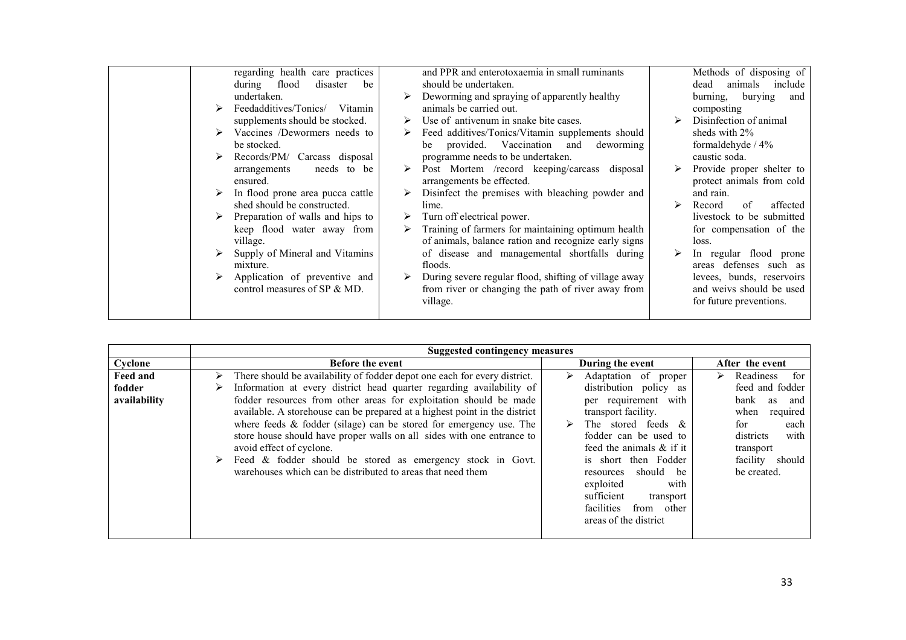|  | regarding health care practices   | and PPR and enterotoxaemia in small ruminants         |   | Methods of disposing of    |
|--|-----------------------------------|-------------------------------------------------------|---|----------------------------|
|  | flood<br>disaster<br>during<br>be | should be undertaken.                                 |   | include<br>animals<br>dead |
|  | undertaken.                       | Deworming and spraying of apparently healthy          |   | burying<br>burning,<br>and |
|  | Feedadditives/Tonics/<br>Vitamin  | animals be carried out.                               |   | composting                 |
|  | supplements should be stocked.    | Use of antivenum in snake bite cases.                 |   | Disinfection of animal     |
|  | Vaccines /Dewormers needs to      | Feed additives/Tonics/Vitamin supplements should      |   | sheds with 2%              |
|  | be stocked.                       | provided. Vaccination<br>deworming<br>and<br>be       |   | formaldehyde / 4%          |
|  | Records/PM/ Carcass disposal      | programme needs to be undertaken.                     |   | caustic soda.              |
|  | needs to be<br>arrangements       | Post Mortem /record keeping/carcass disposal          |   | Provide proper shelter to  |
|  | ensured.                          | arrangements be effected.                             |   | protect animals from cold  |
|  | In flood prone area pucca cattle  | Disinfect the premises with bleaching powder and      |   | and rain.                  |
|  | shed should be constructed.       | lime.                                                 | ➤ | Record<br>of<br>affected   |
|  | Preparation of walls and hips to  | Turn off electrical power.                            |   | livestock to be submitted  |
|  | keep flood water away from        | Training of farmers for maintaining optimum health    |   | for compensation of the    |
|  | village.                          | of animals, balance ration and recognize early signs  |   | loss.                      |
|  | Supply of Mineral and Vitamins    | of disease and managemental shortfalls during         |   | In regular flood prone     |
|  | mixture.                          | floods.                                               |   | defenses such as<br>areas  |
|  | Application of preventive and     | During severe regular flood, shifting of village away |   | levees, bunds, reservoirs  |
|  | control measures of SP & MD.      | from river or changing the path of river away from    |   | and weivs should be used   |
|  |                                   | village.                                              |   | for future preventions.    |
|  |                                   |                                                       |   |                            |

|                                           | <b>Suggested contingency measures</b>                                                                                                                                                                                                                                                                                                                                                                                                                                                                                                                                                                                           |                                                                                                                                                                                                                                                                                                                                            |                                                                                                                                                                         |  |  |  |
|-------------------------------------------|---------------------------------------------------------------------------------------------------------------------------------------------------------------------------------------------------------------------------------------------------------------------------------------------------------------------------------------------------------------------------------------------------------------------------------------------------------------------------------------------------------------------------------------------------------------------------------------------------------------------------------|--------------------------------------------------------------------------------------------------------------------------------------------------------------------------------------------------------------------------------------------------------------------------------------------------------------------------------------------|-------------------------------------------------------------------------------------------------------------------------------------------------------------------------|--|--|--|
| Cyclone                                   | <b>Before the event</b>                                                                                                                                                                                                                                                                                                                                                                                                                                                                                                                                                                                                         | During the event                                                                                                                                                                                                                                                                                                                           | After the event                                                                                                                                                         |  |  |  |
| <b>Feed and</b><br>fodder<br>availability | There should be availability of fodder depot one each for every district.<br>➤<br>Information at every district head quarter regarding availability of<br>➤<br>fodder resources from other areas for exploitation should be made<br>available. A storehouse can be prepared at a highest point in the district<br>where feeds $\&$ fodder (silage) can be stored for emergency use. The<br>store house should have proper walls on all sides with one entrance to<br>avoid effect of cyclone.<br>Feed & fodder should be stored as emergency stock in Govt.<br>➤<br>warehouses which can be distributed to areas that need them | Adaptation of proper<br>⋗<br>distribution policy as<br>per requirement with<br>transport facility.<br>The stored feeds $\&$<br>fodder can be used to<br>feed the animals $\&$ if it<br>is short then Fodder<br>should be<br>resources<br>with<br>exploited<br>sufficient<br>transport<br>facilities<br>from other<br>areas of the district | Readiness<br>for<br>⋗<br>feed and fodder<br>bank<br>as<br>and<br>when<br>required<br>for<br>each<br>with<br>districts<br>transport<br>facility<br>should<br>be created. |  |  |  |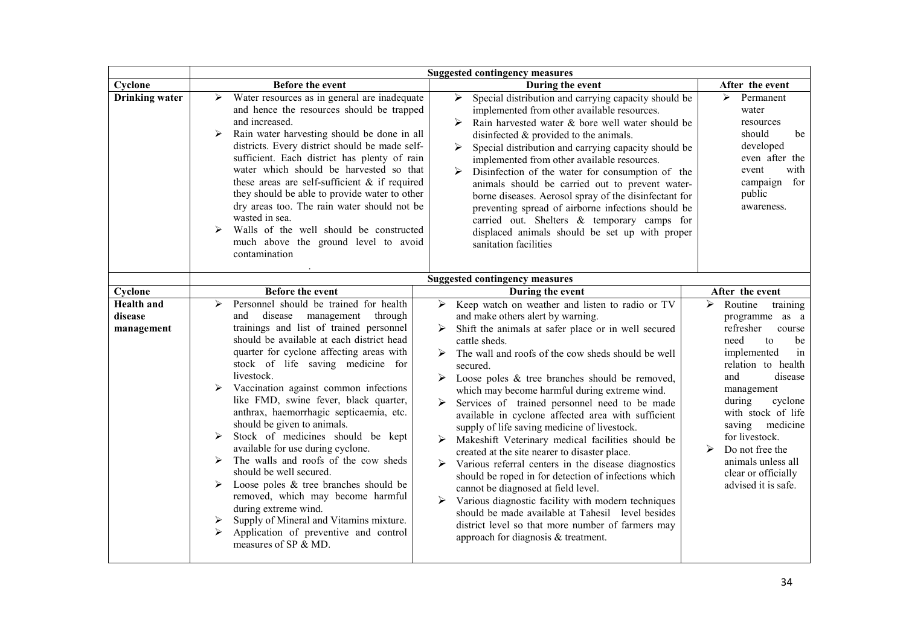|                                            |                                                                                                                                                                                                                                                                                                                                                                                                                                                                                                                                                                                                                                                                                                                                                                                                                                   | <b>Suggested contingency measures</b>                                                                                                                                                                                                                                                                                                                                                                                                                                                                                                                                                                                                                                                                                                                                                                                                                                                                                                                                                              |                                                                                                                                                                                                                                                                                                                                                 |
|--------------------------------------------|-----------------------------------------------------------------------------------------------------------------------------------------------------------------------------------------------------------------------------------------------------------------------------------------------------------------------------------------------------------------------------------------------------------------------------------------------------------------------------------------------------------------------------------------------------------------------------------------------------------------------------------------------------------------------------------------------------------------------------------------------------------------------------------------------------------------------------------|----------------------------------------------------------------------------------------------------------------------------------------------------------------------------------------------------------------------------------------------------------------------------------------------------------------------------------------------------------------------------------------------------------------------------------------------------------------------------------------------------------------------------------------------------------------------------------------------------------------------------------------------------------------------------------------------------------------------------------------------------------------------------------------------------------------------------------------------------------------------------------------------------------------------------------------------------------------------------------------------------|-------------------------------------------------------------------------------------------------------------------------------------------------------------------------------------------------------------------------------------------------------------------------------------------------------------------------------------------------|
| Cyclone                                    | Before the event                                                                                                                                                                                                                                                                                                                                                                                                                                                                                                                                                                                                                                                                                                                                                                                                                  | During the event                                                                                                                                                                                                                                                                                                                                                                                                                                                                                                                                                                                                                                                                                                                                                                                                                                                                                                                                                                                   | After the event                                                                                                                                                                                                                                                                                                                                 |
| <b>Drinking water</b>                      | Water resources as in general are inadequate<br>➤<br>and hence the resources should be trapped<br>and increased.<br>Rain water harvesting should be done in all<br>➤<br>districts. Every district should be made self-<br>sufficient. Each district has plenty of rain<br>water which should be harvested so that<br>these areas are self-sufficient $\&$ if required<br>they should be able to provide water to other<br>dry areas too. The rain water should not be<br>wasted in sea.<br>Walls of the well should be constructed<br>⋗<br>much above the ground level to avoid<br>contamination                                                                                                                                                                                                                                  | ➤<br>Special distribution and carrying capacity should be<br>implemented from other available resources.<br>Rain harvested water & bore well water should be<br>≻<br>disinfected $\&$ provided to the animals.<br>Special distribution and carrying capacity should be<br>➤<br>implemented from other available resources.<br>Disinfection of the water for consumption of the<br>➤<br>animals should be carried out to prevent water-<br>borne diseases. Aerosol spray of the disinfectant for<br>preventing spread of airborne infections should be<br>carried out. Shelters & temporary camps for<br>displaced animals should be set up with proper<br>sanitation facilities                                                                                                                                                                                                                                                                                                                    | Permanent<br>➤<br>water<br>resources<br>should<br>be<br>developed<br>even after the<br>with<br>event<br>campaign<br>for<br>public<br>awareness.                                                                                                                                                                                                 |
|                                            |                                                                                                                                                                                                                                                                                                                                                                                                                                                                                                                                                                                                                                                                                                                                                                                                                                   | <b>Suggested contingency measures</b>                                                                                                                                                                                                                                                                                                                                                                                                                                                                                                                                                                                                                                                                                                                                                                                                                                                                                                                                                              |                                                                                                                                                                                                                                                                                                                                                 |
| Cyclone                                    | <b>Before the event</b>                                                                                                                                                                                                                                                                                                                                                                                                                                                                                                                                                                                                                                                                                                                                                                                                           | During the event                                                                                                                                                                                                                                                                                                                                                                                                                                                                                                                                                                                                                                                                                                                                                                                                                                                                                                                                                                                   | After the event                                                                                                                                                                                                                                                                                                                                 |
| <b>Health</b> and<br>disease<br>management | Personnel should be trained for health<br>➤<br>disease management<br>and<br>through<br>trainings and list of trained personnel<br>should be available at each district head<br>quarter for cyclone affecting areas with<br>stock of life saving medicine for<br>livestock.<br>Vaccination against common infections<br>⋗<br>like FMD, swine fever, black quarter,<br>anthrax, haemorrhagic septicaemia, etc.<br>should be given to animals.<br>Stock of medicines should be kept<br>available for use during cyclone.<br>The walls and roofs of the cow sheds<br>⋗<br>should be well secured.<br>Loose poles $\&$ tree branches should be<br>⋗<br>removed, which may become harmful<br>during extreme wind.<br>Supply of Mineral and Vitamins mixture.<br>➤<br>Application of preventive and control<br>≻<br>measures of SP & MD. | Keep watch on weather and listen to radio or TV<br>➤<br>and make others alert by warning.<br>Shift the animals at safer place or in well secured<br>cattle sheds.<br>The wall and roofs of the cow sheds should be well<br>secured.<br>$\triangleright$ Loose poles & tree branches should be removed,<br>which may become harmful during extreme wind.<br>Services of trained personnel need to be made<br>available in cyclone affected area with sufficient<br>supply of life saving medicine of livestock.<br>Makeshift Veterinary medical facilities should be<br>created at the site nearer to disaster place.<br>$\triangleright$ Various referral centers in the disease diagnostics<br>should be roped in for detection of infections which<br>cannot be diagnosed at field level.<br>Various diagnostic facility with modern techniques<br>should be made available at Tahesil level besides<br>district level so that more number of farmers may<br>approach for diagnosis & treatment. | Routine<br>➤<br>training<br>programme as a<br>refresher<br>course<br>need<br>to<br>be<br>implemented<br>in<br>relation to health<br>disease<br>and<br>management<br>cyclone<br>during<br>with stock of life<br>saving<br>medicine<br>for livestock.<br>➤<br>Do not free the<br>animals unless all<br>clear or officially<br>advised it is safe. |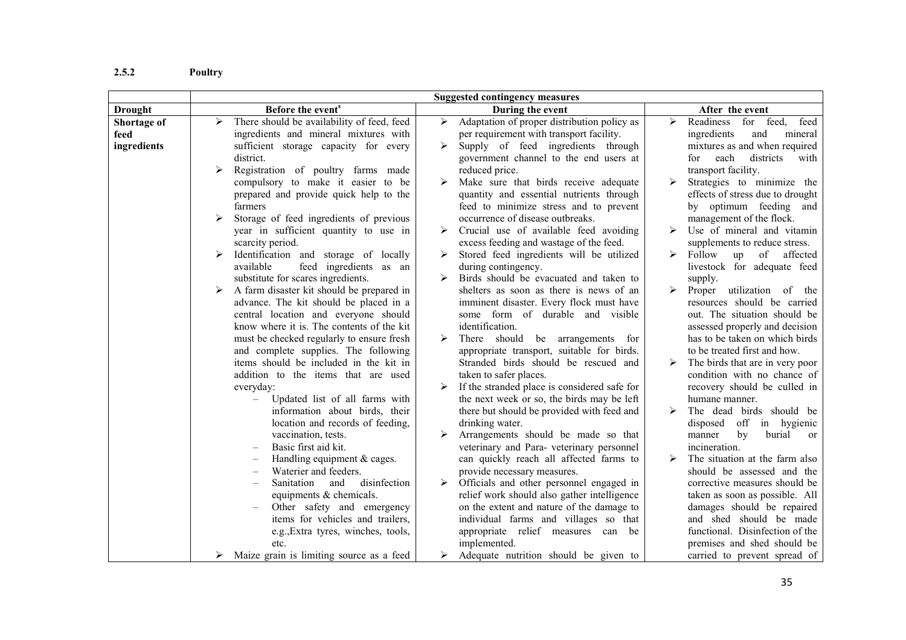#### 2.5.2Poultry

|                                    | <b>Suggested contingency measures</b>                                                                                                                                                     |                                                                                                                                                                                                                                       |                                                                                                                                                                                         |  |
|------------------------------------|-------------------------------------------------------------------------------------------------------------------------------------------------------------------------------------------|---------------------------------------------------------------------------------------------------------------------------------------------------------------------------------------------------------------------------------------|-----------------------------------------------------------------------------------------------------------------------------------------------------------------------------------------|--|
| <b>Drought</b>                     | Before the event <sup>s</sup>                                                                                                                                                             | During the event                                                                                                                                                                                                                      | After the event                                                                                                                                                                         |  |
| Shortage of<br>feed<br>ingredients | There should be availability of feed, feed<br>⋗<br>ingredients and mineral mixtures with<br>sufficient storage capacity for every<br>district.<br>Registration of poultry farms made<br>≻ | Adaptation of proper distribution policy as<br>➤<br>per requirement with transport facility.<br>Supply of feed ingredients through<br>≻<br>government channel to the end users at<br>reduced price.                                   | Readiness<br>$\blacktriangleright$<br>for<br>feed,<br>feed<br>ingredients<br>and<br>mineral<br>mixtures as and when required<br>each<br>districts<br>for<br>with<br>transport facility. |  |
|                                    | compulsory to make it easier to be<br>prepared and provide quick help to the<br>farmers                                                                                                   | Make sure that birds receive adequate<br>quantity and essential nutrients through<br>feed to minimize stress and to prevent                                                                                                           | Strategies to minimize the<br>$\blacktriangleright$<br>effects of stress due to drought<br>by optimum feeding and                                                                       |  |
|                                    | Storage of feed ingredients of previous<br>year in sufficient quantity to use in<br>scarcity period.                                                                                      | occurrence of disease outbreaks.<br>Crucial use of available feed avoiding<br>≻<br>excess feeding and wastage of the feed.                                                                                                            | management of the flock.<br>Use of mineral and vitamin<br>⋗<br>supplements to reduce stress.                                                                                            |  |
|                                    | Identification and storage of locally<br>feed ingredients as an<br>available<br>substitute for scares ingredients.                                                                        | Stored feed ingredients will be utilized<br>➤<br>during contingency.<br>Birds should be evacuated and taken to<br>≻                                                                                                                   | $up$ of<br>➤<br>Follow<br>affected<br>livestock for adequate feed<br>supply.                                                                                                            |  |
|                                    | A farm disaster kit should be prepared in<br>➤<br>advance. The kit should be placed in a<br>central location and everyone should<br>know where it is. The contents of the kit             | shelters as soon as there is news of an<br>imminent disaster. Every flock must have<br>some form of durable and visible<br>identification.                                                                                            | $\blacktriangleright$<br>Proper utilization of the<br>resources should be carried<br>out. The situation should be<br>assessed properly and decision                                     |  |
|                                    | must be checked regularly to ensure fresh<br>and complete supplies. The following<br>items should be included in the kit in<br>addition to the items that are used                        | There should be arrangements for<br>➤<br>appropriate transport, suitable for birds.<br>Stranded birds should be rescued and<br>taken to safer places.                                                                                 | has to be taken on which birds<br>to be treated first and how.<br>The birds that are in very poor<br>➤<br>condition with no chance of                                                   |  |
|                                    | everyday:<br>Updated list of all farms with<br>$\equiv$<br>information about birds, their<br>location and records of feeding,                                                             | If the stranded place is considered safe for<br>➤<br>the next week or so, the birds may be left<br>there but should be provided with feed and<br>drinking water.                                                                      | recovery should be culled in<br>humane manner.<br>➤<br>The dead birds should be<br>disposed off in hygienic                                                                             |  |
|                                    | vaccination, tests.<br>Basic first aid kit.<br>Handling equipment $&$ cages.                                                                                                              | Arrangements should be made so that<br>veterinary and Para- veterinary personnel<br>can quickly reach all affected farms to                                                                                                           | by<br>burial<br>manner<br><sub>or</sub><br>incineration.<br>≻<br>The situation at the farm also                                                                                         |  |
|                                    | Waterier and feeders.<br>disinfection<br>Sanitation<br>and<br>equipments & chemicals.<br>Other safety and emergency<br>items for vehicles and trailers,                                   | provide necessary measures.<br>Officials and other personnel engaged in<br>$\blacktriangleright$<br>relief work should also gather intelligence<br>on the extent and nature of the damage to<br>individual farms and villages so that | should be assessed and the<br>corrective measures should be<br>taken as soon as possible. All<br>damages should be repaired<br>and shed should be made                                  |  |
|                                    | e.g., Extra tyres, winches, tools,<br>etc.<br>Maize grain is limiting source as a feed                                                                                                    | appropriate relief measures can be<br>implemented.<br>Adequate nutrition should be given to                                                                                                                                           | functional. Disinfection of the<br>premises and shed should be<br>carried to prevent spread of                                                                                          |  |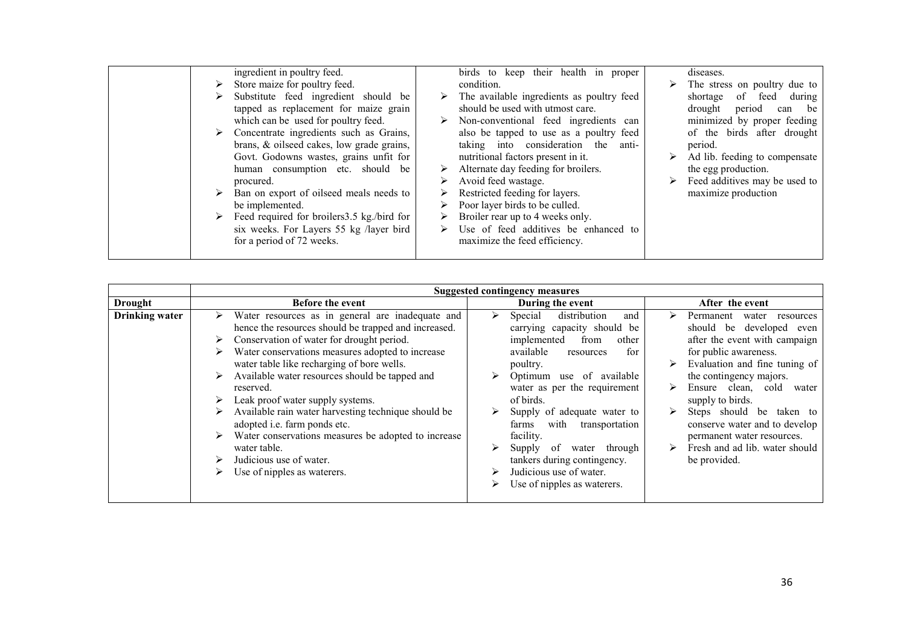| ➤ | ingredient in poultry feed.<br>Store maize for poultry feed.<br>Substitute feed ingredient should be<br>tapped as replacement for maize grain<br>which can be used for poultry feed.<br>Concentrate ingredients such as Grains,<br>brans, & oilseed cakes, low grade grains,<br>Govt. Godowns wastes, grains unfit for<br>human consumption etc. should be<br>procured.<br>Ban on export of oilseed meals needs to<br>be implemented.<br>Feed required for broilers 3.5 kg./bird for<br>six weeks. For Layers 55 kg /layer bird<br>for a period of 72 weeks. | ➤<br>➤<br>≻<br>➤ | birds to keep their health in proper<br>condition.<br>The available ingredients as poultry feed<br>should be used with utmost care.<br>Non-conventional feed ingredients can<br>also be tapped to use as a poultry feed<br>taking into consideration the anti-<br>nutritional factors present in it.<br>Alternate day feeding for broilers.<br>Avoid feed wastage.<br>Restricted feeding for layers.<br>Poor layer birds to be culled.<br>Broiler rear up to 4 weeks only.<br>Use of feed additives be enhanced to<br>maximize the feed efficiency. |  | diseases.<br>$\triangleright$ The stress on poultry due to<br>shortage of feed during<br>drought period<br>can be<br>minimized by proper feeding<br>of the birds after drought<br>period.<br>Ad lib. feeding to compensate<br>the egg production.<br>Feed additives may be used to<br>maximize production |
|---|--------------------------------------------------------------------------------------------------------------------------------------------------------------------------------------------------------------------------------------------------------------------------------------------------------------------------------------------------------------------------------------------------------------------------------------------------------------------------------------------------------------------------------------------------------------|------------------|-----------------------------------------------------------------------------------------------------------------------------------------------------------------------------------------------------------------------------------------------------------------------------------------------------------------------------------------------------------------------------------------------------------------------------------------------------------------------------------------------------------------------------------------------------|--|-----------------------------------------------------------------------------------------------------------------------------------------------------------------------------------------------------------------------------------------------------------------------------------------------------------|
|---|--------------------------------------------------------------------------------------------------------------------------------------------------------------------------------------------------------------------------------------------------------------------------------------------------------------------------------------------------------------------------------------------------------------------------------------------------------------------------------------------------------------------------------------------------------------|------------------|-----------------------------------------------------------------------------------------------------------------------------------------------------------------------------------------------------------------------------------------------------------------------------------------------------------------------------------------------------------------------------------------------------------------------------------------------------------------------------------------------------------------------------------------------------|--|-----------------------------------------------------------------------------------------------------------------------------------------------------------------------------------------------------------------------------------------------------------------------------------------------------------|

|                       |                                                                                                                                                                                                                                                                                                                                                                                                                                                                                                                                                                                                   | <b>Suggested contingency measures</b>                                                                                                                                                                                                                                                                                                                                                                           |                                                                                                                                                                                                                                                                                                                                                                                         |
|-----------------------|---------------------------------------------------------------------------------------------------------------------------------------------------------------------------------------------------------------------------------------------------------------------------------------------------------------------------------------------------------------------------------------------------------------------------------------------------------------------------------------------------------------------------------------------------------------------------------------------------|-----------------------------------------------------------------------------------------------------------------------------------------------------------------------------------------------------------------------------------------------------------------------------------------------------------------------------------------------------------------------------------------------------------------|-----------------------------------------------------------------------------------------------------------------------------------------------------------------------------------------------------------------------------------------------------------------------------------------------------------------------------------------------------------------------------------------|
| <b>Drought</b>        | <b>Before the event</b>                                                                                                                                                                                                                                                                                                                                                                                                                                                                                                                                                                           | During the event                                                                                                                                                                                                                                                                                                                                                                                                | After the event                                                                                                                                                                                                                                                                                                                                                                         |
| <b>Drinking water</b> | Water resources as in general are inadequate and<br>➤<br>hence the resources should be trapped and increased.<br>Conservation of water for drought period.<br>Water conservations measures adopted to increase<br>water table like recharging of bore wells.<br>Available water resources should be tapped and<br>reserved.<br>Leak proof water supply systems.<br>➤<br>Available rain water harvesting technique should be<br>adopted i.e. farm ponds etc.<br>Water conservations measures be adopted to increase<br>water table.<br>Judicious use of water.<br>Use of nipples as waterers.<br>⋗ | distribution<br>Special<br>➤<br>and<br>carrying capacity should be<br>implemented<br>other<br>from<br>for<br>available<br>resources<br>poultry.<br>of available<br>Optimum use<br>➤<br>water as per the requirement<br>of birds.<br>Supply of adequate water to<br>with<br>transportation<br>farms<br>facility.<br>Supply of<br>through<br>water<br>➤<br>tankers during contingency.<br>Judicious use of water. | Permanent<br>water<br>resources<br>should be developed<br>even<br>after the event with campaign<br>for public awareness.<br>Evaluation and fine tuning of<br>the contingency majors.<br>Ensure clean, cold<br>water<br>supply to birds.<br>Steps should be<br>taken to<br>conserve water and to develop<br>permanent water resources.<br>Fresh and ad lib. water should<br>be provided. |
|                       |                                                                                                                                                                                                                                                                                                                                                                                                                                                                                                                                                                                                   | Use of nipples as waterers.                                                                                                                                                                                                                                                                                                                                                                                     |                                                                                                                                                                                                                                                                                                                                                                                         |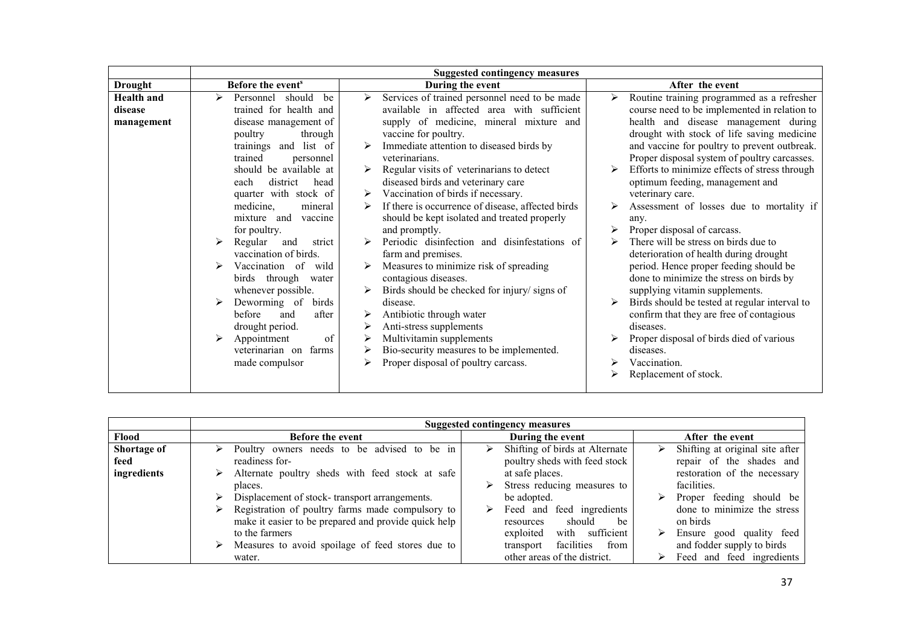| Before the event <sup>s</sup><br>After the event<br><b>Drought</b><br>During the event<br>Services of trained personnel need to be made<br>Routine training programmed as a refresher<br><b>Health</b> and<br>should<br>⋗<br>Personnel<br>be<br>≻<br>➤<br>trained for health and<br>available in affected area with sufficient<br>course need to be implemented in relation to<br>disease                                                                                                                                                                                                                                                                                                                                                                                                                                                                                                                                                                                                                                                                                                                                                                                                                                                                                                                                                                                                                                                                                                                                                                                                                                                                                                                                                                                                                                                                                                                                                                                                                                                                                                                                                     |
|-----------------------------------------------------------------------------------------------------------------------------------------------------------------------------------------------------------------------------------------------------------------------------------------------------------------------------------------------------------------------------------------------------------------------------------------------------------------------------------------------------------------------------------------------------------------------------------------------------------------------------------------------------------------------------------------------------------------------------------------------------------------------------------------------------------------------------------------------------------------------------------------------------------------------------------------------------------------------------------------------------------------------------------------------------------------------------------------------------------------------------------------------------------------------------------------------------------------------------------------------------------------------------------------------------------------------------------------------------------------------------------------------------------------------------------------------------------------------------------------------------------------------------------------------------------------------------------------------------------------------------------------------------------------------------------------------------------------------------------------------------------------------------------------------------------------------------------------------------------------------------------------------------------------------------------------------------------------------------------------------------------------------------------------------------------------------------------------------------------------------------------------------|
|                                                                                                                                                                                                                                                                                                                                                                                                                                                                                                                                                                                                                                                                                                                                                                                                                                                                                                                                                                                                                                                                                                                                                                                                                                                                                                                                                                                                                                                                                                                                                                                                                                                                                                                                                                                                                                                                                                                                                                                                                                                                                                                                               |
| supply of medicine, mineral mixture and<br>health and disease management during<br>disease management of<br>management<br>drought with stock of life saving medicine<br>vaccine for poultry.<br>poultry<br>through<br>Immediate attention to diseased birds by<br>trainings and list of<br>and vaccine for poultry to prevent outbreak.<br>➤<br>Proper disposal system of poultry carcasses.<br>veterinarians.<br>trained<br>personnel<br>Efforts to minimize effects of stress through<br>should be available at<br>Regular visits of veterinarians to detect<br>diseased birds and veterinary care<br>optimum feeding, management and<br>district<br>head<br>each<br>Vaccination of birds if necessary.<br>quarter with stock of<br>veterinary care.<br>➤<br>If there is occurrence of disease, affected birds<br>medicine,<br>Assessment of losses due to mortality if<br>mineral<br>should be kept isolated and treated properly<br>mixture and<br>vaccine<br>any.<br>Proper disposal of carcass.<br>for poultry.<br>and promptly.<br>Periodic disinfection and disinfestations of<br>There will be stress on birds due to<br>Regular<br>⋗<br>and<br>strict<br>vaccination of birds.<br>farm and premises.<br>deterioration of health during drought<br>period. Hence proper feeding should be<br>Vaccination of<br>Measures to minimize risk of spreading<br>wild<br>done to minimize the stress on birds by<br>birds through<br>contagious diseases.<br>water<br>Birds should be checked for injury/ signs of<br>supplying vitamin supplements.<br>whenever possible.<br>Deworming of<br>Birds should be tested at regular interval to<br>⋗<br>disease.<br>birds<br>➤<br>confirm that they are free of contagious<br>before<br>after<br>Antibiotic through water<br>and<br>➤<br>drought period.<br>Anti-stress supplements<br>diseases.<br>of<br>Multivitamin supplements<br>Proper disposal of birds died of various<br>≻<br>Appointment<br>Bio-security measures to be implemented.<br>veterinarian on farms<br>⋗<br>diseases.<br>Proper disposal of poultry carcass.<br>Vaccination.<br>made compulsor<br>⋗<br>Replacement of stock. |

|                     |                                                                                                                                 | <b>Suggested contingency measures</b>                                                  |                                                                                                      |
|---------------------|---------------------------------------------------------------------------------------------------------------------------------|----------------------------------------------------------------------------------------|------------------------------------------------------------------------------------------------------|
| Flood               | <b>Before the event</b>                                                                                                         | During the event                                                                       | After the event                                                                                      |
| Shortage of<br>feed | Poultry owners needs to be advised to be in<br>➤<br>readiness for-                                                              | Shifting of birds at Alternate<br>poultry sheds with feed stock                        | Shifting at original site after<br>repair of the shades and                                          |
| ingredients         | Alternate poultry sheds with feed stock at safe<br>➤<br>places.<br>Displacement of stock-transport arrangements.<br>⋗           | at safe places.<br>Stress reducing measures to<br>be adopted.                          | restoration of the necessary<br>facilities.                                                          |
|                     | Registration of poultry farms made compulsory to<br>➤<br>make it easier to be prepared and provide quick help<br>to the farmers | Feed and feed ingredients<br>should<br>be<br>resources<br>with sufficient<br>exploited | Proper feeding should be<br>done to minimize the stress<br>on birds<br>Ensure good quality feed<br>➤ |
|                     | $\triangleright$ Measures to avoid spoilage of feed stores due to<br>water.                                                     | facilities<br>from<br>transport<br>other areas of the district.                        | and fodder supply to birds<br>Feed and feed ingredients                                              |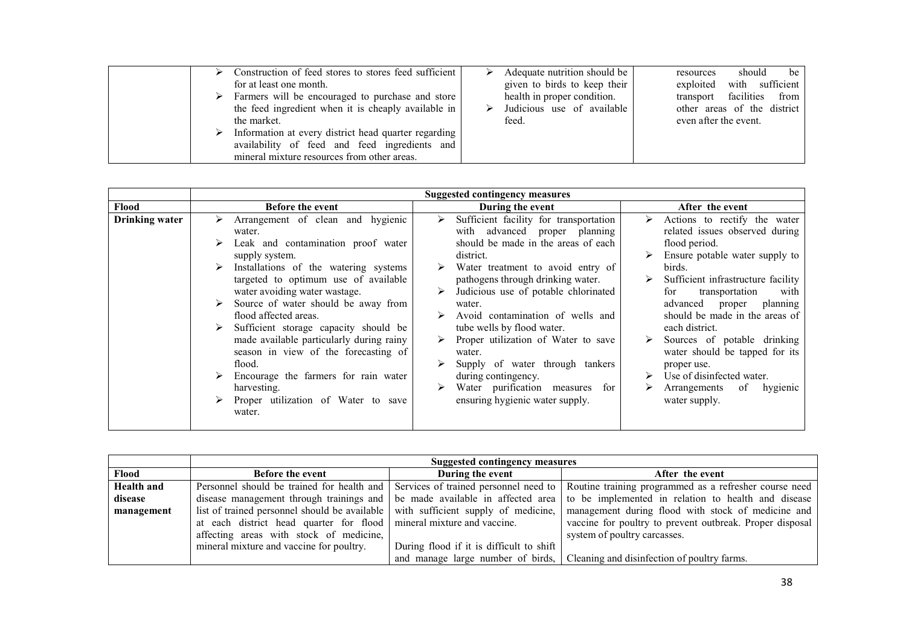|  | Construction of feed stores to stores feed sufficient<br>for at least one month.<br>$\triangleright$ Farmers will be encouraged to purchase and store<br>the feed ingredient when it is cheaply available in<br>the market. | Adequate nutrition should be<br>given to birds to keep their<br>health in proper condition.<br>Judicious use of available<br>feed. | resources<br>exploited with sufficient<br>transport facilities from<br>other areas of the district<br>even after the event. | should | be |
|--|-----------------------------------------------------------------------------------------------------------------------------------------------------------------------------------------------------------------------------|------------------------------------------------------------------------------------------------------------------------------------|-----------------------------------------------------------------------------------------------------------------------------|--------|----|
|  | Information at every district head quarter regarding<br>availability of feed and feed ingredients and<br>mineral mixture resources from other areas.                                                                        |                                                                                                                                    |                                                                                                                             |        |    |

|                   | <b>Suggested contingency measures</b>         |                                          |                                                                                              |  |
|-------------------|-----------------------------------------------|------------------------------------------|----------------------------------------------------------------------------------------------|--|
| Flood             | <b>Before the event</b>                       | During the event                         | After the event                                                                              |  |
| <b>Health and</b> | Personnel should be trained for health and    |                                          | Services of trained personnel need to Routine training programmed as a refresher course need |  |
| disease           | disease management through trainings and      | be made available in affected area       | to be implemented in relation to health and disease                                          |  |
| management        | list of trained personnel should be available | with sufficient supply of medicine,      | management during flood with stock of medicine and                                           |  |
|                   | at each district head quarter for flood       | mineral mixture and vaccine.             | vaccine for poultry to prevent outbreak. Proper disposal                                     |  |
|                   | affecting areas with stock of medicine,       |                                          | system of poultry carcasses.                                                                 |  |
|                   | mineral mixture and vaccine for poultry.      | During flood if it is difficult to shift |                                                                                              |  |
|                   |                                               |                                          | and manage large number of birds, Cleaning and disinfection of poultry farms.                |  |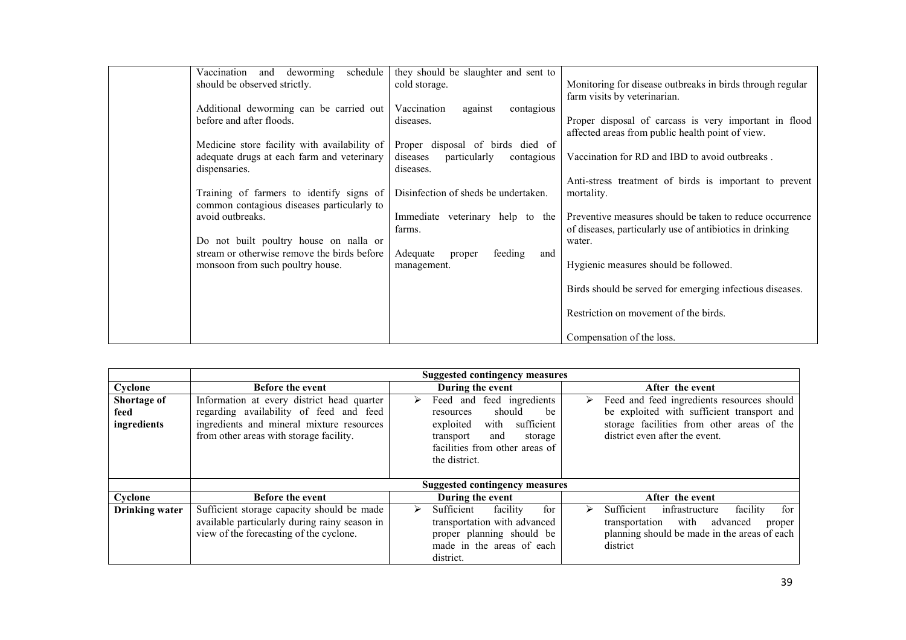| Vaccination<br>and deworming<br>schedule                                                                    | they should be slaughter and sent to                                                    |                                                                                                                      |
|-------------------------------------------------------------------------------------------------------------|-----------------------------------------------------------------------------------------|----------------------------------------------------------------------------------------------------------------------|
| should be observed strictly.                                                                                | cold storage.                                                                           | Monitoring for disease outbreaks in birds through regular<br>farm visits by veterinarian.                            |
| Additional deworming can be carried out<br>before and after floods.                                         | Vaccination<br>against<br>contagious<br>diseases.                                       | Proper disposal of carcass is very important in flood                                                                |
|                                                                                                             |                                                                                         | affected areas from public health point of view.                                                                     |
| Medicine store facility with availability of<br>adequate drugs at each farm and veterinary<br>dispensaries. | Proper disposal of birds died of<br>diseases<br>particularly<br>contagious<br>diseases. | Vaccination for RD and IBD to avoid outbreaks.                                                                       |
|                                                                                                             |                                                                                         | Anti-stress treatment of birds is important to prevent                                                               |
| Training of farmers to identify signs of<br>common contagious diseases particularly to                      | Disinfection of sheds be undertaken.                                                    | mortality.                                                                                                           |
| avoid outbreaks.                                                                                            | Immediate veterinary help to the<br>farms.                                              | Preventive measures should be taken to reduce occurrence<br>of diseases, particularly use of antibiotics in drinking |
| Do not built poultry house on nalla or                                                                      |                                                                                         | water.                                                                                                               |
| stream or otherwise remove the birds before<br>monsoon from such poultry house.                             | Adequate<br>feeding<br>and<br>proper<br>management.                                     | Hygienic measures should be followed.                                                                                |
|                                                                                                             |                                                                                         | Birds should be served for emerging infectious diseases.                                                             |
|                                                                                                             |                                                                                         | Restriction on movement of the birds.                                                                                |
|                                                                                                             |                                                                                         | Compensation of the loss.                                                                                            |

|                                    | <b>Suggested contingency measures</b>                                                                                                                                         |                                                                                                                                                                                  |                                                                                                                                                                               |  |  |
|------------------------------------|-------------------------------------------------------------------------------------------------------------------------------------------------------------------------------|----------------------------------------------------------------------------------------------------------------------------------------------------------------------------------|-------------------------------------------------------------------------------------------------------------------------------------------------------------------------------|--|--|
| Cyclone                            | <b>Before the event</b>                                                                                                                                                       | During the event                                                                                                                                                                 | After the event                                                                                                                                                               |  |  |
| Shortage of<br>feed<br>ingredients | Information at every district head quarter<br>regarding availability of feed and feed<br>ingredients and mineral mixture resources<br>from other areas with storage facility. | Feed and feed ingredients<br>➤<br>should<br>be<br>resources<br>sufficient<br>with<br>exploited<br>transport<br>and<br>storage<br>facilities from other areas of<br>the district. | Feed and feed ingredients resources should<br>⋗<br>be exploited with sufficient transport and<br>storage facilities from other areas of the<br>district even after the event. |  |  |
|                                    | <b>Suggested contingency measures</b>                                                                                                                                         |                                                                                                                                                                                  |                                                                                                                                                                               |  |  |
| Cyclone                            | <b>Before the event</b>                                                                                                                                                       | During the event                                                                                                                                                                 | After the event                                                                                                                                                               |  |  |
| <b>Drinking water</b>              | Sufficient storage capacity should be made<br>available particularly during rainy season in<br>view of the forecasting of the cyclone.                                        | Sufficient<br>for<br>facility<br>⋗<br>transportation with advanced<br>proper planning should be<br>made in the areas of each<br>district.                                        | Sufficient<br>infrastructure<br>for<br>facility<br>➤<br>with<br>advanced<br>transportation<br>proper<br>planning should be made in the areas of each<br>district              |  |  |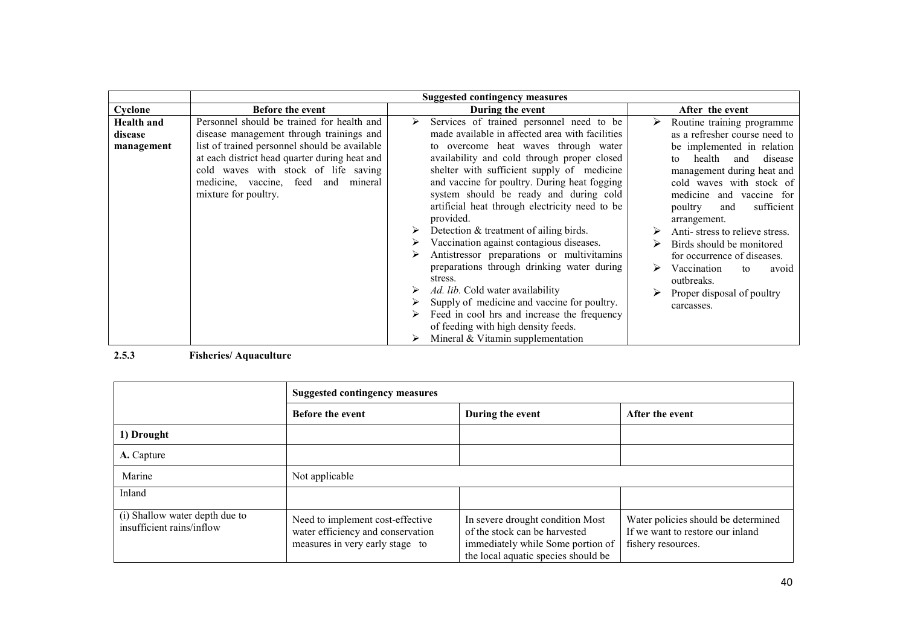## 2.5.3 Fisheries/ Aquaculture

|                                                             | <b>Suggested contingency measures</b>                                                                    |                                                                                                                                               |                                                                                               |  |
|-------------------------------------------------------------|----------------------------------------------------------------------------------------------------------|-----------------------------------------------------------------------------------------------------------------------------------------------|-----------------------------------------------------------------------------------------------|--|
|                                                             | <b>Before the event</b>                                                                                  | During the event                                                                                                                              | After the event                                                                               |  |
| 1) Drought                                                  |                                                                                                          |                                                                                                                                               |                                                                                               |  |
| A. Capture                                                  |                                                                                                          |                                                                                                                                               |                                                                                               |  |
| Marine                                                      | Not applicable                                                                                           |                                                                                                                                               |                                                                                               |  |
| Inland                                                      |                                                                                                          |                                                                                                                                               |                                                                                               |  |
| (i) Shallow water depth due to<br>insufficient rains/inflow | Need to implement cost-effective<br>water efficiency and conservation<br>measures in very early stage to | In severe drought condition Most<br>of the stock can be harvested<br>immediately while Some portion of<br>the local aquatic species should be | Water policies should be determined<br>If we want to restore our inland<br>fishery resources. |  |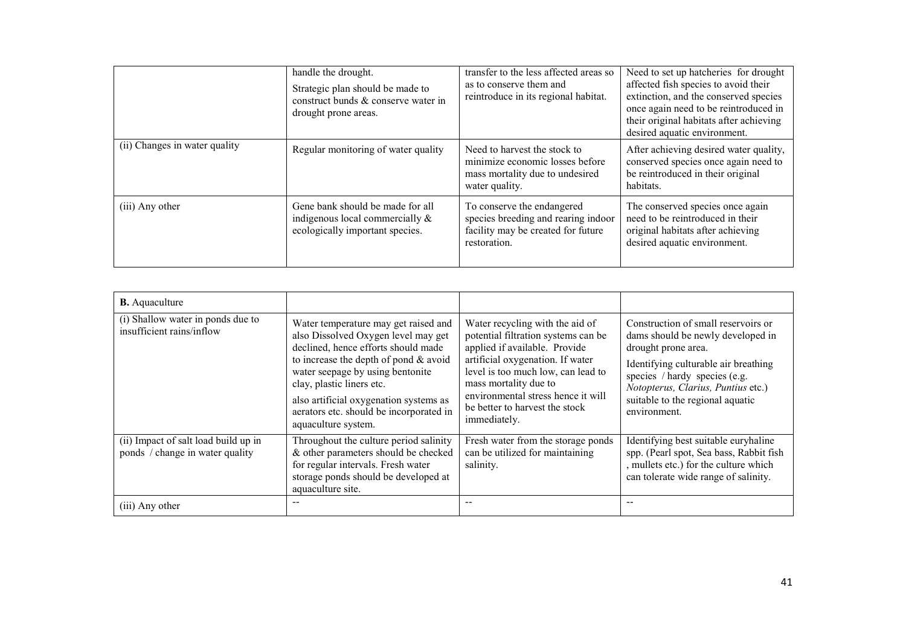|                               | handle the drought.<br>Strategic plan should be made to<br>construct bunds & conserve water in<br>drought prone areas. | transfer to the less affected areas so<br>as to conserve them and<br>reintroduce in its regional habitat.               | Need to set up hatcheries for drought<br>affected fish species to avoid their<br>extinction, and the conserved species<br>once again need to be reintroduced in<br>their original habitats after achieving<br>desired aquatic environment. |
|-------------------------------|------------------------------------------------------------------------------------------------------------------------|-------------------------------------------------------------------------------------------------------------------------|--------------------------------------------------------------------------------------------------------------------------------------------------------------------------------------------------------------------------------------------|
| (ii) Changes in water quality | Regular monitoring of water quality                                                                                    | Need to harvest the stock to<br>minimize economic losses before<br>mass mortality due to undesired<br>water quality.    | After achieving desired water quality,<br>conserved species once again need to<br>be reintroduced in their original<br>habitats.                                                                                                           |
| (iii) Any other               | Gene bank should be made for all<br>indigenous local commercially &<br>ecologically important species.                 | To conserve the endangered<br>species breeding and rearing indoor<br>facility may be created for future<br>restoration. | The conserved species once again<br>need to be reintroduced in their<br>original habitats after achieving<br>desired aquatic environment.                                                                                                  |

| <b>B.</b> Aquaculture                                                   |                                                                                                                                                                                                                                                                                                                                            |                                                                                                                                                                                                                                                                                                    |                                                                                                                                                                                                                                                                    |
|-------------------------------------------------------------------------|--------------------------------------------------------------------------------------------------------------------------------------------------------------------------------------------------------------------------------------------------------------------------------------------------------------------------------------------|----------------------------------------------------------------------------------------------------------------------------------------------------------------------------------------------------------------------------------------------------------------------------------------------------|--------------------------------------------------------------------------------------------------------------------------------------------------------------------------------------------------------------------------------------------------------------------|
| (i) Shallow water in ponds due to<br>insufficient rains/inflow          | Water temperature may get raised and<br>also Dissolved Oxygen level may get<br>declined, hence efforts should made<br>to increase the depth of pond $&$ avoid<br>water seepage by using bentonite<br>clay, plastic liners etc.<br>also artificial oxygenation systems as<br>aerators etc. should be incorporated in<br>aquaculture system. | Water recycling with the aid of<br>potential filtration systems can be<br>applied if available. Provide<br>artificial oxygenation. If water<br>level is too much low, can lead to<br>mass mortality due to<br>environmental stress hence it will<br>be better to harvest the stock<br>immediately. | Construction of small reservoirs or<br>dams should be newly developed in<br>drought prone area.<br>Identifying culturable air breathing<br>species / hardy species (e.g.<br>Notopterus, Clarius, Puntius etc.)<br>suitable to the regional aquatic<br>environment. |
| (ii) Impact of salt load build up in<br>ponds / change in water quality | Throughout the culture period salinity<br>& other parameters should be checked<br>for regular intervals. Fresh water<br>storage ponds should be developed at<br>aquaculture site.                                                                                                                                                          | Fresh water from the storage ponds<br>can be utilized for maintaining<br>salinity.                                                                                                                                                                                                                 | Identifying best suitable euryhaline<br>spp. (Pearl spot, Sea bass, Rabbit fish<br>, mullets etc.) for the culture which<br>can tolerate wide range of salinity.                                                                                                   |
| (iii) Any other                                                         |                                                                                                                                                                                                                                                                                                                                            |                                                                                                                                                                                                                                                                                                    |                                                                                                                                                                                                                                                                    |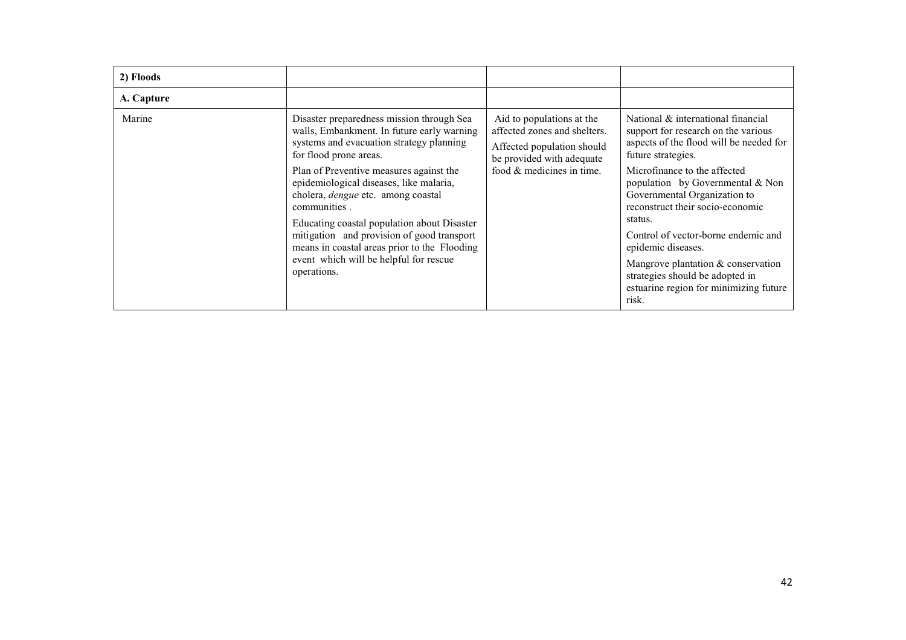| 2) Floods  |                                                                                                                                                                                                                                                                                       |                                                                                                                                                     |                                                                                                                                                                            |
|------------|---------------------------------------------------------------------------------------------------------------------------------------------------------------------------------------------------------------------------------------------------------------------------------------|-----------------------------------------------------------------------------------------------------------------------------------------------------|----------------------------------------------------------------------------------------------------------------------------------------------------------------------------|
| A. Capture |                                                                                                                                                                                                                                                                                       |                                                                                                                                                     |                                                                                                                                                                            |
| Marine     | Disaster preparedness mission through Sea<br>walls, Embankment. In future early warning<br>systems and evacuation strategy planning<br>for flood prone areas.                                                                                                                         | Aid to populations at the<br>affected zones and shelters.<br>Affected population should<br>be provided with adequate<br>food $&$ medicines in time. | National & international financial<br>support for research on the various<br>aspects of the flood will be needed for<br>future strategies.<br>Microfinance to the affected |
|            | Plan of Preventive measures against the<br>epidemiological diseases, like malaria,<br>cholera, dengue etc. among coastal<br>communities.<br>Educating coastal population about Disaster<br>mitigation and provision of good transport<br>means in coastal areas prior to the Flooding |                                                                                                                                                     | population by Governmental $& Non$<br>Governmental Organization to<br>reconstruct their socio-economic<br>status.                                                          |
|            |                                                                                                                                                                                                                                                                                       |                                                                                                                                                     | Control of vector-borne endemic and<br>epidemic diseases.                                                                                                                  |
|            | event which will be helpful for rescue<br>operations.                                                                                                                                                                                                                                 |                                                                                                                                                     | Mangrove plantation & conservation<br>strategies should be adopted in<br>estuarine region for minimizing future<br>risk.                                                   |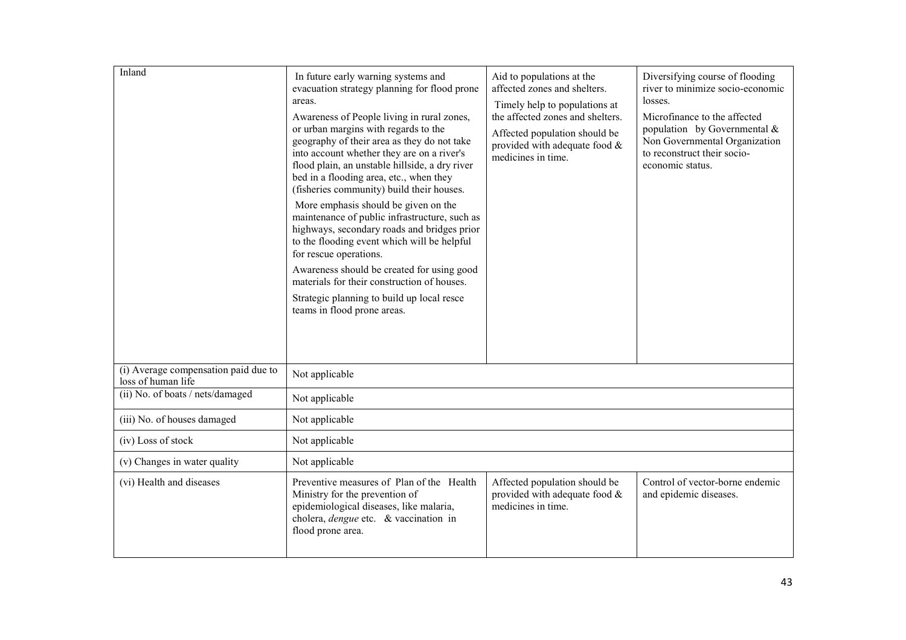| Inland                                                     | In future early warning systems and<br>evacuation strategy planning for flood prone<br>areas.<br>Awareness of People living in rural zones,<br>or urban margins with regards to the<br>geography of their area as they do not take<br>into account whether they are on a river's<br>flood plain, an unstable hillside, a dry river<br>bed in a flooding area, etc., when they<br>(fisheries community) build their houses.<br>More emphasis should be given on the<br>maintenance of public infrastructure, such as<br>highways, secondary roads and bridges prior<br>to the flooding event which will be helpful<br>for rescue operations.<br>Awareness should be created for using good<br>materials for their construction of houses.<br>Strategic planning to build up local resce<br>teams in flood prone areas. | Aid to populations at the<br>affected zones and shelters.<br>Timely help to populations at<br>the affected zones and shelters.<br>Affected population should be<br>provided with adequate food $\&$<br>medicines in time. | Diversifying course of flooding<br>river to minimize socio-economic<br>losses.<br>Microfinance to the affected<br>population by Governmental $\&$<br>Non Governmental Organization<br>to reconstruct their socio-<br>economic status. |  |
|------------------------------------------------------------|-----------------------------------------------------------------------------------------------------------------------------------------------------------------------------------------------------------------------------------------------------------------------------------------------------------------------------------------------------------------------------------------------------------------------------------------------------------------------------------------------------------------------------------------------------------------------------------------------------------------------------------------------------------------------------------------------------------------------------------------------------------------------------------------------------------------------|---------------------------------------------------------------------------------------------------------------------------------------------------------------------------------------------------------------------------|---------------------------------------------------------------------------------------------------------------------------------------------------------------------------------------------------------------------------------------|--|
| (i) Average compensation paid due to<br>loss of human life | Not applicable                                                                                                                                                                                                                                                                                                                                                                                                                                                                                                                                                                                                                                                                                                                                                                                                        |                                                                                                                                                                                                                           |                                                                                                                                                                                                                                       |  |
| (ii) No. of boats / nets/damaged                           | Not applicable                                                                                                                                                                                                                                                                                                                                                                                                                                                                                                                                                                                                                                                                                                                                                                                                        |                                                                                                                                                                                                                           |                                                                                                                                                                                                                                       |  |
| (iii) No. of houses damaged                                | Not applicable                                                                                                                                                                                                                                                                                                                                                                                                                                                                                                                                                                                                                                                                                                                                                                                                        |                                                                                                                                                                                                                           |                                                                                                                                                                                                                                       |  |
| (iv) Loss of stock                                         | Not applicable                                                                                                                                                                                                                                                                                                                                                                                                                                                                                                                                                                                                                                                                                                                                                                                                        |                                                                                                                                                                                                                           |                                                                                                                                                                                                                                       |  |
| (v) Changes in water quality                               | Not applicable                                                                                                                                                                                                                                                                                                                                                                                                                                                                                                                                                                                                                                                                                                                                                                                                        |                                                                                                                                                                                                                           |                                                                                                                                                                                                                                       |  |
| (vi) Health and diseases                                   | Preventive measures of Plan of the Health<br>Ministry for the prevention of<br>epidemiological diseases, like malaria,<br>cholera, <i>dengue</i> etc. & vaccination in<br>flood prone area.                                                                                                                                                                                                                                                                                                                                                                                                                                                                                                                                                                                                                           | Affected population should be<br>provided with adequate food $\&$<br>medicines in time.                                                                                                                                   | Control of vector-borne endemic<br>and epidemic diseases.                                                                                                                                                                             |  |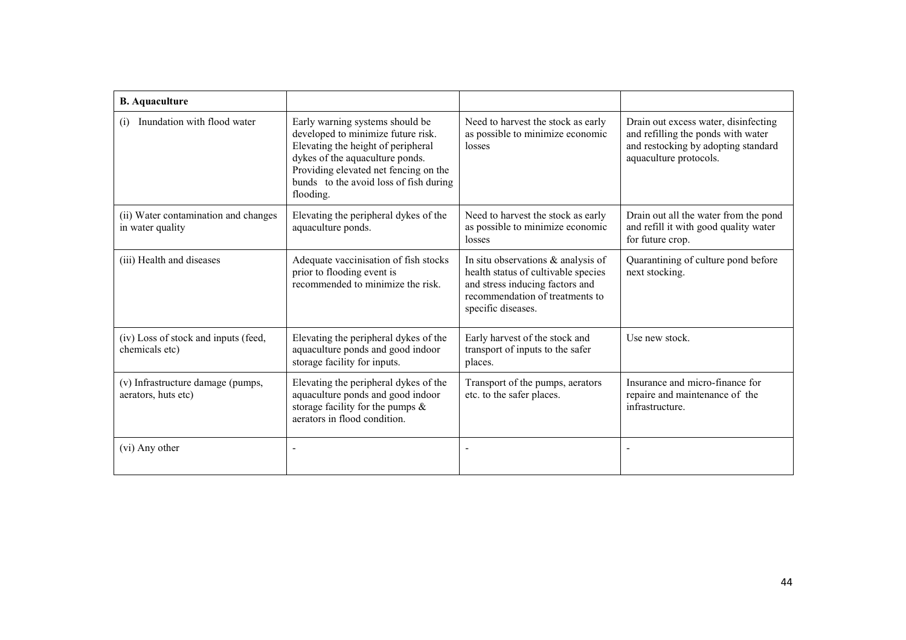| <b>B.</b> Aquaculture                                    |                                                                                                                                                                                                                                                |                                                                                                                                                                          |                                                                                                                                             |
|----------------------------------------------------------|------------------------------------------------------------------------------------------------------------------------------------------------------------------------------------------------------------------------------------------------|--------------------------------------------------------------------------------------------------------------------------------------------------------------------------|---------------------------------------------------------------------------------------------------------------------------------------------|
| Inundation with flood water<br>(i)                       | Early warning systems should be<br>developed to minimize future risk.<br>Elevating the height of peripheral<br>dykes of the aquaculture ponds.<br>Providing elevated net fencing on the<br>bunds to the avoid loss of fish during<br>flooding. | Need to harvest the stock as early<br>as possible to minimize economic<br>losses                                                                                         | Drain out excess water, disinfecting<br>and refilling the ponds with water<br>and restocking by adopting standard<br>aquaculture protocols. |
| (ii) Water contamination and changes<br>in water quality | Elevating the peripheral dykes of the<br>aquaculture ponds.                                                                                                                                                                                    | Need to harvest the stock as early<br>as possible to minimize economic<br>losses                                                                                         | Drain out all the water from the pond<br>and refill it with good quality water<br>for future crop.                                          |
| (iii) Health and diseases                                | Adequate vaccinisation of fish stocks<br>prior to flooding event is<br>recommended to minimize the risk.                                                                                                                                       | In situ observations $\&$ analysis of<br>health status of cultivable species<br>and stress inducing factors and<br>recommendation of treatments to<br>specific diseases. | Quarantining of culture pond before<br>next stocking.                                                                                       |
| (iv) Loss of stock and inputs (feed,<br>chemicals etc)   | Elevating the peripheral dykes of the<br>aquaculture ponds and good indoor<br>storage facility for inputs.                                                                                                                                     | Early harvest of the stock and<br>transport of inputs to the safer<br>places.                                                                                            | Use new stock.                                                                                                                              |
| (v) Infrastructure damage (pumps,<br>aerators, huts etc) | Elevating the peripheral dykes of the<br>aquaculture ponds and good indoor<br>storage facility for the pumps $\&$<br>aerators in flood condition.                                                                                              | Transport of the pumps, aerators<br>etc. to the safer places.                                                                                                            | Insurance and micro-finance for<br>repaire and maintenance of the<br>infrastructure.                                                        |
| (vi) Any other                                           |                                                                                                                                                                                                                                                |                                                                                                                                                                          |                                                                                                                                             |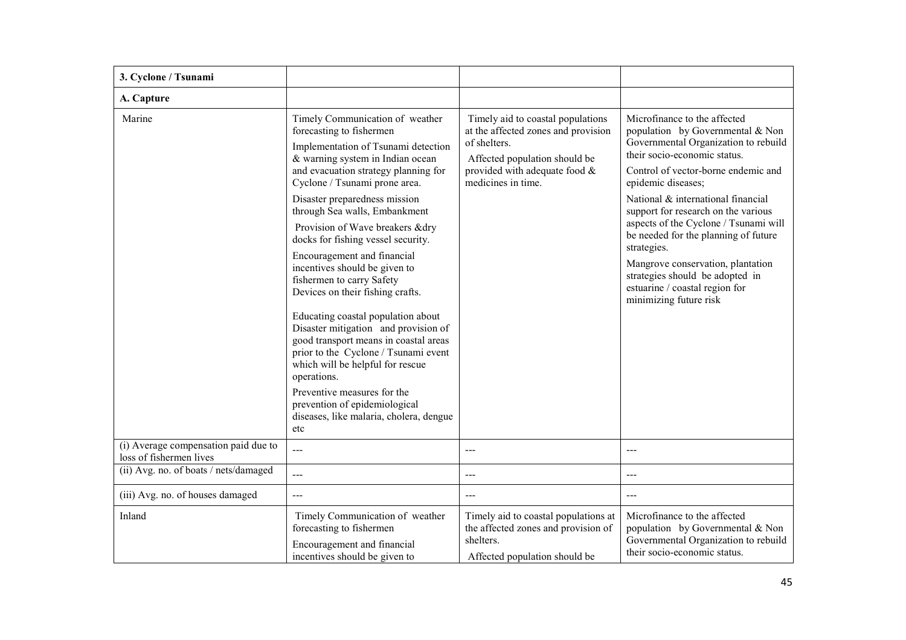| 3. Cyclone / Tsunami                                            |                                                                                                                                                                                                                                                                                                                                                                                                                                                                                                                                                                                                                                                                                                                                                                                                                                 |                                                                                                                                                                                  |                                                                                                                                                                                                                                                                                                                                                                                                                                                                                                                        |
|-----------------------------------------------------------------|---------------------------------------------------------------------------------------------------------------------------------------------------------------------------------------------------------------------------------------------------------------------------------------------------------------------------------------------------------------------------------------------------------------------------------------------------------------------------------------------------------------------------------------------------------------------------------------------------------------------------------------------------------------------------------------------------------------------------------------------------------------------------------------------------------------------------------|----------------------------------------------------------------------------------------------------------------------------------------------------------------------------------|------------------------------------------------------------------------------------------------------------------------------------------------------------------------------------------------------------------------------------------------------------------------------------------------------------------------------------------------------------------------------------------------------------------------------------------------------------------------------------------------------------------------|
| A. Capture                                                      |                                                                                                                                                                                                                                                                                                                                                                                                                                                                                                                                                                                                                                                                                                                                                                                                                                 |                                                                                                                                                                                  |                                                                                                                                                                                                                                                                                                                                                                                                                                                                                                                        |
| Marine                                                          | Timely Communication of weather<br>forecasting to fishermen<br>Implementation of Tsunami detection<br>& warning system in Indian ocean<br>and evacuation strategy planning for<br>Cyclone / Tsunami prone area.<br>Disaster preparedness mission<br>through Sea walls, Embankment<br>Provision of Wave breakers &dry<br>docks for fishing vessel security.<br>Encouragement and financial<br>incentives should be given to<br>fishermen to carry Safety<br>Devices on their fishing crafts.<br>Educating coastal population about<br>Disaster mitigation and provision of<br>good transport means in coastal areas<br>prior to the Cyclone / Tsunami event<br>which will be helpful for rescue<br>operations.<br>Preventive measures for the<br>prevention of epidemiological<br>diseases, like malaria, cholera, dengue<br>etc | Timely aid to coastal populations<br>at the affected zones and provision<br>of shelters.<br>Affected population should be<br>provided with adequate food &<br>medicines in time. | Microfinance to the affected<br>population by Governmental & Non<br>Governmental Organization to rebuild<br>their socio-economic status.<br>Control of vector-borne endemic and<br>epidemic diseases;<br>National & international financial<br>support for research on the various<br>aspects of the Cyclone / Tsunami will<br>be needed for the planning of future<br>strategies.<br>Mangrove conservation, plantation<br>strategies should be adopted in<br>estuarine / coastal region for<br>minimizing future risk |
| (i) Average compensation paid due to<br>loss of fishermen lives | $\overline{a}$                                                                                                                                                                                                                                                                                                                                                                                                                                                                                                                                                                                                                                                                                                                                                                                                                  | ---                                                                                                                                                                              | $---$                                                                                                                                                                                                                                                                                                                                                                                                                                                                                                                  |
| (ii) Avg. no. of boats / nets/damaged                           | $\overline{a}$                                                                                                                                                                                                                                                                                                                                                                                                                                                                                                                                                                                                                                                                                                                                                                                                                  | ---                                                                                                                                                                              | $---$                                                                                                                                                                                                                                                                                                                                                                                                                                                                                                                  |
| (iii) Avg. no. of houses damaged                                | $---$                                                                                                                                                                                                                                                                                                                                                                                                                                                                                                                                                                                                                                                                                                                                                                                                                           | $---$                                                                                                                                                                            | $---$                                                                                                                                                                                                                                                                                                                                                                                                                                                                                                                  |
| Inland                                                          | Timely Communication of weather<br>forecasting to fishermen<br>Encouragement and financial<br>incentives should be given to                                                                                                                                                                                                                                                                                                                                                                                                                                                                                                                                                                                                                                                                                                     | Timely aid to coastal populations at<br>the affected zones and provision of<br>shelters.<br>Affected population should be                                                        | Microfinance to the affected<br>population by Governmental & Non<br>Governmental Organization to rebuild<br>their socio-economic status.                                                                                                                                                                                                                                                                                                                                                                               |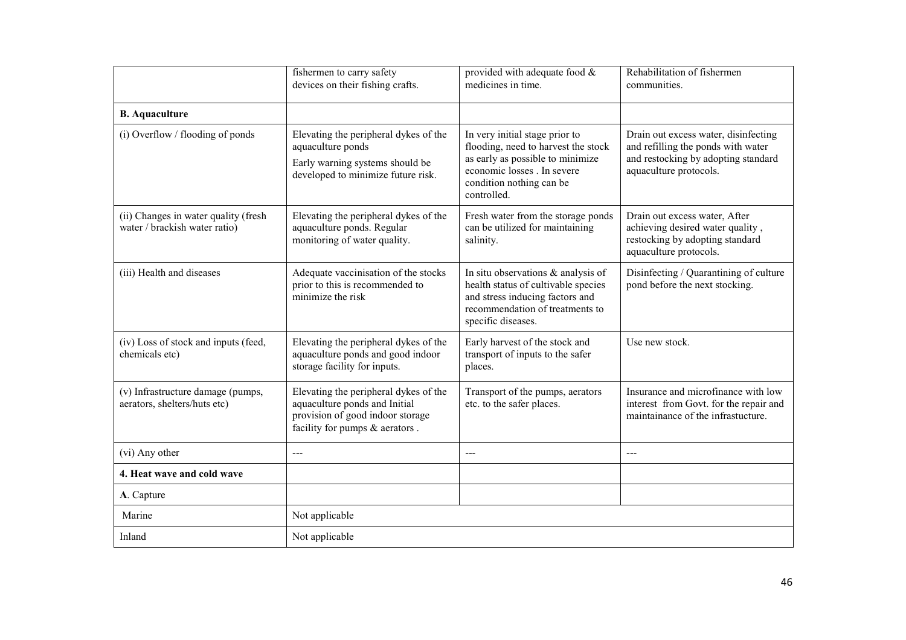|                                                                       | fishermen to carry safety<br>devices on their fishing crafts.                                                                                | provided with adequate food $\&$<br>medicines in time.                                                                                                                              | Rehabilitation of fishermen<br>communities.                                                                                                 |
|-----------------------------------------------------------------------|----------------------------------------------------------------------------------------------------------------------------------------------|-------------------------------------------------------------------------------------------------------------------------------------------------------------------------------------|---------------------------------------------------------------------------------------------------------------------------------------------|
| <b>B.</b> Aquaculture                                                 |                                                                                                                                              |                                                                                                                                                                                     |                                                                                                                                             |
| (i) Overflow / flooding of ponds                                      | Elevating the peripheral dykes of the<br>aquaculture ponds<br>Early warning systems should be<br>developed to minimize future risk.          | In very initial stage prior to<br>flooding, need to harvest the stock<br>as early as possible to minimize<br>economic losses . In severe<br>condition nothing can be<br>controlled. | Drain out excess water, disinfecting<br>and refilling the ponds with water<br>and restocking by adopting standard<br>aquaculture protocols. |
| (ii) Changes in water quality (fresh<br>water / brackish water ratio) | Elevating the peripheral dykes of the<br>aquaculture ponds. Regular<br>monitoring of water quality.                                          | Fresh water from the storage ponds<br>can be utilized for maintaining<br>salinity.                                                                                                  | Drain out excess water, After<br>achieving desired water quality,<br>restocking by adopting standard<br>aquaculture protocols.              |
| (iii) Health and diseases                                             | Adequate vaccinisation of the stocks<br>prior to this is recommended to<br>minimize the risk                                                 | In situ observations $\&$ analysis of<br>health status of cultivable species<br>and stress inducing factors and<br>recommendation of treatments to<br>specific diseases.            | Disinfecting / Quarantining of culture<br>pond before the next stocking.                                                                    |
| (iv) Loss of stock and inputs (feed,<br>chemicals etc)                | Elevating the peripheral dykes of the<br>aquaculture ponds and good indoor<br>storage facility for inputs.                                   | Early harvest of the stock and<br>transport of inputs to the safer<br>places.                                                                                                       | Use new stock.                                                                                                                              |
| (v) Infrastructure damage (pumps,<br>aerators, shelters/huts etc)     | Elevating the peripheral dykes of the<br>aquaculture ponds and Initial<br>provision of good indoor storage<br>facility for pumps & aerators. | Transport of the pumps, aerators<br>etc. to the safer places.                                                                                                                       | Insurance and microfinance with low<br>interest from Govt. for the repair and<br>maintainance of the infrastucture.                         |
| (vi) Any other                                                        | $---$                                                                                                                                        | ---                                                                                                                                                                                 | $---$                                                                                                                                       |
| 4. Heat wave and cold wave                                            |                                                                                                                                              |                                                                                                                                                                                     |                                                                                                                                             |
| A. Capture                                                            |                                                                                                                                              |                                                                                                                                                                                     |                                                                                                                                             |
| Marine                                                                | Not applicable                                                                                                                               |                                                                                                                                                                                     |                                                                                                                                             |
| Inland                                                                | Not applicable                                                                                                                               |                                                                                                                                                                                     |                                                                                                                                             |